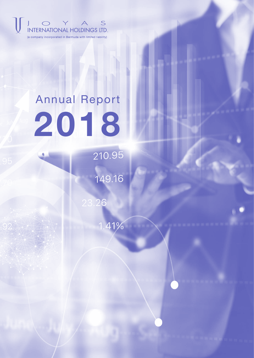

# Annual Report **2018**

210.95 149.16

1.41%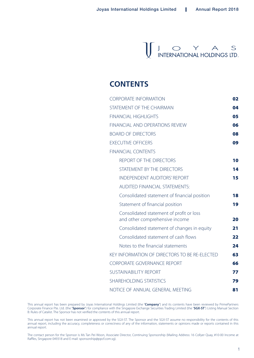

### **CONTENTS**

| <b>CORPORATE INFORMATION</b>                                               | 02 |
|----------------------------------------------------------------------------|----|
| STATEMENT OF THE CHAIRMAN                                                  | 04 |
| <b>FINANCIAL HIGHLIGHTS</b>                                                | 05 |
| FINANCIAL AND OPERATIONS REVIEW                                            | 06 |
| <b>BOARD OF DIRECTORS</b>                                                  | 08 |
| <b>EXECUTIVE OFFICERS</b>                                                  | 09 |
| <b>FINANCIAL CONTENTS</b>                                                  |    |
| REPORT OF THE DIRECTORS                                                    | 10 |
| <b>STATEMENT BY THE DIRECTORS</b>                                          | 14 |
| <b>INDEPENDENT AUDITORS' REPORT</b>                                        | 15 |
| <b>AUDITED FINANCIAL STATEMENTS:</b>                                       |    |
| Consolidated statement of financial position                               | 18 |
| Statement of financial position                                            | 19 |
| Consolidated statement of profit or loss<br>and other comprehensive income | 20 |
| Consolidated statement of changes in equity                                | 21 |
| Consolidated statement of cash flows                                       | 22 |
| Notes to the financial statements                                          | 24 |
| KEY INFORMATION OF DIRECTORS TO BE RE-ELECTED                              | 63 |
| <b>CORPORATE GOVERNANCE REPORT</b>                                         | 66 |
| <b>SUSTAINABILITY REPORT</b>                                               | 77 |
| <b>SHAREHOLDING STATISTICS</b>                                             | 79 |
| NOTICE OF ANNUAL GENERAL MEETING                                           | 81 |

This annual report has been prepared by Joyas International Holdings Limited (the "**Company**") and its contents have been reviewed by PrimePartners Corporate Finance Pte. Ltd. (the "**Sponsor**") for compliance with the Singapore Exchange Securities Trading Limited (the "**SGX-ST**") Listing Manual Section B: Rules of Catalist. The Sponsor has not verified the contents of this annual report.

This annual report has not been examined or approved by the SGX-ST. The Sponsor and the SGX-ST assume no responsibility for the contents of this annual report, including the accuracy, completeness or correctness of any of the information, statements or opinions made or reports contained in this annual report.

The contact person for the Sponsor is Ms Tan Pei Woon, Associate Director, Continuing Sponsorship (Mailing Address: 16 Collyer Quay, #10-00 Income at Raffles, Singapore 049318 and E-mail: sponsorship@ppcf.com.sg).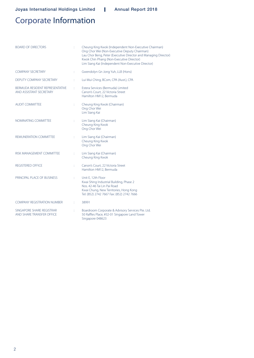# Corporate Information

| <b>BOARD OF DIRECTORS</b>                                  | ÷ | Cheung King Kwok (Independent Non-Executive Chairman)<br>Ong Chor Wei (Non-Executive Deputy Chairman)<br>Lau Chor Beng, Peter (Executive Director and Managing Director)<br>Kwok Chin Phang (Non-Executive Director)<br>Lim Siang Kai (Independent Non-Executive Director) |
|------------------------------------------------------------|---|----------------------------------------------------------------------------------------------------------------------------------------------------------------------------------------------------------------------------------------------------------------------------|
| <b>COMPANY SECRETARY</b>                                   |   | Gwendolyn Gn Jong Yuh, LLB (Hons)                                                                                                                                                                                                                                          |
| <b>DEPUTY COMPANY SECRETARY</b>                            | t | Lui Mui Ching, BCom, CPA (Aust.), CPA                                                                                                                                                                                                                                      |
| BERMUDA RESIDENT REPRESENTATIVE<br>AND ASSISTANT SECRETARY |   | Estera Services (Bermuda) Limited<br>Canon's Court, 22 Victoria Street<br>Hamilton HM12, Bermuda                                                                                                                                                                           |
| <b>AUDIT COMMITTEE</b>                                     |   | Cheung King Kwok (Chairman)<br>Ong Chor Wei<br>Lim Siang Kai                                                                                                                                                                                                               |
| NOMINATING COMMITTEE                                       |   | Lim Siang Kai (Chairman)<br>Cheung King Kwok<br>Ong Chor Wei                                                                                                                                                                                                               |
| <b>REMUNERATION COMMITTEE</b>                              |   | Lim Siang Kai (Chairman)<br>Cheung King Kwok<br>Ong Chor Wei                                                                                                                                                                                                               |
| RISK MANAGEMENT COMMITTEE                                  |   | Lim Siang Kai (Chairman)<br>Cheung King Kwok                                                                                                                                                                                                                               |
| <b>REGISTERED OFFICE</b>                                   |   | Canon's Court, 22 Victoria Street<br>Hamilton HM12, Bermuda                                                                                                                                                                                                                |
| PRINCIPAL PLACE OF BUSINESS                                |   | Unit E, 12th Floor<br>Kwai Shing Industrial Building, Phase 2<br>Nos. 42-46 Tai Lin Pai Road<br>Kwai Chung, New Territories, Hong Kong<br>Tel: (852) 2742 7667 Fax: (852) 2742 7666                                                                                        |
| <b>COMPANY REGISTRATION NUMBER</b>                         |   | 38991                                                                                                                                                                                                                                                                      |
| SINGAPORE SHARE REGISTRAR<br>AND SHARE TRANSFER OFFICE     |   | Boardroom Corporate & Advisory Services Pte. Ltd.<br>50 Raffles Place, #32-01 Singapore Land Tower<br>Singapore 048623                                                                                                                                                     |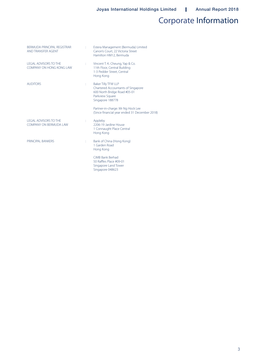# Corporate Information

| BERMUDA PRINCIPAL REGISTRAR<br>AND TRANSFER AGENT             |    | Estera Management (Bermuda) Limited<br>Canon's Court, 22 Victoria Street<br>Hamilton HM12, Bermuda                                      |
|---------------------------------------------------------------|----|-----------------------------------------------------------------------------------------------------------------------------------------|
| <b>LEGAL ADVISORS TO THE</b><br>COMPANY ON HONG KONG LAW      | ÷. | Vincent T. K. Cheung, Yap & Co.<br>11th Floor, Central Building<br>1-3 Pedder Street, Central<br>Hong Kong                              |
| <b>AUDITORS</b>                                               | t. | <b>Baker Tilly TFW LLP</b><br>Chartered Accountants of Singapore<br>600 North Bridge Road #05-01<br>Parkview Square<br>Singapore 188778 |
|                                                               |    | Partner-in-charge: Mr Ng Hock Lee<br>(Since financial year ended 31 December 2018)                                                      |
| <b>LEGAL ADVISORS TO THE</b><br><b>COMPANY ON BERMUDA LAW</b> | ÷. | Appleby<br>2206-19 Jardine House<br>1 Connaught Place Central<br>Hong Kong                                                              |
| PRINCIPAL BANKERS                                             |    | Bank of China (Hong Kong)<br>1 Garden Road<br>Hong Kong                                                                                 |
|                                                               |    | <b>CIMB Bank Berhad</b><br>50 Raffles Place #09-01<br>Singapore Land Tower<br>Singapore 048623                                          |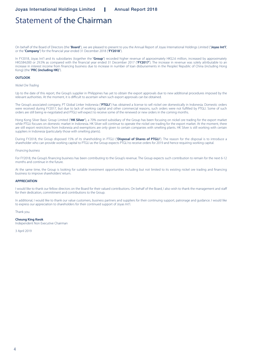### Statement of the Chairman

On behalf of the Board of Directors (the "**Board**"), we are pleased to present to you the Annual Report of Joyas International Holdings Limited ("**Joyas Int'l**", or the "**Company**") for the financial year ended 31 December 2018 ("**FY2018**").

In FY2018, Joyas Int'l and its subsidiaries (together the "**Group**") recorded higher revenue of approximately HK\$2.6 million, increased by approximately HK\$584,000 or 29.5% as compared with the financial year ended 31 December 2017 ("**FY2017**"). The increase in revenue was solely attributable to an increase in interest income from financing business due to increase in number of loan disbursements in the Peoples' Republic of China (including Hong Kong) (the "**PRC (including HK)**").

#### **OUTLOOK**

#### *Nickel Ore Trading*

Up to the date of this report, the Group's supplier in Philippines has yet to obtain the export approvals due to new additional procedures imposed by the relevant authorities. At the moment, it is difficult to ascertain when such export approvals can be obtained.

The Group's associated company, PT Global Linker Indonesia ("**PTGLI**") has obtained a license to sell nickel ore domestically in Indonesia. Domestic orders were received during FY2017, but due to lack of working capital and other commercial reasons, such orders were not fulfilled by PTGLI. Some of such orders are still being re-negotiated and PTGLI will expect to receive some of the renewed or new orders in the coming months.

Hong Kong Silver Basic Group Limited ("**HK Silver**"), a 70% owned subsidiary of the Group has been focusing on nickel ore trading for the export market while PTGLI focuses on domestic market in Indonesia. HK Silver will continue to operate the nickel ore trading for the export market. At the moment, there are still export restrictions from Indonesia and exemptions are only given to certain companies with smelting plants. HK Silver is still working with certain suppliers in Indonesia (particularly those with smelting plants).

During FY2018, the Group disposed 15% of its shareholding in PTGLI ("**Disposal of Shares of PTGLI**"). The reason for the disposal is to introduce a shareholder who can provide working capital to PTGLI as the Group expects PTGLI to receive orders for 2019 and hence requiring working capital.

#### *Financing business*

For FY2018, the Group's financing business has been contributing to the Group's revenue. The Group expects such contribution to remain for the next 6-12 months and continue in the future.

At the same time, the Group is looking for suitable investment opportunities including but not limited to its existing nickel ore trading and financing business to improve shareholders' return.

#### **APPRECIATION**

I would like to thank our fellow directors on the Board for their valued contributions. On behalf of the Board, I also wish to thank the management and staff for their dedication, commitment and contributions to the Group.

In additional, I would like to thank our value customers, business partners and suppliers for their continuing support, patronage and guidance. I would like to express our appreciation to shareholders for their continued support of Joyas Int'l.

Thank you.

#### **Cheung King Kwok**

Independent Non Executive Chairman

3 April 2019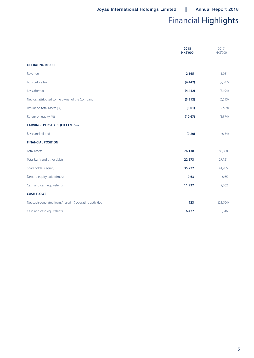# Financial Highlights

|                                                          | 2018<br><b>HK\$'000</b> | 2017<br><b>HK\$'000</b> |
|----------------------------------------------------------|-------------------------|-------------------------|
| <b>OPERATING RESULT</b>                                  |                         |                         |
| Revenue                                                  | 2,565                   | 1,981                   |
| Loss before tax                                          | (4, 442)                | (7,037)                 |
| Loss after tax                                           | (4, 442)                | (7, 194)                |
| Net loss attributed to the owner of the Company          | (3,812)                 | (6, 595)                |
| Return on total assets (%)                               | (5.01)                  | (7.69)                  |
| Return on equity (%)                                     | (10.67)                 | (15.74)                 |
| <b>EARNINGS PER SHARE (HK CENTS) -</b>                   |                         |                         |
| <b>Basic and diluted</b>                                 | (0.20)                  | (0.34)                  |
| <b>FINANCIAL POSITION</b>                                |                         |                         |
| <b>Total assets</b>                                      | 76,138                  | 85,808                  |
| Total bank and other debts                               | 22,573                  | 27,121                  |
| Shareholders' equity                                     | 35,722                  | 41,905                  |
| Debt to equity ratio (times)                             | 0.63                    | 0.65                    |
| Cash and cash equivalents                                | 11,937                  | 9,262                   |
| <b>CASH FLOWS</b>                                        |                         |                         |
| Net cash generated from / (used in) operating activities | 923                     | (21,704)                |
| Cash and cash equivalents                                | 6,477                   | 3,846                   |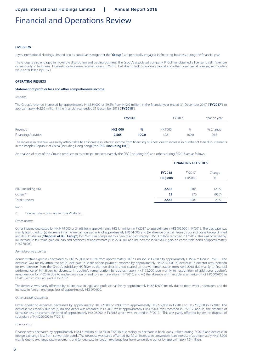# Financial and Operations Review

#### **OVERVIEW**

Joyas International Holdings Limited and its subsidiaries (together the "**Group**") are principally engaged in financing business during the financial year.

The Group is also engaged in nickel ore distribution and trading business. The Group's associated company, PTGLI has obtained a license to sell nickel ore domestically in Indonesia. Domestic orders were received during FY2017, but due to lack of working capital and other commercial reasons, such orders were not fulfilled by PTGLI.

#### **OPERATING RESULTS**

#### **Statement of profit or loss and other comprehensive income**

#### *Revenue*

The Group's revenue increased by approximately HK\$584,000 or 29.5% from HK2.0 million in the financial year ended 31 December 2017 ("**FY2017**") to approximately HK\$2.6 million in the financial year ended 31 December 2018 ("**FY2018**").

|                             | <b>FY2018</b>   |       | FY2017          |       | Year on year |
|-----------------------------|-----------------|-------|-----------------|-------|--------------|
|                             |                 |       |                 |       |              |
| Revenue                     | <b>HK\$'000</b> | $\%$  | <b>HK\$'000</b> | %     | % Change     |
| <b>Financing Activities</b> | 2,565           | 100.0 | .981            | 100.0 | 29.5         |

The increase in revenue was solely attributable to an increase in interest income from financing business due to increase in number of loan disbursements in the Peoples' Republic of China (including Hong Kong) (the "**PRC (including HK)**").

**FINANCING ACTIVITIES**

An analysis of sales of the Group's products to its principal markets, namely the PRC (including HK) and others during FY2018 are as follows:-

|                       | <b>FY2018</b>   | FY2017          | Change |
|-----------------------|-----------------|-----------------|--------|
|                       | <b>HK\$'000</b> | <b>HK\$'000</b> | %      |
|                       |                 |                 |        |
| PRC (including HK)    | 2,536           | 1,105           | 129.5  |
| Others <sup>(1)</sup> | 29              | 876             | (96.7) |
| Total turnover        | 2,565           | 1,981           | 29.5   |

#### Note:-

(1) Includes mainly customers from the Middle East.

#### *Other income*

Other income decreased by HK\$479,000 or 34.6% from approximately HK\$1.4 million in FY2017 to approximately HK\$905,000 in FY2018. The decrease was mainly attributed to: (a) decrease in fair value gain on warrants of approximately HK\$54,000; and (b) absence of a gain from disposal of Joyas Group Limited and its subsidiaries ("Disposal of JGL Group") for FY2018 as compared to a gain of approximately HK\$1.3 million recorded in FY2017. This was offsetted by: (a) increase in fair value gain on loan and advances of approximately HK\$584,000; and (b) increase in fair value gain on convertible bond of approximately HK\$278,000.

#### *Administrative expenses*

Administrative expenses decreased by HK\$753,000 or 10.6% from approximately HK\$7.1 million in FY2017 to approximately HK\$6.4 million in FY2018. The decrease was mainly attributed to: (a) decrease in share option payment expense by approximately HK\$209,000; (b) decrease in director remuneration for two directors from the Group's subsidiary HK Silver as the two directors had ceased to receive remuneration from April 2018 due mainly to financial performance of HK Silver; (c) decrease in auditor's remuneration by approximately HK\$172,000 due mainly to recognition of additional auditor's remuneration for FY2016 due to under-provision of auditors' remuneration in FY2016; and (d) the absence of intangible asset write-off of HK\$600,000 in FY2018 which was incurred in FY 2017.

The decrease was partly offsetted by: (a) increase in legal and professional fee by approximately HK\$842,000 mainly due to more work undertaken; and (b) increase in foreign exchange loss of approximately HK\$290,000.

#### *Other operating expenses*

Other operating expenses decreased by approximately HK\$22,000 or 9.9% from approximately HK\$222,000 in FY2017 to HK\$200,000 in FY2018. The decrease was mainly due to: (a) no bad debts was recorded in FY2018 while approximately HK\$125,000 was recorded in FY2017; and (b) the absence of fair value loss on convertible bond of approximately HK\$96,000 in FY2018 which was incurred in FY2017. This was partly offsetted by loss on disposal of subsidiary of HK\$200,000 in FY2018.

#### *Finance costs*

Finance costs decreased by approximately HK\$1.5 million or 50.7% in FY2018 due mainly to decrease in bank loans utilised during FY2018 and decrease in foreign exchange loss from convertible bonds. The decrease was partly offsetted by: (a) an increase in convertible loan interest of approximately HK\$13,000 mainly due to exchange rate movement; and (b) decrease in foreign exchange loss from convertible bonds by approximately 1.5 million.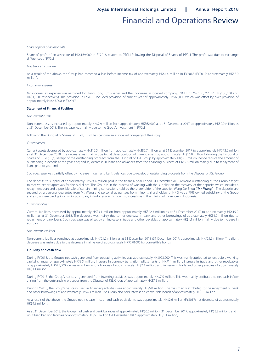Joyas International Holdings Limited | Annual Report 2018

### Financial and Operations Review

#### *Share of profit of an associate*

Share of profit of an associate of HK\$169,000 in FY2018 related to PTGLI following the Disposal of Shares of PTGLI. The profit was due to exchange differences of PTGLI.

#### *Loss before income tax*

As a result of the above, the Group had recorded a loss before income tax of approximately HK\$4.4 million in FY2018 (FY2017: approximately HK\$7.0 million).

#### *Income tax expense*

No income tax expense was recorded for Hong Kong subsidiaries and the Indonesia associated company, PTGLI in FY2018 (FY2017: HK\$156,000 and HK\$1,000, respectively). The provision in FY2018 included provision of current year of approximately HK\$63,000 which was offset by over provision of approximately HK\$63,000 in FY2017.

#### **Statement of Financial Position**

#### *Non-current assets*

Non-current assets increased by approximately HK\$2.9 million from approximately HK\$62,000 as at 31 December 2017 to approximately HK\$2.9 million as at 31 December 2018. The increase was mainly due to the Group's investment in PTGLI.

Following the Disposal of Shares of PTGLI, PTGLI has become an associated company of the Group

#### *Current assets*

Current assets decreased by approximately HK\$12.5 million from approximately HK\$85.7 million as at 31 December 2017 to approximately HK\$73.2 million as at 31 December 2018. The decrease was mainly due to: (a) derecognition of current assets by approximately HK\$16.0 million following the Disposal of Shares of PTGLI; (b) receipt of the outstanding proceeds from the Disposal of JGL Group by approximately HK\$7.5 million, hence reduce the amount of outstanding proceeds at the year end; and (c) decrease in loans and advances from the financing business of HK\$2.3 million mainly due to repayment of loans prior to year end.

Such decrease was partially offset by increase in cash and bank balances due to receipt of outstanding proceeds from the Disposal of JGL Group.

The deposits to supplier of approximately HK\$24.4 million paid in the financial year ended 31 December 2015 remains outstanding as the Group has yet to receive export approvals for the nickel ore. The Group is in the process of working with the supplier on the recovery of the deposits which includes a repayment plan and a possible sale of certain mining concessions held by the shareholder of the supplier, Wang De Zhou ("**Mr. Wang**"). The deposits are secured by a personal guarantee from Mr. Wang and personal guarantees from minority shareholders of HK Silver, a 70% owned subsidiary of the Group and also a share pledge in a mining company in Indonesia, which owns concessions in the mining of nickel ore in Indonesia.

#### *Current liabilities*

Current liabilities decreased by approximately HK\$3.1 million from approximately HK\$22.3 million as at 31 December 2017 to approximately HK\$19.2 million as at 31 December 2018. The decrease was mainly due to net decrease in bank and other borrowings of approximately HK\$4.2 million due to repayment of bank loans. Such decrease was offset by an increase in trade and other payables of approximately HK\$1.1 million mainly due to increase in accruals.

#### *Non-current liabilities*

Non-current liabilities remained at approximately HK\$21.2 million as at 31 December 2018 (31 December 2017: approximately HK\$21.6 million). The slight decrease was mainly due to the decrease in fair value of approximately HK\$278,000 for convertible bonds.

#### **Liquidity and cash flow**

During FY2018, the Group's net cash generated from operating activities was approximately HK\$923,000. This was mainly attributed to loss before working capital changes of approximately HK\$3.5 million, increase in currency translation adjustments of HK\$1.1 million, increase in trade and other receivables of approximately HK\$48,000, decrease in loan and advances of approximately HK\$2.3 million, and increase in trade and other payables of approximately HK\$1.1 million.

During FY2018, the Group's net cash generated from investing activities was approximately HK\$7.5 million. This was mainly attributed to net cash inflow arising from the outstanding proceeds from the Disposal of JGL Group of approximately HK\$7.5 million.

During FY2018, the Group's net cash used in financing activities was approximately HK\$5.8 million. This was mainly attributed to the repayment of bank and other borrowings of approximately HK\$4.3 million. The Group also paid interest on convertible bonds of approximately HK\$1.5 million.

As a result of the above, the Group's net increase in cash and cash equivalents was approximately HK\$2.6 million (FY2017: net decrease of approximately HK\$9.3 million).

As at 31 December 2018, the Group had cash and bank balances of approximately HK\$6.5 million (31 December 2017: approximately HK\$3.8 million), and unutilised banking facilities of approximately HK\$5.5 million (31 December 2017: approximately HK\$1.1 million).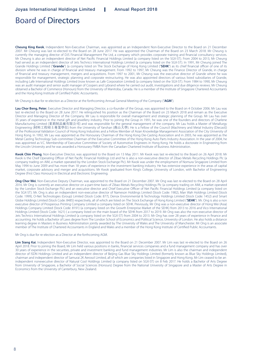# Board of Directors

**Cheung King Kwok**, Independent Non-Executive Chairman, was appointed as an Independent Non-Executive Director to the Board on 21 December 2007. Mr Cheung was last re-elected to the Board on 28 June 2017. He was appointed the Chairman of the Board on 23 March 2018. Mr Cheung is currently the managing director of DJS Financial Management Pte Ltd, a company which provides corporate training and financial consultancy services. Mr Cheung is also an independent director of Net Pacific Financial Holdings Limited (a company listed on the SGX-ST). From 2004 to 2013, Mr Cheung had served as an independent director of Jets Technics International Holdings Limited (a company listed on the SGX-ST). In 1991, Mr Cheung joined The Grande Holdings Limited ("**Grande**") (a company listed on The Stock Exchange of Hong Kong Limited ("**SEHK**") as its chief financial officer of one of its division where he was in charge of financial and treasury management. From 1992 to 1997, Mr Cheung was the Finance Director of Grande, in charge of financial and treasury management, mergers and acquisitions. From 1997 to 2001, Mr Cheung was the executive director of Grande where he was responsible for management, strategic planning and corporate restructuring. He was also appointed directors of various listed subsidiaries of Grande, including Lafe International Holdings Limited (now known as Lafe Corporation Limited) (a company listed on the SGX-ST). From 1984 to 1990, Mr Cheung was an audit manager and senior audit manager of Coopers and Lybrand where he carried out audit, investigations and due diligence reviews. Mr Cheung obtained a Bachelor of Commerce (Honours) from the University of Manitoba, Canada. He is a member of the Institute of Singapore Chartered Accountants and the Hong Kong Institute of Certified Public Accountants.

Mr Cheung is due for re-election as a Director at the forthcoming Annual General Meeting of the Company ("**AGM**").

**Lau Chor Beng, Peter**, Executive Director and Managing Director, a co-founder of the Group, was appointed to the Board on 4 October 2006. Mr Lau was last re-elected to the Board on 28 June 2017. He relinquished his position as the Chairman of the Board on 23 March 2018 and remain as the Executive Director and Managing Director of the Company. Mr Lau is responsible for overall management and strategic planning of the Group. Mr Lau has over 35 years of experience in the metal gift and jewellery industry. Prior to joining the Group in 1991, he was one of the founders and directors of Charlene Manufacturing Limited (萊莉制品廠有限公司) and was responsible for the general management of the company. Mr Lau holds a Master of Metallurgy Engineering (材料工程碩士專業學位) from the University of Yanshan (燕山大學). He is a Fellow of the Council (Machinery and Metal Industry (Diecast)) of the Professional Validation Council of Hong Kong Industries and a Fellow Member of Asian Knowledge Management Association of the City University of Hong Kong. In 1992, Mr Lau was appointed as the Honourary Chairman of the Hong Kong Die-Casting Association and in 2003, he was appointed as the Metal Casting Technology Sub-committee Chairman of the Executive Committee of the Hong Kong Auto Parts Industry Association. In the year of 2004, he was appointed as V.C. Membership of Executive Committee of Society of Automotive Engineers in Hong Kong. He holds a doctorate in Engineering from the Lincoln University and he was awarded a Honourary FMBA from the Canadian Chartered Institute of Business Administration.

**Kwok Chin Phang**, Non-Executive Director, was appointed to the Board on 13 May 2011. Mr Kwok was last re-elected to the Board on 26 April 2018. Mr Kwok is the Cheif Operating Officer of Net Pacific Financial Holdings Ltd and he is also a non-executive director of Zibao Metals Recycling Holdings Plc (a company trading on AIM, a market operated by the London Stock Exchange Plc). Mr Kwok was under the employment of Nomura Singapore Limited from May 1994 to June 2009 and has more than 18 years of experience in the investment banking industry. He has extensive experience in the areas of capital market, corporate advisory and merger and acquisitions. Mr Kwok graduated from King's College, University of London, with Bachelor of Engineering Degree (First Class Honours) in Electrical and Electronic Engineering.

**Ong Chor Wei**, Non-Executive Deputy Chairman, was appointed to the Board on 21 December 2007. Mr Ong was last re-elected to the Board on 28 April 2016. Mr Ong is currently an executive director on a part-time basis of Zibao Metals Recycling Holdings Plc (a company trading on AIM, a market operated by the London Stock Exchange Plc) and an executive director and Chief Executive Officer of Net Pacific Financial Holdings Limited (a company listed on the SGX-ST). Mr. Ong is also an independent non-executive director of Nameson Holdings Limited (Stock Code: 1982), Man Wah Holdings Limited (Stock Code: 1999), O-Net Technologies (Group) Limited (Stock Code: 877), Denox Environmental & Technology Holdings Limited (Stock Code: 1452) and Smart Globe Holdings Limited (Stock Code: 8485) respectively, all of which are listed on The Stock Exchange of Hong Kong Limited ("**SEHK**"). Mr. Ong is also a non executive director of Prosperous Printing Company Limited a company listed on SEHK. Previously, Mr Ong was a non-executive director of Hong Wei (Asia) Holdings Company Limited (Stock Code: 8191) (a company listed on the Growth Enterprise Market of the SEHK) from 2013 to 2016 and Vico International Holdings Limited (Stock Code: 1621) ( a company listed on the main board of the SEHK from 2017 to 2019. Mr Ong was also the non-executive director of Jets Technics International Holdings Limited (a company listed on the SGX-ST) from 2004 to 2013. Mr Ong has over 28 years of experience in finance and accounting. He holds a Bachelor of Laws degree from The London School of Economics and Political Science, University of London. He also holds a distance learning degree in Masters in Business Administration jointly awarded by The University of Wales and The University of Manchester. Mr Ong is an associate member of The Institute of Chartered Accountants in England and Wales and a member of the Hong Kong Institute of Certified Public Accountants.

#### Mr Ong is due for re-election as a Director at the forthcoming AGM.

**Lim Siang Kai**, Independent Non-Executive Director, was appointed to the Board on 21 December 2007. Mr Lim was last re-elected to the Board on 26 April 2018. Prior to joining the Board, Mr Lim held various positions in banks, financial services companies and a fund management company and has over 30 years of experience in the securities, private and investment banking and fund management industries. Mr Lim is also the chairman and independent director of ISDN Holdings Limited and an independent director of Beijing Gas Blue Sky Holdings Limited (formerly known as Blue Sky Holdings Limited), chairman and independent director of Samurai 2K Aerosol Limited, all of which are companies listed in Singapore and Hong Kong. Mr Lim ceased to be an independent nonexecutive director of Natural Cool Holdings Limited (a company listed on SGX-ST) on 8 Feb 2017. He holds a Bachelor of Arts Degree from University of Singapore, a Bachelor of Social Sciences (Honours) Degree from the National University of Singapore and a Master of Arts Degree in Economics from the University of Canterbury, New Zealand.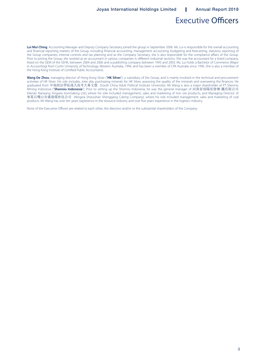### Executive Officers

**Lui Mui Ching**, Accounting Manager and Deputy Company Secretary joined the group in September 2006. Ms. Lui is responsible for the overall accounting and financial reporting matters of the Group, including financial accounting, management accounting, budgeting and forecasting, statutory reporting of the Group companies, internal controls and tax planning and as the Company Secretary, she is also responsible for the compliance affairs of the Group. Prior to joining the Group, she worked as an accountant in various companies in different industrial sections. She was the accountant for a listed company, listed on the GEM of the SEHK, between 2004 and 2006 and a publishing company between 1995 and 2003. Ms. Lui holds a Bachelor of Commerce (Major in Accounting) from Curtin University of Technology, Western Australia, 1994, and has been a member of CPA Australia since 1996. She is also a member of the Hong Kong Institute of Certified Public Accountants.

**Wang De Zhou**, managing director of Hong Kong Silver ("**HK Silver**"), a subsidiary of the Group, and is mainly involved in the technical and procurement activities of HK Silver. His role includes, inter alia, purchasing minerals for HK Silver, assessing the quality of the minerals and overseeing the finances. He graduated from 中南政法學院成人高考大專文憑 (South China Adult Political Institute University). Mr Wang is also a major shareholder of PT Shenniu Mining Indonesia ("**Shenniu Indonesia**"). Prior to setting up the Shenniu Indonesia, he was the general manager of 河南省南陽星偉煉 鐵有限公司 (Henan Nanyang Xingwei Ironmaking Ltd.) where his role included management, sales and marketing of iron ore products, and Managing Director of 寧夏石嘴山市盛港煤焦化公司 (Ningxia Shizuishan Shenggang Coking Company), where his role included management, sales and marketing of coal products. Mr Wang has over ten years' experience in the resource industry and over five years' experience in the logistics industry.

None of the Executive Officers are related to each other, the directors and/or or the substantial shareholders of the Company.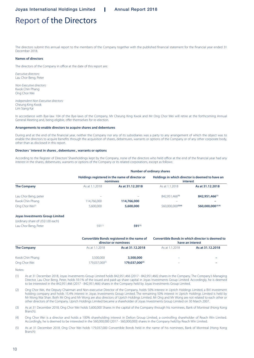The directors submit this annual report to the members of the Company together with the published financial statement for the financial year ended 31 December 2018.

#### **Names of directors**

The directors of the Company in office at the date of this report are:

*Executive directors:* Lau Chor Beng, Peter

*Non-Executive directors:* Kwok Chin Phang Ong Chor Wei

*Independent Non-Executive directors:* Cheung King Kwok Lim Siang Kai

In accordance with Bye-law 104 of the Bye-laws of the Company, Mr Cheung King Kwok and Mr Ong Chor Wei will retire at the forthcoming Annual General Meeting and, being eligible, offer themselves for re-election.

#### **Arrangements to enable directors to acquire shares and debentures**

During and at the end of the financial year, neither the Company nor any of its subsidiaries was a party to any arrangement of which the object was to enable the directors to acquire benefits through the acquisition of shares, debentures, warrants or options of the Company or of any other corporate body, other than as disclosed in this report.

#### **Directors ' interest in shares , debentures , warrants or options**

According to the Register of Directors' Shareholdings kept by the Company, none of the directors who held office at the end of the financial year had any interest in the shares, debentures, warrants or options of the Company or its related corporations, except as follows:

**Number of ordinary shares**

|                |                  | Holdings in which director is deemed to have an<br>interest |                   |
|----------------|------------------|-------------------------------------------------------------|-------------------|
| As at 1.1.2018 | As at 31.12.2018 | As at 1.1.2018                                              | As at 31.12.2018  |
|                |                  | 842,951,466 <sup>(1)</sup>                                  | 842,951,466(1)    |
| 114,766,000    | 114,766,000      |                                                             |                   |
| 5,600,000      | 5,600,000        | 560,000,000 <sup>(3)(4)</sup>                               | 560,000,000(3)(4) |
|                |                  |                                                             |                   |
|                |                  |                                                             |                   |
| $591^{(1)}$    | $591^{(1)}$      |                                                             |                   |
|                |                  | Holdings registered in the name of director or<br>nominees  |                   |

|                    |                            | Convertible Bonds registered in the name of<br>director or nominees |                | Convertible Bonds in which director is deemed to<br>have an interest |  |
|--------------------|----------------------------|---------------------------------------------------------------------|----------------|----------------------------------------------------------------------|--|
| <b>The Company</b> | As at 1.1.2018             | As at 31.12.2018                                                    | As at 1.1.2018 | As at 31.12.2018                                                     |  |
| Kwok Chin Phang    | 3.500.000                  | 3,500,000                                                           |                |                                                                      |  |
| Ong Chor Wei       | 179.037.000 <sup>(5)</sup> | 179,037,000(5)                                                      |                |                                                                      |  |

#### **Notes:**

(1) As at 31 December 2018, Joyas Investments Group Limited holds 842,951,466 (2017 - 842,951,466) shares in the Company. The Company's Managing Director, Lau Chor Beng, Peter, holds 59.1% of the issued and paid-up share capital in Joyas Investments Group Limited. Accordingly, he is deemed to be interested in the 842,951,466 (2017 - 842,951,466) shares in the Company held by Joyas Investments Group Limited.

(2) Ong Chor Wei, the Deputy Chairman and Non-executive Director of the Company, holds 50% interest in Uprich Holdings Limited, a BVI investment holding company and holds 15.4% interest in Joyas Investments Group Limited. The remaining 50% interest in Uprich Holdings Limited is held by Mr Wong Wai Shan. Both Mr Ong and Mr Wong are also directors of Uprich Holdings Limited. Mr Ong and Mr Wong are not related to each other or other directors of the Company. Uprich Holdings Limited became a shareholder of Joyas Investments Group Limited on 30 March 2007.

(3) As at 31 December 2018, Ong Chor Wei holds 5,600,000 Shares in the capital of the Company through his nominees, Bank of Montreal (Hong Kong Branch).

(4) Ong Chor Wei is a director and holds a 100% shareholding interest in Delton Group Limited, a controlling shareholder of Reach Win Limited. Accordingly, he is deemed to be interested in the 560,000,000 (2017 - 560,000,000) shares in the Company held by Reach Win Limited.

(5) As at 31 December 2018. Ong Chor Wei holds 179,037,000 Convertible Bonds held in the name of his nominees, Bank of Montreal (Hong Kong Branch)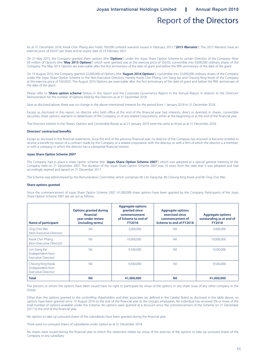As at 31 December 2018, Kwok Chin Phang also holds 769,000 unlisted warrants issued in February 2015 ("**2015 Warrants**"). The 2015 Warrants have an exercise price of S\$0.07 per share and an expiry date of 23 February 2021.

On 25 May 2015, the Company granted share options (the "**Options**") under the Joyas Share Option Scheme to certain Directors of the Company. Nine (9) million of Options (the "**May 2015 Options**") which were granted was at the exercise price of S\$0.03, convertible into 9,000,000 ordinary shares of the Company. The May 2015 Options are exercisable after the first anniversary of the date of grant and before the fifth anniversary of the date of the grant.

On 19 August 2016, the Company granted 32,000,000 of Options (the "**August 2016 Options**"), convertible into 32,000,000 ordinary shares of the Company under the Joyas Share Option Scheme to the Non-Executive Directors, namely Kwok Chin Phang, Lim Siang Kai and Cheung King Kwok of the Company at the exercise price of S\$0.0035. The August 2016 Options are exercisable after the first anniversary of the date of grant and before the fifth anniversary of the date of the grant.

Please refer to "**Share option scheme**" below in this report and the Corporate Governance Report in the Annual Report in relation to the Directors' Remuneration for the number of Options held by the Directors as at 31 December 2018.

Save as disclosed above, there was no change in the above-mentioned interests for the period from 1 January 2018 to 31 December 2018.

Except as disclosed in this report, no director who held office at the end of the financial year had interests, direct or deemed, in shares, convertible securities, share options, warrants or debentures of the Company, or of any related corporations, either at the beginning or at the end of the financial year.

The Directors' interest in the Shares, Options and Convertible Bonds as at 21 January 2019 were the same as those as at 31 December 2018.

#### **Directors' contractual benefits**

Except as disclosed in the financial statements, since the end of the previous financial year, no director of the Company has received or become entitled to receive a benefit by reason of a contract made by the Company or a related corporation with the director, or with a firm of which the director is a member, or with a company in which the director has a substantial financial interest.

#### **Joyas Share Option Scheme 2007**

The Company had in place a share option scheme (the "**Joyas Share Option Scheme 2007**") which was adopted at a special general meeting of the Company held on 21 December 2007. The duration of the Joyas Share Option Scheme 2007 was 10 years from the date that it was adopted and had accordingly expired and lapsed on 21 December 2017.

The Scheme was administered by the Remuneration Committee which comprises Mr Lim Siang Kai, Mr Cheung King Kowk and Mr Ong Chor Wei.

#### **Share options granted**

Since the commencement of Joyas Share Option Scheme 2007, 41,000,000 share options have been granted by the Company. Participants of the Joyas Share Option Scheme 2007 are set out as follows:

| Name of participant                                                 | <b>Options granted during</b><br>financial<br>year under review<br>(including terms) | <b>Aggregate options</b><br>granted since<br>commencement<br>of Scheme to end of<br><b>FY2018</b> | <b>Aggregate options</b><br>exercised since<br>commencement of<br>Scheme to end of FY2018 | <b>Aggregate options</b><br>outstanding as at end of<br><b>FY2018</b> |
|---------------------------------------------------------------------|--------------------------------------------------------------------------------------|---------------------------------------------------------------------------------------------------|-------------------------------------------------------------------------------------------|-----------------------------------------------------------------------|
| Ong Chor Wei<br>(Non-Executive Director)                            | Nil                                                                                  | 3,000,000                                                                                         | Nil                                                                                       | 3,000,000                                                             |
| Kwok Chin Phang<br>(Non-Executive Director)                         | Nil                                                                                  | 19,000,000                                                                                        | Nil                                                                                       | 19,000,000                                                            |
| Lim Siang Kai<br>(Independent Non-<br>Executive Director)           | Nil                                                                                  | 9,500,000                                                                                         | Nil                                                                                       | 9,500,000                                                             |
| Cheung King Kwok<br>(Independent Non-<br><b>Executive Director)</b> | Nil                                                                                  | 9,500,000                                                                                         | Nil                                                                                       | 9,500,000                                                             |
| <b>Total</b>                                                        | <b>Nil</b>                                                                           | 41,000,000                                                                                        | <b>Nil</b>                                                                                | 41,000,000                                                            |

The persons to whom the options have been issued have no right to participate by virtue of the options in any share issue of any other company in the Group.

Other than the options granted to the controlling shareholders and their associates (as defined in the Catalist Rules) as disclosed in the table above, no options have been granted since 19 August 2016 to the end of the financial year to the Group's employees. No individual has received 5% or more of the total number of options available under the Scheme. No options were granted at a discount since the commencement of the Scheme on 21 December 2017 to the end of the financial year.

No options to take up unissued shares of the subsidiaries have been granted during the financial year.

There were no unissued shares of subsidiaries under option as at 31 December 2018.

No shares were issued during the financial year to which this statement relates by virtue of the exercise of the options to take up unissued shares of the Company or any subsidiary.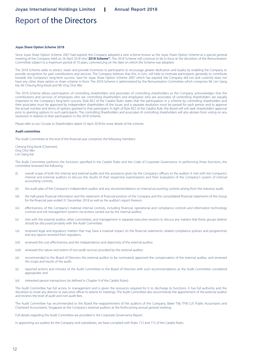#### **Joyas Share Option Scheme 2018**

Since Joyas Share Option Scheme 2007 had expired, the Company adopted a new scheme known as the Joyas Share Option Scheme at a special general meeting of the Company held on 26 April 2018 (the "**2018 Scheme"**). The 2018 Scheme will continue to be in force at the discretion of the Remuneration Committee subject to a maximum period of 10 years, commencing on the date on which the Scheme was adopted.

The 2018 Scheme seeks to attract, retain and provide incentives to participants to encourage greater dedication and loyalty by enabling the Company to provide recognition for past contributions and services. The Company believes that this, in turn, will help to motivate participants generally to contribute towards the Company's long-term success. Save for Joyas Share Option Scheme 2007 which has expired, the Company did not and currently does not have any other share option or share scheme in force. The 2018 Scheme is administered by the Remuneration Committee which comprises Mr Lim Siang Kai, Mr Cheung King Kwok and Mr Ong Chor Wei.

The 2018 Scheme allows participation of controlling shareholders and associates of controlling shareholders as the Company acknowledges that the contributions and services of employees who are controlling shareholders and employees who are associates of controlling shareholders are equally important to the Company's long-term success. Rule 852 of the Catalist Rules states that the participation in a scheme by controlling shareholders and their associates must be approved by independent shareholders of the issuer, and a separate resolution must be passed for each person and to approve the actual number and terms of options granted to that participant. In light of Rule 852 of the Catalist Rule, the Board will will seek shareholders' approval prior to granting options to such participants. The controlling Shareholders and associates of controlling shareholders will also abstain from voting on any resolution in relation to their participation in the 2018 Scheme.

Please refer to our Circular to Shareholders dated 10 April 2018 for more details of the scheme.

#### **Audit committee**

The Audit Committee at the end of the financial year comprises the following members:

Cheung King Kwok (Chairman) Ong Chor Wei Lim Siang Kai

The Audit Committee performs the functions specified in the Catalist Rules and the Code of Corporate Governance. In performing those functions, the committee reviewed the following:

- (i) overall scope of both the internal and external audits and the assistance given by the Company's officers to the auditor. It met with the Company's internal and external auditors to discuss the results of their respective examinations and their evaluation of the Company's system of internal accounting controls;
- (ii) the audit plan of the Company's independent auditor and any recommendations on internal accounting controls arising from the statutory audit;
- (iii) the half-yearly financial information and the statement of financial position of the Company and the consolidated financial statements of the Group for the financial year ended 31 December 2018 as well as the auditor's report thereon;
- (iv) effectiveness of the Company's material internal controls, including financial, operational and compliance controls and information technology controls and risk management systems via reviews carried out by the internal auditor;
- (v) met with the external auditor, other committees, and management in separate executive sessions to discuss any matters that these groups believe should be discussed privately with the Audit Committee;
- (vi) reviewed legal and regulatory matters that may have a material impact on the financial statements, related compliance policies and programmes and any reports received from regulators;
- (vii) reviewed the cost effectiveness and the independence and objectivity of the external auditor;
- (viii) reviewed the nature and extent of non-audit services provided by the external auditor;
- (ix) recommended to the Board of Directors the external auditor to be nominated, approved the compensation of the external auditor, and reviewed the scope and results of the audit;
- (x) reported actions and minutes of the Audit Committee to the Board of Directors with such recommendations as the Audit Committee considered appropriate; and
- (xi) interested person transactions (as defined in Chapter 9 of the Catalist Rules).

The Audit Committee has full access to management and is given the resources required for it to discharge its functions. It has full authority and the discretion to invite any director or executive officer to attend its meetings. The Audit Committee also recommends the appointment of the external auditor and reviews the level of audit and non-audit fees.

The Audit Committee has recommended to the Board the reappointment of the auditors of the Company, Baker Tilly TFW LLP, Public Acountants and Chartered Accountants, Singapore as the Company's external auditors at the forthcoming annual general meeting.

Full details regarding the Audit Committee are provided in the Corporate Governance Report.

In appointing our auditor for the Company and subsidiaries, we have complied with Rules 712 and 715 of the Catalist Rules.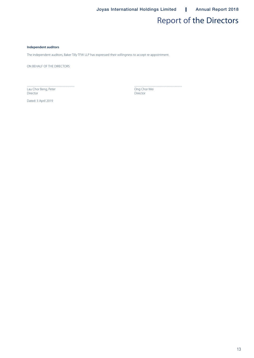#### **Independent auditors**

The independent auditors, Baker Tilly TFW LLP has expressed their willingness to accept re-appointment.

ON BEHALF OF THE DIRECTORS

................................................................................ ................................................................................ Lau Chor Beng, Peter and the control of the Chor Wei Director Chor Wei Director Chor Wei Director Director Director

Dated: 3 April 2019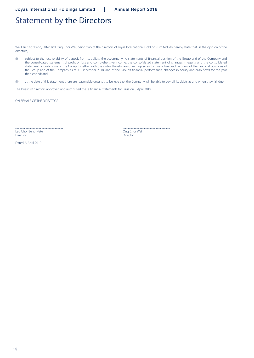# Statement by the Directors

We, Lau Chor Beng, Peter and Ong Chor Wei, being two of the directors of Joyas International Holdings Limited, do hereby state that, in the opinion of the directors,

(i) subject to the recoverability of deposit from suppliers, the accompanying statements of financial position of the Group and of the Company and the consolidated statement of profit or loss and comprehensive income, the consolidated statement of changes in equity and the consolidated statement of cash flows of the Group together with the notes thereto, are drawn up so as to give a true and fair view of the financial positions of the Group and of the Company as at 31 December 2018, and of the Group's financial performance, changes in equity and cash flows for the year then ended; and

(ii) at the date of this statement there are reasonable grounds to believe that the Company will be able to pay off its debts as and when they fall due.

The board of directors approved and authorised these financial statements for issue on 3 April 2019.

ON BEHALF OF THE DIRECTORS

................................................................................ ................................................................................ Lau Chor Beng, Peter **Changes** Character Changes Chor Wei Director Director

Dated: 3 April 2019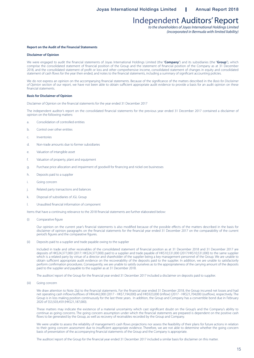# Independent Auditors' Report

*to the shareholders of Joyas International Holdings Limited (incorporated in Bermuda with limited liability)*

#### **Report on the Audit of the Financial Statements**

#### **Disclaimer of Opinion**

We were engaged to audit the financial statements of Joyas International Holdings Limited (the "**Company**") and its subsidiaries (the "**Group**"), which comprise the consolidated statement of financial position of the Group and the statement of financial position of the Company as at 31 December 2018, and the consolidated statement of profit or loss and other comprehensive income, consolidated statement of changes in equity and consolidated statement of cash flows for the year then ended, and notes to the financial statements, including a summary of significant accounting policies.

We do not express an opinion on the accompanying financial statements. Because of the significance of the matters described in the *Basis for Disclaimer of Opinion* section of our report, we have not been able to obtain sufficient appropriate audit evidence to provide a basis for an audit opinion on these financial statements.

#### **Basis for Disclaimer of Opinion**

Disclaimer of Opinion on the financial statements for the year ended 31 December 2017

The independent auditor's report on the consolidated financial statements for the previous year ended 31 December 2017 contained a disclaimer of opinion on the following matters:

- a. Consolidation of controlled entities
- b. Control over other entities
- c. Inventories
- d. Non-trade amounts due to former subsidiaries
- e. Valuation of intangible asset
- f. Valuation of property, plant and equipment
- g. Purchase price allocation and impairment of goodwill for financing and nickel ore businesses
- h. Deposits paid to a supplier
- i. Going concern
- Related party transactions and balances
- k. Disposal of subsidiaries of JGL Group
- l. Unaudited financial information of component

Items that have a continuing relevance to the 2018 financial statements are further elaborated below:

(i) Comparative figure

Our opinion on the current year's financial statements is also modified because of the possible effects of the matters described in the basis for disclaimer of opinion paragraphs on the financial statements for the financial year ended 31 December 2017 on the comparability of the current period's figures and the comparative figures.

(ii) Deposits paid to a supplier and trade payable owing to the supplier

Included in trade and other receivables of the consolidated statement of financial position as at 31 December 2018 and 31 December 2017 are deposits of HK\$24,377,000 (2017: HK\$24,377,000) paid to a supplier and trade payable of HK\$10,531,000 (2017:HK\$10,531,000) to the same supplier which is a related party by virtue of a director and shareholder of the supplier being a key management personnel of the Group. We are unable to obtain sufficient appropriate audit evidence on the recoverability of the deposits paid to the supplier. In addition, we are unable to satisfactorily perform confirmation procedures. Consequently, we are unable to satisfy ourselves as to the appropriateness of the carrying amount of the deposits paid to the supplier and payable to the supplier as at 31 December 2018.

The auditors' report of the Group for the financial year ended 31 December 2017 included a disclaimer on deposits paid to supplier.

(iii) Going concern

We draw attention to Note 2(a) to the financial statements. For the financial year ended 31 December 2018, the Group incurred net losses and had net operating cash inflow/outflows of HK4,442,000 (2017 - HK\$7,194,000) and HK\$923,000 (inflow) (2017 - HK\$21,704,000 (outflow), respectively. The Group is in loss making position continuously for the last three years. In addition, the Group and Company has a convertible bond due in February 2020 of S\$3,503,459 (HK\$21,187,000).

These matters may indicate the existence of a material uncertainty which cast significant doubt on the Group's and the Company's ability to continue as going concerns. The going concern assumption under which the financial statements are prepared is dependent on the positive cash flows to be generated by the Group, as well as recovery of receivables recorded by the Group and Company.

We were unable to assess the reliability of management's cash flows projections nor assess the feasibility of their plans for future actions in relation to their going concern assessment due to insufficient appropriate evidence. Therefore, we are not able to determine whether the going concern basis of presentation of the accompanying financial statements of the Group and the Company is appropriate.

The auditors' report of the Group for the financial year ended 31 December 2017 included a similar basis for disclaimer on this matter.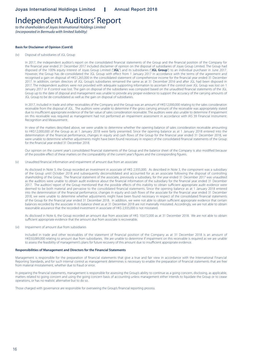# Independent Auditors' Report

*to the shareholders of Joyas International Holdings Limited (incorporated in Bermuda with limited liability)*

#### **Basis for Disclaimer of Opinion (Cont'd)**

#### (iv) Disposal of subsidiaries of JGL Group

In 2017, the independent auditor's report on the consolidated financial statements of the Group and the financial position of the Company for the financial year ended 31 December 2017 included disclaimer of opinion on the disposal of subsidiaries of Joyas Group Limited. The Group had disposed of the 100% equity interest of Joyas Group Limited ("**JGL**") and its subsidiaries ("**JGL Group**") to an individual purchaser in June 2017. However, the Group has de-consolidated the JGL Group with effect from 1 January 2017 in accordance with the terms of the agreement and recognised a gain on disposal of HK\$1,265,000 in the consolidated statement of comprehensive income for the financial year ended 31 December 2017. In addition, certain directors of JGL Group's subsidiaries remained the same as at 31 December 2016 and after JGL had been disposed in 2017. The independent auditors were not provided with adequate supporting information to ascertain if the control over JGL Group was lost on 1 January 2017 or if control was lost. The gain on disposal of the subsidiaries was computed based on the unaudited financial statements of the JGL Group up to the date of disposal and management was unable to provide any proper evidence to support the accuracy of the carrying amounts of JGL Group to be de-consolidated as well as the gain on disposal of subsidiaries.

In 2017, included in trade and other receivables of the Company and the Group was an amount of HK\$12,000,000 relating to the sales consideration receivable from the disposal of JGL. The auditors were unable to determine if the gross carrying amount of the receivable was appropriately stated due to insufficient appropriate evidence of the fair value of sales consideration receivable. The auditors were also unable to determine if impairment on this receivable was required as management had not performed an impairment assessment in accordance with IAS 39 Financial Instrument: Recognition and Measurement.

In view of the matters described above, we were unable to determine whether the opening balance of sales consideration receivable amounting to HK\$12,000,000 of the Group as at 1 January 2018 were fairly presented. Since the opening balance as at 1 January 2018 entered into the determination of the financial performance, changes in equity and cash flows of the Group for the financial year ended 31 December 2018, we were unable to determine whether adjustments might have been found necessary in respect of the consolidated financial statements of the Group for the financial year ended 31 December 2018.

Our opinion on the current year's consolidated financial statements of the Group and the balance sheet of the Company is also modified because of the possible effect of these matters on the comparability of the current year's figures and the corresponding figures.

#### (v) Unaudited financial information and impairment of amount due from an associate

As disclosed in Note 3, the Group recorded an investment in associate of HK\$ 2,935,000. As described in Note 3, the component was a subsidiary of the Group until October 2018 and subsequently deconsolidated and accounted for as an associate following the disposal of controlling shareholding of the Group. The financial statement of the associate, previously a subsidiary, for the year ended 31 December 2017 was unaudited as the auditors were unable to obtain audit evidence about the financial information of the subsidiary for the financial year ended 31 December 2017. The auditors' report of the Group mentioned that the possible effects of this inability to obtain sufficient appropriate audit evidence were deemed to be both material and pervasive to the consolidated financial statements. Since the opening balance as at 1 January 2018 entered into the determination of the financial performance, changes in equity and cash flows of the associate for the financial year ended 31 December 2018, we were unable to determine whether adjustments might have been found necessary in respect of the consolidated financial statements of the Group for the financial year ended 31 December 2018. In addition, we were not able to obtain sufficient appropriate evidence that certain balances recorded by the associate in its balance sheet as at 31 December 2018 are not materially misstated. Accordingly, we are not able to obtain reasonable assurance that the recorded investment in associate of HK\$ 2,935,000 is not misstated.

As disclosed in Note 6, the Group recorded an amount due from associate of HK\$ 10,672,000 as at 31 December 2018. We are not able to obtain sufficient appropriate evidence that the amount due from associate is recoverable.

#### (vi) Impairment of amount due from subsidiaries

Included in trade and other receivables of the statement of financial position of the Company as at 31 December 2018 is an amount of HK\$50,089,000 relating to amount due from subsidiaries. We are unable to determine if impairment on this receivable is required as we are unable to assess the feasibility of management's plans for future recovery of this amount due to insufficient appropriate evidence.

#### **Responsibilities of Management and Directors for the Financial Statements**

Management is responsible for the preparation of financial statements that give a true and fair view in accordance with the International Financial Reporting Standards, and for such internal control as management determines is necessary to enable the preparation of financial statements that are free from material misstatement, whether due to fraud or error.

In preparing the financial statements, management is responsible for assessing the Group's ability to continue as a going concern, disclosing, as applicable, matters related to going concern and using the going concern basis of accounting unless management either intends to liquidate the Group or to cease operations, or has no realistic alternative but to do so.

Those charged with governance are responsible for overseeing the Group's financial reporting process.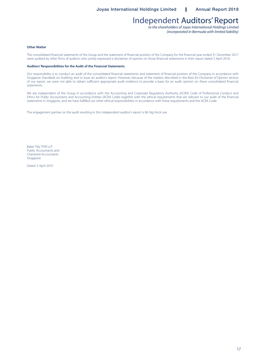# Independent Auditors' Report

*to the shareholders of Joyas International Holdings Limited (incorporated in Bermuda with limited liability)*

#### **Other Matter**

The consolidated financial statements of the Group and the statement of financial position of the Company for the financial year ended 31 December 2017 were audited by other firms of auditors who jointly expressed a disclaimer of opinion on those financial statements in their report dated 3 April 2018.

#### **Auditors' Responsibilities for the Audit of the Financial Statements**

Our responsibility is to conduct an audit of the consolidated financial statements and statement of financial position of the Company in accordance with Singapore Standards on Auditing and to issue an auditor's report. However, because of the matters described in the *Basis for Disclaimer of Opinion* section of our report, we were not able to obtain sufficient appropriate audit evidence to provide a basis for an audit opinion on these consolidated financial statements.

We are independent of the Group in accordance with the Accounting and Corporate Regulatory Authority (ACRA) Code of Professional Conduct and Ethics for Public Accountants and Accounting Entities (ACRA Code) together with the ethical requirements that are relevant to our audit of the financial statements in Singapore, and we have fulfilled our other ethical responsibilities in accordance with these requirements and the ACRA Code.

The engagement partner on the audit resulting in this independent auditor's report is Mr Ng Hock Lee.

Baker Tilly TFW LLP Public Accountants and Chartered Accountants Singapore

Dated: 3 April 2019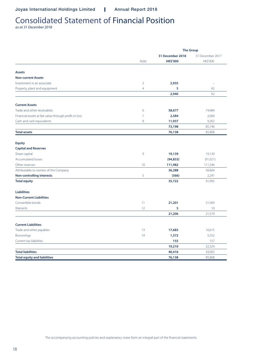### Consolidated Statement of Financial Position *as at 31 December 2018*

|                                                       |                | <b>The Group</b> |                  |  |
|-------------------------------------------------------|----------------|------------------|------------------|--|
|                                                       |                | 31 December 2018 | 31 December 2017 |  |
|                                                       | <b>Note</b>    | <b>HK\$'000</b>  | HK\$'000         |  |
| <b>Assets</b>                                         |                |                  |                  |  |
| <b>Non-current Assets</b>                             |                |                  |                  |  |
| Investment in an associate                            | 3              | 2,935            |                  |  |
|                                                       | $\overline{4}$ | 5                | 62               |  |
| Property, plant and equipment                         |                | 2,940            | 62               |  |
|                                                       |                |                  |                  |  |
| <b>Current Assets</b>                                 |                |                  |                  |  |
| Trade and other receivables                           | 6              | 58,677           | 74,484           |  |
| Financial assets at fair value through profit or loss | $\overline{7}$ | 2,584            | 2,000            |  |
| Cash and cash equivalents                             | 8              | 11,937           | 9,262            |  |
|                                                       |                | 73,198           | 85,746           |  |
| <b>Total assets</b>                                   |                | 76,138           | 85,808           |  |
| <b>Equity</b>                                         |                |                  |                  |  |
| <b>Capital and Reserves</b>                           |                |                  |                  |  |
| Share capital                                         | 9              | 19,139           | 19,139           |  |
| <b>Accumulated losses</b>                             |                | (94, 833)        | (91,021)         |  |
| Other reserves                                        | 10             | 111,982          | 111,546          |  |
| Attributable to owners of the Company                 |                | 36,288           | 39,664           |  |
| <b>Non-controlling interests</b>                      | 5              | (566)            | 2,241            |  |
| <b>Total equity</b>                                   |                | 35,722           | 41,905           |  |
|                                                       |                |                  |                  |  |
| <b>Liabilities</b><br><b>Non-Current Liabilities</b>  |                |                  |                  |  |
| Convertible bonds                                     |                |                  |                  |  |
|                                                       | 11<br>12       | 21,201           | 21,569           |  |
| Warrants                                              |                | 5<br>21,206      | 10<br>21,579     |  |
|                                                       |                |                  |                  |  |
| <b>Current Liabilities</b>                            |                |                  |                  |  |
| Trade and other payables                              | 13             | 17,683           | 16,615           |  |
| <b>Borrowings</b>                                     | 14             | 1,372            | 5,552            |  |
| Current tax liabilities                               |                | 155              | 157              |  |
|                                                       |                | 19,210           | 22,324           |  |
| <b>Total liabilities</b>                              |                | 40,416           | 43,903           |  |
| <b>Total equity and liabilities</b>                   |                | 76,138           | 85,808           |  |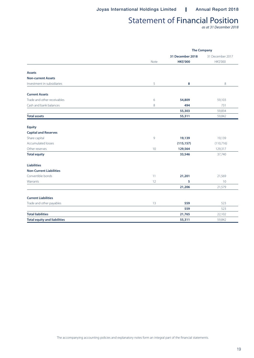# Statement of Financial Position

*as at 31 December 2018*

|                                     |      | <b>The Company</b> |                  |  |
|-------------------------------------|------|--------------------|------------------|--|
|                                     |      | 31 December 2018   | 31 December 2017 |  |
|                                     | Note | <b>HK\$'000</b>    | HK\$'000         |  |
| <b>Assets</b>                       |      |                    |                  |  |
| <b>Non-current Assets</b>           |      |                    |                  |  |
| Investment in subsidiaries          | 5    | 8                  | 8                |  |
| <b>Current Assets</b>               |      |                    |                  |  |
| Trade and other receivables         | 6    | 54,809             | 59,103           |  |
| Cash and bank balances              | 8    | 494                | 731              |  |
|                                     |      | 55,303             | 59,834           |  |
| <b>Total assets</b>                 |      | 55,311             | 59,842           |  |
| <b>Equity</b>                       |      |                    |                  |  |
| <b>Capital and Reserves</b>         |      |                    |                  |  |
| Share capital                       | 9    | 19,139             | 19,139           |  |
| <b>Accumulated losses</b>           |      | (115, 157)         | (110,716)        |  |
| Other reserves                      | 10   | 129,564            | 129,317          |  |
| <b>Total equity</b>                 |      | 33,546             | 37,740           |  |
| <b>Liabilities</b>                  |      |                    |                  |  |
| <b>Non-Current Liabilities</b>      |      |                    |                  |  |
| Convertible bonds                   | 11   | 21,201             | 21,569           |  |
| Warrants                            | 12   | 5                  | 10               |  |
|                                     |      | 21,206             | 21,579           |  |
| <b>Current Liabilities</b>          |      |                    |                  |  |
| Trade and other payables            | 13   | 559                | 523              |  |
|                                     |      | 559                | 523              |  |
| <b>Total liabilities</b>            |      | 21,765             | 22,102           |  |
| <b>Total equity and liabilities</b> |      | 55,311             | 59,842           |  |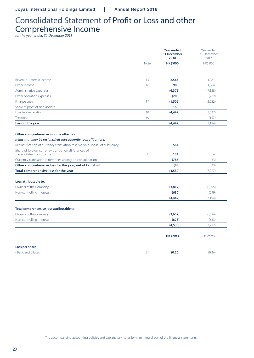# Consolidated Statement of Profit or Loss and other Comprehensive Income

*for the year ended 31 December 2018*

|                                                                              |             | <b>Year ended</b><br>31 December<br>2018 | Year ended<br>31 December<br>2017 |
|------------------------------------------------------------------------------|-------------|------------------------------------------|-----------------------------------|
|                                                                              | <b>Note</b> | <b>HK\$'000</b>                          | <b>HK\$'000</b>                   |
|                                                                              |             |                                          |                                   |
| Revenue - interest income                                                    | 15          | 2,565                                    | 1,981                             |
| Other income                                                                 | 16          | 905                                      | 1,384                             |
| Administrative expenses                                                      |             | (6, 375)                                 | (7, 128)                          |
| Other operating expenses                                                     |             | (200)                                    | (222)                             |
| Finance costs                                                                | 17          | (1,506)                                  | (3,052)                           |
| Share of profit of an associate                                              | 3           | 169                                      |                                   |
| Loss before taxation                                                         | 18          | (4, 442)                                 | (7,037)                           |
| <b>Taxation</b>                                                              | 19          |                                          | (157)                             |
| Loss for the year                                                            |             | (4, 442)                                 | (7, 194)                          |
|                                                                              |             |                                          |                                   |
| Other comprehensive income after tax:                                        |             |                                          |                                   |
| Items that may be reclassified subsequently to profit or loss:               |             |                                          |                                   |
| Reclassification of currency translation reserve on disposal of subsidiary   |             | 564                                      |                                   |
| Share of foreign currency translation differences of<br>associated companies | 3           | 134                                      |                                   |
| Currency translation differences arising on consolidation                    |             | (786)                                    | (33)                              |
| Other comprehensive loss for the year, net of tax of nil                     |             | (88)                                     | (33)                              |
| Total comprehensive loss for the year                                        |             | (4,530)                                  | (7,227)                           |
|                                                                              |             |                                          |                                   |
| Loss attributable to:                                                        |             |                                          |                                   |
| Owners of the Company                                                        |             | (3,812)                                  | (6, 595)                          |
| Non-controlling interests                                                    |             | (630)                                    | (599)                             |
|                                                                              |             | (4, 442)                                 | (7, 194)                          |
| Total comprehensive loss attributable to:                                    |             |                                          |                                   |
| Owners of the Company                                                        |             | (3,657)                                  | (6, 594)                          |
| Non-controlling interests                                                    |             | (873)                                    | (633)                             |
|                                                                              |             | (4, 530)                                 | (7,227)                           |
|                                                                              |             |                                          |                                   |
|                                                                              |             | <b>HK</b> cents                          | <b>HK</b> cents                   |
| Loss per share                                                               |             |                                          |                                   |
| - Basic and diluted                                                          | 21          | (0.20)                                   | (0.34)                            |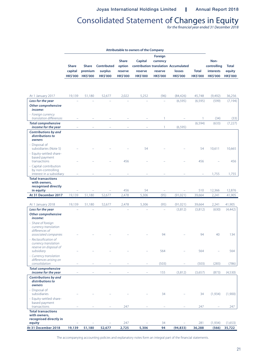# Consolidated Statement of Changes in Equity

*for the financial year ended 31 December 2018*

|                                                                     | Attributable to owners of the Company |                 |                    |                 |                 |                 |                                      |                 |                 |                 |
|---------------------------------------------------------------------|---------------------------------------|-----------------|--------------------|-----------------|-----------------|-----------------|--------------------------------------|-----------------|-----------------|-----------------|
|                                                                     |                                       |                 |                    |                 |                 | Foreign         |                                      |                 |                 |                 |
|                                                                     |                                       |                 |                    | <b>Share</b>    | Capital         | currency        |                                      |                 | Non-            |                 |
|                                                                     | <b>Share</b>                          | <b>Share</b>    | <b>Contributed</b> | option          |                 |                 | contribution translation Accumulated |                 | controlling     | <b>Total</b>    |
|                                                                     | capital                               | premium         | surplus            | reserve         | reserve         | reserve         | losses                               | <b>Total</b>    | interests       | equity          |
|                                                                     | <b>HK\$'000</b>                       | <b>HK\$'000</b> | <b>HK\$'000</b>    | <b>HK\$'000</b> | <b>HK\$'000</b> | <b>HK\$'000</b> | <b>HK\$'000</b>                      | <b>HK\$'000</b> | <b>HK\$'000</b> | <b>HK\$'000</b> |
|                                                                     |                                       |                 |                    |                 |                 |                 |                                      |                 |                 |                 |
|                                                                     |                                       |                 |                    |                 |                 |                 |                                      |                 |                 |                 |
|                                                                     |                                       |                 |                    |                 |                 |                 |                                      |                 |                 |                 |
| At 1 January 2017                                                   | 19,139                                | 51,180          | 52,677             | 2,022           | 5,252           | (96)            | (84, 426)                            | 45,748          | (9,492)         | 36,256          |
| Loss for the year                                                   |                                       |                 |                    |                 |                 |                 | (6, 595)                             | (6, 595)        | (599)           | (7, 194)        |
| <b>Other comprehensive</b><br>income:                               |                                       |                 |                    |                 |                 |                 |                                      |                 |                 |                 |
| - Foreign currency<br>translation differences                       |                                       |                 |                    |                 |                 | $\mathbf{1}$    |                                      | $\mathbf{1}$    | (34)            | (33)            |
| <b>Total comprehensive</b><br>income for the year                   |                                       |                 |                    |                 |                 | $\mathbf{1}$    | (6, 595)                             | (6, 594)        | (633)           | (7, 227)        |
| <b>Contributions by and</b>                                         |                                       |                 |                    |                 |                 |                 |                                      |                 |                 |                 |
| distributions to<br>owners                                          |                                       |                 |                    |                 |                 |                 |                                      |                 |                 |                 |
| Disposal of<br>subsidiaries (Note 5)                                |                                       |                 |                    |                 | 54              |                 |                                      | 54              | 10,611          | 10,665          |
| - Equity-settled share-<br>based payment<br>transactions            |                                       |                 |                    | 456             |                 |                 |                                      | 456             |                 | 456             |
| - Capital contribution                                              |                                       |                 |                    |                 |                 |                 |                                      |                 |                 |                 |
| by non-controlling<br>interest in a subsidiary                      |                                       |                 |                    |                 |                 |                 |                                      |                 | 1,755           | 1,755           |
| <b>Total transactions</b><br>with owners,                           |                                       |                 |                    |                 |                 |                 |                                      |                 |                 |                 |
| recognised directly                                                 |                                       |                 |                    |                 |                 |                 |                                      |                 |                 |                 |
| in equity                                                           |                                       |                 |                    | 456             | 54              |                 |                                      | 510             | 12,366          | 12,876          |
| At 31 December 2017                                                 | 19,139                                | 51,180          | 52,677             | 2,478           | 5,306           | (95)            | (91, 021)                            | 39,664          | 2,241           | 41,905          |
| At 1 January 2018                                                   | 19,139                                | 51,180          | 52,677             | 2,478           | 5,306           | (95)            | (91, 021)                            | 39,664          | 2,241           | 41,905          |
| Loss for the year                                                   |                                       |                 |                    |                 |                 | $\equiv$        | (3,812)                              | (3,812)         | (630)           | (4, 442)        |
| <b>Other comprehensive</b><br>income:                               |                                       |                 |                    |                 |                 |                 |                                      |                 |                 |                 |
| - Share of foreign<br>currency translation<br>differences of        |                                       |                 |                    |                 |                 |                 |                                      |                 |                 |                 |
| associated companies<br>Reclassification of<br>currency translation |                                       |                 |                    |                 |                 | 94              |                                      | 94              | 40              | 134             |
| reserve on disposal of<br>subsidiary                                |                                       |                 |                    |                 |                 | 564             |                                      | 564             |                 | 564             |
| - Currency translation<br>differences arising on<br>consolidation   |                                       |                 |                    |                 |                 | (503)           |                                      | (503)           | (283)           | (786)           |
| <b>Total comprehensive</b>                                          |                                       |                 |                    |                 |                 |                 |                                      |                 |                 |                 |
| income for the year                                                 |                                       |                 |                    |                 |                 | 155             | (3,812)                              | (3,657)         | (873)           | (4, 530)        |
| <b>Contributions by and</b><br>distributions to<br>owners           |                                       |                 |                    |                 |                 |                 |                                      |                 |                 |                 |
| Disposal of<br>subsidiaries                                         |                                       |                 |                    |                 |                 | 34              |                                      | 34              | (1,934)         | (1,900)         |
| - Equity-settled share-<br>based payment<br>transactions            |                                       |                 |                    | 247             |                 |                 |                                      | 247             |                 | 247             |
| <b>Total transactions</b>                                           |                                       |                 |                    |                 |                 |                 |                                      |                 |                 |                 |
| with owners,<br>recognised directly in                              |                                       |                 |                    |                 |                 |                 |                                      |                 |                 |                 |
| equity                                                              |                                       |                 |                    | 247             |                 | 34              |                                      | 281             | (1, 934)        | (1,653)         |
| At 31 December 2018                                                 | 19,139                                | 51,180          | 52,677             | 2,725           | 5,306           | 94              | (94, 833)                            | 36,288          | (566)           | 35,722          |

The accompanying accounting policies and explanatory notes form an integral part of the financial statements.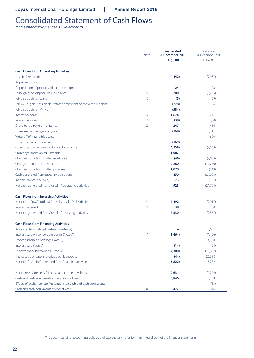# Consolidated Statement of Cash Flows

*for the financial year ended 31 December 2018*

|                                                                     | <b>Note</b> | <b>Year ended</b><br>31 December 2018 | Year ended<br>31 December 2017 |  |
|---------------------------------------------------------------------|-------------|---------------------------------------|--------------------------------|--|
|                                                                     |             | <b>HK\$'000</b>                       | HK\$'000                       |  |
| <b>Cash Flows from Operating Activities</b>                         |             |                                       |                                |  |
| Loss before taxation                                                |             | (4, 442)                              | (7,037)                        |  |
| Adjustments for:                                                    |             |                                       |                                |  |
| Depreciation of property, plant and equipment                       | 4           | 24                                    | 28                             |  |
| Loss/(gain) on disposal of subsidiaries                             | 5           | 200                                   | (1,265)                        |  |
| Fair value gain on warrants                                         | 12          | (5)                                   | (59)                           |  |
| Fair value (gain)/loss on derivative component of convertible bonds | 11          | (278)                                 | 96                             |  |
| Fair value gain on FVTPL                                            |             | (584)                                 |                                |  |
| Interest expense                                                    | 17          | 1,674                                 | 1,741                          |  |
| Interest income                                                     | 16          | (38)                                  | (60)                           |  |
| Share-based payment expense                                         | 20          | 247                                   | 456                            |  |
| Unrealised exchange (gain)/loss                                     |             | (168)                                 | 1,311                          |  |
| Write-off of intangible assets                                      |             |                                       | 600                            |  |
| Share of results of associate                                       |             | (169)                                 |                                |  |
| Operating loss before working capital changes                       |             | (3,539)                               | (4,189)                        |  |
| Currency translation adjustments                                    |             | 1,087                                 |                                |  |
| Changes in trade and other receivables                              |             | (48)                                  | (4,085)                        |  |
| Changes in loan and advances                                        |             | 2,280                                 | (12,780)                       |  |
| Changes in trade and other payables                                 |             | 1,070                                 | (549)                          |  |
| Cash generated from/(used in) operations                            |             | 850                                   | (21, 603)                      |  |
| Income tax refund/(paid)                                            |             | 73                                    | (101)                          |  |
| Net cash generated from/(used in) operating activities              |             | 923                                   | (21,704)                       |  |
| <b>Cash Flows from Investing Activities</b>                         |             |                                       |                                |  |
| Net cash inflow/(outflow) from disposal of subsidiaries             | 5           | 7,492                                 | (2, 917)                       |  |
| Interest received                                                   | 16          | 38                                    | 60                             |  |
| Net cash generated from/(used in) investing activities              |             | 7,530                                 | (2,857)                        |  |
| <b>Cash Flows from Financing Activities</b>                         |             |                                       |                                |  |
| Advances from related parties (non-trade)                           |             |                                       | 2,651                          |  |
| Interest paid on convertible bonds (Note A)                         | 11          | (1,464)                               | (1,426)                        |  |
| Proceeds from borrowings (Note A)                                   |             |                                       | 4,300                          |  |
| Interest paid (Note A)                                              |             | (14)                                  | (94)                           |  |
| Repayment of borrowings (Note A)                                    |             | (4,300)                               | (10, 837)                      |  |
| (Increase)/decrease in pledged bank deposits                        |             | (44)                                  | 20,688                         |  |
| Net cash (used in)/generated from financing activities              |             | (5,822)                               | 15,282                         |  |
| Net increase/(decrease) in cash and cash equivalents                |             | 2,631                                 | (9,279)                        |  |
| Cash and cash equivalents at beginning of year                      |             | 3,846                                 | 13,158                         |  |
| Effects of exchange rate fluctuations on cash and cash equivalents  |             |                                       | (33)                           |  |
| Cash and cash equivalents at end of year                            | $8\,$       | 6,477                                 | 3,846                          |  |

The accompanying accounting policies and explanatory notes form an integral part of the financial statements.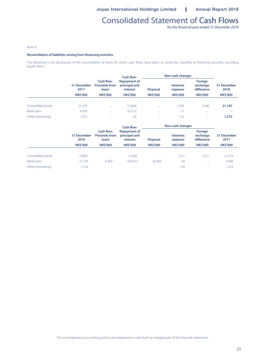# Consolidated Statement of Cash Flows

*for the financial year ended 31 December 2018*

#### Note A:

#### **Reconciliation of liabilities arising from financing activities**

The following is the disclosures of the reconciliation of items for which cash flows have been, or would be, classified as financing activities, excluding equity items:

|                   |                     |                                             | Non-cash changes<br>Cash flow-                   |                          |                             |                                   |                     |  |  |
|-------------------|---------------------|---------------------------------------------|--------------------------------------------------|--------------------------|-----------------------------|-----------------------------------|---------------------|--|--|
|                   | 31 December<br>2017 | Cash flow-<br><b>Proceeds from</b><br>loans | <b>Repayment of</b><br>principal and<br>interest | <b>Disposal</b>          | <b>Interests</b><br>expense | Foreign<br>exchange<br>difference | 31 December<br>2018 |  |  |
|                   | <b>HKS'000</b>      | <b>HKS'000</b>                              | <b>HK\$'000</b>                                  | <b>HK\$'000</b>          | <b>HKS'000</b>              | <b>HKS'000</b>                    | <b>HK\$'000</b>     |  |  |
| Convertible bonds | 21,279              | -                                           | (1,464)                                          | -                        | 1.540                       | (168)                             | 21,187              |  |  |
| Bank loans        | 4,300               | $\overline{\phantom{0}}$                    | (4, 312)                                         | $\overline{\phantom{0}}$ | $\overline{2}$              | $\overline{\phantom{0}}$          |                     |  |  |
| Other borrowings  | 1,252               |                                             | (2)                                              | -                        | 122                         | $\overline{\phantom{0}}$          | 1,372               |  |  |

|                   |                     |                                             | Cash flow-                                       | Non-cash changes         |                                                |                                   |                                        |
|-------------------|---------------------|---------------------------------------------|--------------------------------------------------|--------------------------|------------------------------------------------|-----------------------------------|----------------------------------------|
|                   | 31 December<br>2016 | Cash flow-<br><b>Proceeds from</b><br>loans | <b>Repayment of</b><br>principal and<br>interest | <b>Disposal</b>          | <b>Interests</b><br>expense<br><b>HK\$'000</b> | Foreign<br>exchange<br>difference | 31 December<br>2017<br><b>HK\$'000</b> |
|                   | <b>HK\$'000</b>     | <b>HK\$'000</b>                             | <b>HK\$'000</b>                                  | <b>HK\$'000</b>          |                                                | <b>HK\$'000</b>                   |                                        |
| Convertible bonds | 19.867              | -                                           | (1,426)                                          | $\overline{\phantom{a}}$ | 1,527                                          | 1,311                             | 21,279                                 |
| Bank loans        | 15.139              | 4.300                                       | (10,931)                                         | (4,302)                  | 94                                             | $\equiv$                          | 4,300                                  |
| Other borrowings  | 1,132               |                                             |                                                  |                          | 120                                            | $\overline{\phantom{0}}$          | ,252                                   |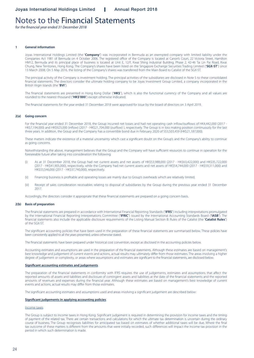*for the financial year ended 31 December 2018*

#### **1 General information**

Joyas International Holdings Limited (the "**Company**") was incorporated in Bermuda as an exempted company with limited liability under the Companies Act 1981 of Bermuda on 4 October 2006. The registered office of the Company is located at Canon's Court, 22 Victoria Street, Hamilton HM12, Bermuda and its principal place of business is located at Unit E, 12/F, Kwai Shing Industrial Building, Phase 2, 42-46 Tai Lin Pai Road, Kwai Chung, New Territories, Hong Kong. The Company's shares have been listed on the Singapore Exchange Securities Trading Limited ("**SGX-ST**") since 13 March 2008. On 5 May 2016, the listing of the Company's shares was transferred from the Main Board to Catalist of the SGX-ST.

The principal activity of the Company is investment holding. The principal activities of the subsidiaries are disclosed in Note 5 to these consolidated financial statements. The directors consider the ultimate holding company to be Joyas Investment Group Limited, a company incorporated in the British Virgin Islands (the "**BVI**").

The financial statements are presented in Hong Kong Dollar ("**HK\$**"), which is also the functional currency of the Company and all values are rounded to the nearest thousand ("**HK\$'000**") except otherwise indicated.

The financial statements for the year ended 31 December 2018 were approved for issue by the board of directors on 3 April 2019.

#### **2(a) Going concern**

For the financial year ended 31 December 2018, the Group incurred net losses and had net operating cash inflow/outflows of HK4,442,000 (2017 - HK\$7,194,000) and HK\$923,000 (inflow) (2017 - HK\$21,704,000 (outflow) ), respectively. The Group is in loss making position continuously for the last three years. In addition, the Group and the Company has a convertible bond due in February 2020 of S\$3,503,459 (HK\$21,187,000).

These matters indicate the existence of a material uncertainty which cast a significant doubt on the Group's and the Company's ability to continue as going concerns.

Notwithstanding the above, management believes that the Group and the Company will have sufficient resources to continue in operation for the foreseeable future after taking into consideration the following:

- (i) As at 31 December 2018, the Group had net current assets and net assets of HK\$53,988,000 (2017 HK\$63,422,000) and HK\$35,722,000 (2017 - HK\$41,905,000), respectively, while the Company had net current assets and net assets of HK\$54,744,000 (2017 - HK\$59,311,000) and HK\$33,546,000 (2017 - HK\$37,740,000), respectively.
- (ii) Financing business is profitable and operating losses are mainly due to Group's overheads which are relatively limited.
- (iii) Receipt of sales consideration receivables relating to disposal of subsidiaries by the Group during the previous year ended 31 December 2017.

Accordingly, the directors consider it appropriate that these financial statements are prepared on a going concern basis.

#### **2(b) Basis of preparation**

The financial statements are prepared in accordance with International Financial Reporting Standards ("**IFRS**") including interpretations promulgated by the International Financial Reporting Interpretations Committee ("**IFRIC**") issued by the International Accounting Standards Board ("**IASB**"). The financial statements also include the applicable disclosure requirements of the Listing Manual Section B: Rules of the Catalist (the "**Catalist Rules**") of the SGX-ST.

The significant accounting policies that have been used in the preparation of these financial statements are summarised below. These policies have been consistently applied to all the years presented, unless otherwise stated.

The financial statements have been prepared under historical cost convention, except as disclosed in the accounting policies below.

Accounting estimates and assumptions are used in the preparation of the financial statements. Although these estimates are based on management's best knowledge and judgement of current events and actions, actual results may ultimately differ from those estimates. The areas involving a higher degree of judgement or complexity, or areas where assumptions and estimates are significant to the financial statements, are disclosed below.

#### **Significant accounting estimates and judgements**

The preparation of the financial statements in conformity with IFRS requires the use of judgements, estimates and assumptions that affect the reported amounts of assets and liabilities and disclosure of contingent assets and liabilities at the date of the financial statements and the reported amounts of revenues and expenses during the financial year. Although these estimates are based on management's best knowledge of current events and actions, actual results may differ from those estimates.

The significant accounting estimates and assumptions used and areas involving a significant judgement are described below:

#### **Significant judgements in applying accounting policies**

#### Income taxes

The Group is subject to income taxes in Hong Kong. Significant judgement is required in determining the provision for income taxes and the timing of payment of the related tax. There are certain transactions and calculations for which the ultimate tax determination is uncertain during the ordinary course of business. The Group recognises liabilities for anticipated tax based on estimates of whether additional taxes will be due. Where the final tax outcome of these matters is different from the amounts that were initially recorded, such differences will impact the income tax provision in the period in which such determination is made.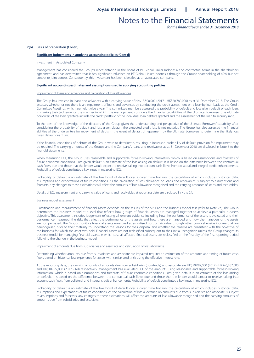*for the financial year ended 31 December 2018*

#### **2(b) Basis of preparation (Cont'd)**

#### **Significant judgements in applying accounting policies (Cont'd)**

#### Investment in Associated Company

Management has considered the Group's representation in the board of PT Global Linker Indonesia and contractual terms in the shareholders agreement, and has determined that it has significant influence on PT Global Linker Indonesia through the Group's shareholding of 49% but not control or joint control. Consequently, this investment has been classified as an associated company.

#### **Significant accounting estimates and assumptions used in applying accounting policies**

#### Impairment of loans and advances and calculation of loss allowances

The Group has invested in loans and advances with a carrying value of HK\$18,500,000 (2017 - HK\$20,780,000) as at 31 December 2018. The Group assesses whether or not there is an impairment of loans and advances by conducting the credit assessment on a loan-by-loan basis at the Credit Committee Meetings, which are held twice a year. The committee members assessed the probability of default and loss given default of each loan. In making their judgements, the manner in which the management considers the financial capabilities of the Ultimate Borrowers (the ultimate borrowers of the loan granted) include the credit portfolio of the individual loan debtors granted and the assessment of the loan to security ratio.

To the best of the knowledge of the directors of the Group given the understanding and perspective of the Ultimate Borrowers' capability, after considering the probability of default and loss given default, the expected credit loss is not material. The Group has also assessed the financial abilities of the underwriters for repayment of debts in the event of default of repayment by the Ultimate Borrowers to determine the likely loss given default quantum.

If the financial conditions of debtors of the Group were to deteriorate, resulting in increased probability of default, provision for impairment may be required. The carrying amounts of the Group's and the Company's loans and receivables as at 31 December 2018 are disclosed in Note 6 to the financial statements.

When measuring ECL, the Group uses reasonable and supportable forward-looking information, which is based on assumptions and forecasts of future economic conditions. Loss given default is an estimate of the loss arising on default. It is based on the difference between the contractual cash flows due and those that the lender would expect to receive, taking into account cash flows from collateral and integral credit enhancements. Probability of default constitutes a key input in measuring ECL.

Probability of default is an estimate of the likelihood of default over a given time horizon, the calculation of which includes historical data, assumptions and expectations of future conditions. As the calculation of loss allowance on loans and receivables is subject to assumptions and forecasts, any changes to these estimations will affect the amounts of loss allowance recognised and the carrying amounts of loans and receivables.

Details of ECL measurement and carrying value of loans and receivables at reporting date are disclosed in Note 24.

#### Business model assessment

Classification and measurement of financial assets depends on the results of the SPPI and the business model test (refer to Note 2e). The Group determines the business model at a level that reflects how groups of financial assets are managed together to achieve a particular business objective. This assessment includes judgement reflecting all relevant evidence including how the performance of the assets is evaluated and their performance measured, the risks that affect the performance of the assets and how these are managed and how the managers of the assets are compensated. The Group monitors financial assets measured at amortised cost or fair value through other comprehensive income that are derecognised prior to their maturity to understand the reasons for their disposal and whether the reasons are consistent with the objective of the business for which the asset was held. Financial assets are not reclassified subsequent to their initial recognition unless the Group changes its business model for managing financial assets, in which case all affected financial assets are reclassified on the first day of the first reporting period following the change in the business model.

#### Impairment of amounts due from subsidiaries and associate and calculation of loss allowance

Determining whether amounts due from subsidiaries and associate are impaired requires an estimation of the amounts and timing of future cash flows based on historical loss experience for assets with similar credit risk using the effective interest rate.

At the reporting date, the carrying amounts of amounts due from subsidiaries (non-trade) and associate are HK\$50,089,000 (2017 - HK\$46,887,000 and HK\$10,672,000 (2017 - Nil) respectively. Management has evaluated ECL of the amounts using reasonable and supportable forward-looking information, which is based on assumptions and forecasts of future economic conditions. Loss given default is an estimate of the loss arising on default. It is based on the difference between the contractual cash flows due and those that the lender would expect to receive, taking into account cash flows from collateral and integral credit enhancements. Probability of default constitutes a key input in measuring ECL.

Probability of default is an estimate of the likelihood of default over a given time horizon, the calculation of which includes historical data, assumptions and expectations of future conditions. As the calculation of loss allowance on amounts due from subsidiaries and associate is subject to assumptions and forecasts, any changes to these estimations will affect the amounts of loss allowance recognised and the carrying amounts of amounts due from subsidiaries and associate.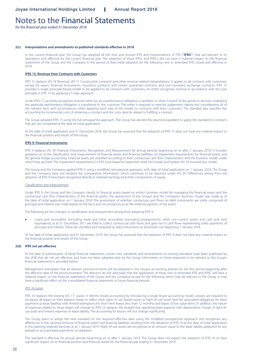*for the financial year ended 31 December 2018*

#### **2(c) Interpretations and amendments to published standards effective in 2018**

In the current financial year, the Group has adopted all the new and revised IFRS and Interpretations of FRS ("**IFRIC**") that are relevant to its operations and effective for the current financial year. The adoption of these IFRSs and IFRICs did not have a material impact on the financial statements of the Group and the Company in the period of their initial adoption for the following new or amended IFRS issued and effective in 2018:

#### **IFRS 15: Revenue from Contracts with Customers**

IFRS 15 replaces IAS 18 'Revenue', IAS 11 'Construction contracts' and other revenue-related interpretations. It applies to all contracts with customers, except for leases, financial instruments, insurance contracts and certain guarantee contracts and non-monetary exchange contracts. IFRS 15 provides a single, principle-based model to be applied to all contracts with customers. An entity recognises revenue in accordance with the core principle in IFRS 15 by applying a 5-step approach.

Under IFRS 15, an entity recognises revenue when (or as) a performance obligation is satisfied, i.e. when "control" of the goods or services underlying the particular performance obligation is transferred to the customer. The entity is required to exercise judgement, taking into consideration all of the relevant facts and circumstances when applying each step of the model; to contracts with their customers. The standard also specifies the accounting for incremental costs of obtaining a contract and the costs directly related to fulfilling a contract.

The Group adopted IFRS 15 using the full retrospective approach. The Group has elected the practical expedient to apply the standard to contracts that are not completed at the date of initial application.

At the date of initial application and 31 December 2018, the Group has assessed that the adoption of IFRS 15 does not have any material impact to the financial position and results of the Group.

#### **IFRS 9: Financial Instruments**

IFRS 9 replaces IAS 39 Financial Instruments: Recognition and Measurement for annual periods beginning on or after 1 January 2018. It includes guidance on (i) the classification and measurement of financial assets and financial liabilities; (ii) impairment requirements for financial assets; and (iii) general hedge accounting. Financial assets are classified according to their contractual cash flow characteristics and the business model under which they are held. The impairment requirements in IFRS 9 are based on expected credit loss model and replace IAS 39 incurred loss model.

The Group and the Company applied IFRS 9 using a modified retrospective approach, with date of initial application on 1 January 2018. The Group and the Company have not restated the comparative information, which continues to be reported under IAS 39. Differences arising from the adoption of IFRS 9 have been recognised directly in retained earnings and other components of equity.

#### Classification and measurement

Under IFRS 9, the Group and the Company classify its financial assets based on entity's business model for managing the financial assets and the contractual cash flow characteristics of the financial assets. The assessment of the Group's and the Company's business model was made as of the date of initial application on 1 January 2018. The assessment of whether contractual cash flows on debt instruments are solely comprised of principal and interest was made based on the facts and circumstances as at the initial recognition of the assets.

The following are the changes in classification and measurement arising from adopting IFRS 9:

• Loans and receivables (including trade and other receivables (excluding prepayments), other non-current assets and cash and cash equivalents) as at 31 December 2017 are held to collect contractual cash flows and give rise to cash flows representing solely payments of principal and interest. These are classified and measured as debt instruments at amortised cost beginning 1 January 2018.

At the date of initial application and 31 December 2018, the Group has assessed that the adoption of IFRS 9 does not have any material impact to the financial position and results of the Group.

#### **2(d) IFRS not yet effective**

At the date of authorisation of these financial statements, certain new standards, and amendments to existing standards have been published by the IASB that are not yet effective, and have not been adopted early by the Group. Information on those expected to be relevant to the Group's financial statements is provided below.

Management anticipates that all relevant pronouncements will be adopted in the Group's accounting policies for the first period beginning after the effective date of the pronouncement. The directors do not anticipate that the application of these new or amended IFRS and IFRIC will have a material impact on the financial statements of the Group and the Company except for the following which may be relevant to the Group or may have a significant effect on the consolidated financial statements in future financial periods.

#### *IFRS 16 Leases*

IFRS 16 replaces the existing IAS 17: Leases. It reforms lessee accounting by introducing a single lessee accounting model. Lessees are required to recognise all leases on their balance sheets to reflect their rights to use leased assets (a "right-of-use" asset) and the associated obligations for lease payments (a lease liability), with limited exemptions for short term leases (less than 12 months) and leases of low value items. In addition, the nature of expenses related to those leases will change as IFRS 16 replaces the straight-line operating lease expense with depreciation charge of right-ofuse asset and interest expense on lease liability. The accounting for lessors will not change significantly.

The Group plans to adopt the new standard on the required effective date using the modified retrospective approach and recognises any differences in the carrying amounts of financial assets and financial liabilities resulting from the adoption of IFRS 16 at the date of initial application in the opening retained earnings as at 1 January 2019. Right-of-use assets are recognised at an amount equal to the lease liability (adjusted for any prepaid or accrued lease payments) on adoption.

The standard is effective for annual periods beginning on or after 1 January 2019. The Group does not expect the adoption of IFRS 16 to have significant impact on its financial position and financial results for the financial year ending 31 December 2019.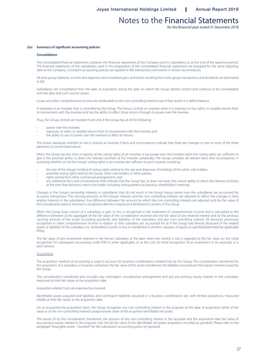*for the financial year ended 31 December 2018*

#### **2(e) Summary of significant accounting policies**

#### **Consolidation**

The consolidated financial statements comprise the financial statements of the Company and its subsidiaries as at the end of the reporting period. The financial statements of the subsidiaries used in the preparation of the consolidated financial statements are prepared for the same reporting date as the Company. Consistent accounting policies are applied to like transactions and events in similar circumstances.

All intra-group balances, income and expenses and unrealised gains and losses resulting from intra-group transactions and dividends are eliminated in full.

Subsidiaries are consolidated from the date of acquisition, being the date on which the Group obtains control and continue to be consolidated until the date that such control ceases.

Losses and other comprehensive income are attributable to the non-controlling interest even if that results in a deficit balance.

A subsidiary is an investee that is controlled by the Group. The Group controls an investee when it is exposed, or has rights, to variable returns from its involvement with the investee and has the ability to affect those returns through its power over the investee.

Thus, the Group controls an investee if and only if the Group has all of the following:

- power over the investee;
- exposure, or rights or variable returns from its involvement with the investee; and
- the ability to use its power over the investee to affect its returns

The Group reassesses whether or not it controls an investee if facts and circumstances indicate that there are changes to one or more of the three elements of control listed above.

When the Group has less than a majority of the voting rights of an investee, it has power over the investee when the voting rights are sufficient to give it the practical ability to direct the relevant activities of the investee unilaterally. The Group considers all relevant facts and circumstances in assessing whether or not the Group's voting rights in an investee are sufficient to give it power, including:

- the size of the Group's holding of voting rights relative to the size and dispersion of holdings of the other vote holders;
- potential voting rights held by the Group, other vote holders or other parties;
- rights arising from other contractual arrangements; and
- any additional facts and circumstances that indicate that the Group has, or does not have, the current ability to direct the relevant activities at the time that decisions need to be made, including voting patterns at previous shareholders' meetings.

Changes in the Group's ownership interests in subsidiaries that do not result in the Group losing control over the subsidiaries are accounted for as equity transactions. The carrying amounts of the Group's interests and the non-controlling interests are adjusted to reflect the changes in their relative interests in the subsidiaries. Any difference between the amount by which the non-controlling interests are adjusted and the fair value of the consideration paid or received is recognised directly in equity and attributed to owners of the Group.

When the Group loses control of a subsidiary, a gain or loss is recognised in the statement of comprehensive income and is calculated as the difference between (i) the aggregate of the fair value of the consideration received and the fair value of any retained interest and (ii) the previous carrying amount of the assets (including goodwill), and liabilities of the subsidiary and any non-controlling interest. All amounts previously recognised in other comprehensive income in relation to that subsidiary are accounted for as if the Group had directly disposed of the related assets or liabilities of the subsidiary (i.e. reclassified to profit or loss or transferred to another category of equity as specified/permitted by applicable IFRSs).

The fair value of any investment retained in the former subsidiary at the date when the control is lost is regarded as the fair value on the initial recognition for subsequent accounting under IFRS 9, when applicable, or as the cost on initial recognition of an investment in an associate or a joint venture.

#### **Acquisitions**

The acquisition method of accounting is used to account for business combinations entered into by the Group. The consideration transferred for the acquisition of a subsidiary or business comprises the fair value of the assets transferred, the liabilities incurred and the equity interests issued by the Group.

The consideration transferred also includes any contingent consideration arrangement and any pre-existing equity interest in the subsidiary measured at their fair values at the acquisition date.

Acquisition-related costs are expensed as incurred.

Identifiable assets acquired and liabilities and contingent liabilities assumed in a business combination are, with limited exceptions, measured initially at their fair values at the acquisition date.

On an acquisition-by-acquisition basis, the Group recognises any non-controlling interest in the acquiree at the date of acquisition either at fair value or at the non-controlling interest's proportionate share of the acquiree's identifiable net assets.

The excess of (a) the consideration transferred, the amount of any non-controlling interest in the acquiree and the acquisition-date fair value of any previous equity interest in the acquiree over the (b) fair value of the identifiable net assets acquired is recorded as goodwill. Please refer to the paragraph "Intangible assets - Goodwill" for the subsequent accounting policy on goodwill.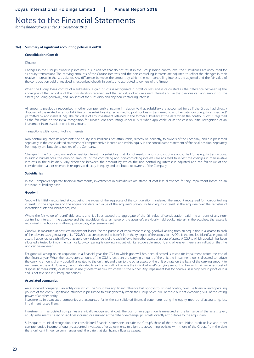*for the financial year ended 31 December 2018*

#### **2(e) Summary of significant accounting policies (Cont'd)**

#### **Consolidation (Cont'd)**

#### **Disposal**

Changes in the Group's ownership interests in subsidiaries that do not result in the Group losing control over the subsidiaries are accounted for as equity transactions. The carrying amounts of the Group's interests and the non-controlling interests are adjusted to reflect the changes in their relative interests in the subsidiaries. Any difference between the amount by which the non-controlling interests are adjusted and the fair value of the consideration paid or received is recognised directly in equity and attributed to owners of the Group.

When the Group loses control of a subsidiary, a gain or loss is recognised in profit or loss and is calculated as the difference between (i) the aggregate of the fair value of the consideration received and the fair value of any retained interest and (ii) the previous carrying amount of the assets (including goodwill), and liabilities of the subsidiary and any non-controlling interest.

All amounts previously recognised in other comprehensive income in relation to that subsidiary are accounted for as if the Group had directly disposed of the related assets or liabilities of the subsidiary (i.e. reclassified to profit or loss or transferred to another category of equity as specified/ permitted by applicable IFRSs). The fair value of any investment retained in the former subsidiary at the date when the control is lost is regarded as the fair value on the initial recognition for subsequent accounting under IFRS 9, when applicable, or as the cost on initial recognition of an investment in an associate or a joint venture.

#### Transactions with non-controlling interests

Non-controlling interests represents the equity in subsidiaries not attributable, directly or indirectly, to owners of the Company, and are presented separately in the consolidated statement of comprehensive income and within equity in the consolidated statement of financial position, separately from equity attributable to owners of the Company.

Changes in the Company owners' ownership interest in a subsidiary that do not result in a loss of control are accounted for as equity transactions. In such circumstances, the carrying amounts of the controlling and non-controlling interests are adjusted to reflect the changes in their relative interests in the subsidiary. Any difference between the amount by which the non-controlling interest is adjusted and the fair value of the consideration paid or received is recognised directly in equity and attributed to owners of the Company.

#### **Subsidiaries**

In the Company's separate financial statements, investments in subsidiaries are stated at cost less allowance for any impairment losses on an individual subsidiary basis.

#### **Goodwill**

Goodwill is initially recognised at cost being the excess of the aggregate of the consideration transferred, the amount recognised for non-controlling interests in the acquiree and the acquisition date fair value of the acquirer's previously held equity interest in the acquiree over the fair value of identifiable assets and liabilities acquired.

Where the fair value of identifiable assets and liabilities exceed the aggregate of the fair value of consideration paid, the amount of any noncontrolling interest in the acquiree and the acquisition date fair value of the acquirer's previously held equity interest in the acquiree, the excess is recognised in profit or loss on the acquisition date, after re-assessment.

Goodwill is measured at cost less impairment losses. For the purpose of impairment testing, goodwill arising from an acquisition is allocated to each of the relevant cash-generating units ("**CGUs**") that are expected to benefit from the synergies of the acquisition. A CGU is the smallest identifiable group of assets that generates cash inflows that are largely independent of the cash inflows from other assets or groups of assets. A CGU to which goodwill has been allocated is tested for impairment annually, by comparing its carrying amount with its recoverable amount, and whenever there is an indication that the unit can be impaired.

For goodwill arising on an acquisition in a financial year, the CGU to which goodwill has been allocated is tested for impairment before the end of that financial year. When the recoverable amount of the CGU is less than the carrying amount of the unit, the impairment loss is allocated to reduce the carrying amount of any goodwill allocated to the unit first, and then to the other assets of the unit pro-rata on the basis of the carrying amount to each asset in the unit. However, the loss allocated to each asset will not reduce the individual asset's carrying amount to below its fair value less cost of disposal (if measurable) or its value in use (if determinable), whichever is the higher. Any impairment loss for goodwill is recognised in profit or loss and is not reversed in subsequent periods.

#### **Associated companies**

An associated company is an entity over which the Group has significant influence but not control or joint control, over the financial and operating policies of the entity. Significant influence is presumed to exist generally when the Group holds 20% or more but not exceeding 50% of the voting power of another entity.

Investments in associated companies are accounted for in the consolidated financial statements using the equity method of accounting, less impairment losses, if any.

Investments in associated companies are initially recognised at cost. The cost of an acquisition is measured at the fair value of the assets given, equity instruments issued or liabilities incurred or assumed at the date of exchange, plus costs directly attributable to the acquisition.

Subsequent to initial recognition, the consolidated financial statements include the Group's share of the post-acquisition profit or loss and other comprehensive income of equity-accounted investees, after adjustments to align the accounting policies with those of the Group, from the date that significant influence commences until the date that significant influence ceases.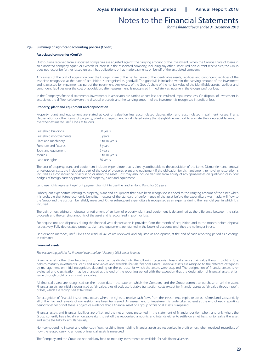*for the financial year ended 31 December 2018*

#### **2(e) Summary of significant accounting policies (Cont'd)**

#### **Associated companies (Cont'd)**

Distributions received from associated companies are adjusted against the carrying amount of the investment. When the Group's share of losses in an associated company equals or exceeds its interest in the associated company, including any other unsecured non-current receivables, the Group does not recognise further losses, unless it has obligations or has made payments on behalf of the associated company.

Any excess of the cost of acquisition over the Group's share of the net fair value of the identifiable assets, liabilities and contingent liabilities of the associate recognised at the date of acquisition is recognised as goodwill. The goodwill is included within the carrying amount of the investment and is assessed for impairment as part of the investment. Any excess of the Group's share of the net fair value of the identifiable assets, liabilities and contingent liabilities over the cost of acquisition, after reassessment, is recognised immediately as income in the Group's profit or loss.

In the Company's financial statements, investments in associates are carried at cost less accumulated impairment loss. On disposal of investment in associates, the difference between the disposal proceeds and the carrying amount of the investment is recognised in profit or loss.

#### **Property, plant and equipment and depreciation**

Property, plant and equipment are stated at cost or valuation less accumulated depreciation and accumulated impairment losses, if any. Depreciation or other items of property, plant and equipment is calculated using the straight-line method to allocate their depreciable amount over their estimated useful lives as follows:

| Leasehold buildings    | 50 years      |
|------------------------|---------------|
| Leasehold improvements | 5 years       |
| Plant and machinery    | 5 to 10 years |
| Furniture and fixtures | 5 years       |
| Tools and equipment    | 5 years       |
| <b>Moulds</b>          | 3 to 10 years |
| Land use rights        | 50 years      |

The cost of property, plant and equipment includes expenditure that is directly attributable to the acquisition of the items. Dismantlement, removal or restoration costs are included as part of the cost of property, plant and equipment if the obligation for dismantlement, removal or restoration is incurred as a consequence of acquiring or using the asset. Cost may also include transfers from equity of any gains/losses on qualifying cash flow hedges of foreign currency purchases of property, plant and equipment.

Land use rights represent up-front payment for right to use the land in Hong Kong for 50 years.

Subsequent expenditure relating to property, plant and equipment that have been recognised is added to the carrying amount of the asset when it is probable that future economic benefits, in excess of the standard of performance of the asset before the expenditure was made, will flow to the Group and the cost can be reliably measured. Other subsequent expenditure is recognised as an expense during the financial year in which it is incurred.

The gain or loss arising on disposal or retirement of an item of property, plant and equipment is determined as the difference between the sales proceeds and the carrying amounts of the asset and is recognised in profit or loss.

For acquisitions and disposals during the financial year, depreciation is provided from the month of acquisition and to the month before disposal respectively. Fully depreciated property, plant and equipment are retained in the books of accounts until they are no longer in use.

Depreciation methods, useful lives and residual values are reviewed, and adjusted as appropriate, at the end of each reporting period as a change in estimates.

#### **Financial assets**

*The accounting policies for financial assets before 1 January 2018 are as follows:*

Financial assets, other than hedging instruments, can be divided into the following categories: financial assets at fair value through profit or loss, held-to-maturity investments, loans and receivables and available-for-sale financial assets. Financial assets are assigned to the different categories by management on initial recognition, depending on the purpose for which the assets were acquired. The designation of financial assets is reevaluated and classification may be changed at the end of the reporting period with the exception that the designation of financial assets at fair value through profit or loss is not revocable.

All financial assets are recognised on their trade date - the date on which the Company and the Group commit to purchase or sell the asset. Financial assets are initially recognised at fair value, plus directly attributable transaction costs except for financial assets at fair value through profit or loss, which are recognised at fair value.

Derecognition of financial instruments occurs when the rights to receive cash flows from the investments expire or are transferred and substantially all of the risks and rewards of ownership have been transferred. An assessment for impairment is undertaken at least at the end of each reporting period whether or not there is objective evidence that a financial asset or a group of financial assets is impaired.

Financial assets and financial liabilities are offset and the net amount presented in the statement of financial position when, and only when, the Group currently has a legally enforceable right to set off the recognised amounts; and intends either to settle on a net basis, or to realise the asset and settle the liability simultaneously.

Non-compounding interest and other cash flows resulting from holding financial assets are recognised in profit or loss when received, regardless of how the related carrying amount of financial assets is measured.

The Company and the Group do not hold any held-to-maturity investments or available-for-sale financial assets.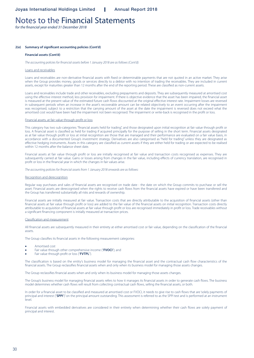*for the financial year ended 31 December 2018*

#### **2(e) Summary of significant accounting policies (Cont'd)**

#### **Financial assets (Cont'd)**

*The accounting policies for financial assets before 1 January 2018 are as follows (Cont'd):*

#### Loans and receivables

Loans and receivables are non-derivative financial assets with fixed or determinable payments that are not quoted in an active market. They arise when the Group provides money, goods or services directly to a debtor with no intention of trading the receivables. They are included in current assets, except for maturities greater than 12 months after the end of the reporting period. These are classified as non-current assets.

Loans and receivables include trade and other receivables, excluding prepayments and deposits. They are subsequently measured at amortised cost using the effective interest method, less provision for impairment. If there is objective evidence that the asset has been impaired, the financial asset is measured at the present value of the estimated future cash flows discounted at the original effective interest rate. Impairment losses are reversed in subsequent periods when an increase in the asset's recoverable amount can be related objectively to an event occurring after the impairment was recognised, subject to a restriction that the carrying amount of the asset at the date the impairment is reversed does not exceed what the amortised cost would have been had the impairment not been recognised. The impairment or write-back is recognised in the profit or loss.

#### Financial assets, at fair value through profit or loss

This category has two sub-categories: "financial assets held for trading", and those designated upon initial recognition at fair value through profit or loss. A financial asset is classified as held for trading if acquired principally for the purpose of selling in the short term. Financial assets designated as at fair value through profit or loss at initial recognition are those that are managed and their performance are evaluated on a fair value basis, in accordance with a documented Group's investment strategy. Derivatives are also categorised as "held for trading" unless they are designated as effective hedging instruments. Assets in this category are classified as current assets if they are either held for trading or are expected to be realised within 12 months after the balance sheet date.

Financial assets at fair value through profit or loss are initially recognised at fair value and transaction costs recognised as expenses. They are subsequently carried at fair value. Gains or losses arising from changes in the fair value, including effects of currency translation, are recognised in profit or loss in the financial year in which the changes in fair values arise.

*The accounting policies for financial assets from 1 January 2018 onwards are as follows:*

#### Recognition and derecognition

Regular way purchases and sales of financial assets are recognised on trade date - the date on which the Group commits to purchase or sell the asset. Financial assets are derecognised when the rights to receive cash flows from the financial assets have expired or have been transferred and the Group has transferred substantially all risks and rewards of ownership.

Financial assets are initially measured at fair value. Transaction costs that are directly attributable to the acquisition of financial assets (other than financial assets at fair value through profit or loss) are added to the fair value of the financial assets on initial recognition. Transaction costs directly attributable to acquisition of financial assets at fair value through profit or loss are recognised immediately in profit or loss. Trade receivables without a significant financing component is initially measured at transaction prices.

#### Classification and measurement

All financial assets are subsequently measured in their entirety at either amortised cost or fair value, depending on the classification of the financial assets.

The Group classifies its financial assets in the following measurement categories:

- Amortised cost
- Fair value through other comprehensive income ("**FVOCI**"); and
- Fair value through profit or loss ("**FVTPL**").

The classification is based on the entity's business model for managing the financial asset and the contractual cash flow characteristics of the financial assets. The Group reclassifies financial assets when and only when its business model for managing those assets changes.

The Group reclassifies financial assets when and only when its business model for managing those assets changes.

The Group's business model for managing financial assets refers to how it manages its financial assets in order to generate cash flows. The business model determines whether cash flows will result from collecting contractual cash flows, selling the financial assets, or both.

In order for a financial asset to be classified and measured at amortised cost or FVOCI, it needs to give rise to cash flows that are 'solely payments of principal and interest ("**SPPI**")' on the principal amount outstanding. This assessment is referred to as the SPPI test and is performed at an instrument level.

Financial assets with embedded derivatives are considered in their entirety when determining whether their cash flows are solely payment of principal and interest.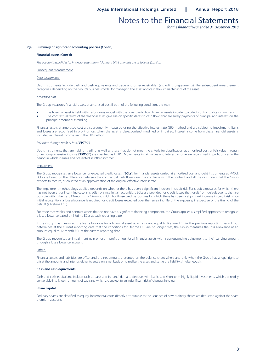*for the financial year ended 31 December 2018*

#### **2(e) Summary of significant accounting policies (Cont'd)**

#### **Financial assets (Cont'd)**

*The accounting policies for financial assets from 1 January 2018 onwards are as follows (Cont'd):*

#### Subsequent measurement

#### *Debt instruments*

Debt instruments include cash and cash equivalents and trade and other receivables (excluding prepayments). The subsequent measurement categories, depending on the Group's business model for managing the asset and cash flow characteristics of the asset:

#### *Amortised cost*

The Group measures financial assets at amortised cost if both of the following conditions are met:

- The financial asset is held within a business model with the objective to hold financial assets in order to collect contractual cash flows; and
- The contractual terms of the financial asset give rise on specific dates to cash flows that are solely payments of principal and interest on the principal amount outstanding.

Financial assets at amortised cost are subsequently measured using the effective interest rate (EIR) method and are subject to impairment. Gains and losses are recognised in profit or loss when the asset is derecognised, modified or impaired. Interest income from these financial assets is included in interest income using the EIR method.

#### *Fair value through profit or loss ("FVTPL")*

Debts instruments that are held for trading as well as those that do not meet the criteria for classification as amortised cost or Fair value through other comprehensive income ("**FVOCI**") are classified as FVTPL. Movements in fair values and interest income are recognised in profit or loss in the period in which it arises and presented in "other income".

#### Impairment

The Group recognises an allowance for expected credit losses ("**ECLs**") for financial assets carried at amortised cost and debt instruments at FVOCI. ECLs are based on the difference between the contractual cash flows due in accordance with the contract and all the cash flows that the Group expects to receive, discounted at an approximation of the original effective interest rate.

The impairment methodology applied depends on whether there has been a significant increase in credit risk. For credit exposures for which there has not been a significant increase in credit risk since initial recognition, ECLs are provided for credit losses that result from default events that are possible within the next 12-months (a 12-month ECL). For those credit exposures for which there has been a significant increase in credit risk since initial recognition, a loss allowance is required for credit losses expected over the remaining life of the exposure, irrespective of the timing of the default (a lifetime ECL).

For trade receivables and contract assets that do not have a significant financing component, the Group applies a simplified approach to recognise a loss allowance based on lifetime ECLs at each reporting date.

If the Group has measured the loss allowance for a financial asset at an amount equal to lifetime ECL in the previous reporting period, but determines at the current reporting date that the conditions for lifetime ECL are no longer met, the Group measures the loss allowance at an amount equal to 12-month ECL at the current reporting date.

The Group recognises an impairment gain or loss in profit or loss for all financial assets with a corresponding adjustment to their carrying amount through a loss allowance account.

#### **Offset**

Financial assets and liabilities are offset and the net amount presented on the balance sheet when, and only when the Group has a legal right to offset the amounts and intends either to settle on a net basis or to realise the asset and settle the liability simultaneously.

#### **Cash and cash equivalents**

Cash and cash equivalents include cash at bank and in hand, demand deposits with banks and short-term highly liquid investments which are readily convertible into known amounts of cash and which are subject to an insignificant risk of changes in value.

#### **Share capital**

Ordinary shares are classified as equity. Incremental costs directly attributable to the issuance of new ordinary shares are deducted against the share premium account.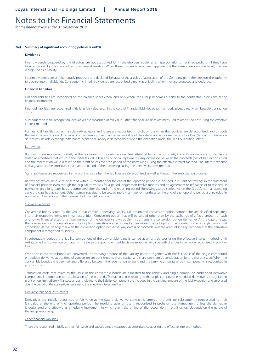*for the financial year ended 31 December 2018*

#### **2(e) Summary of significant accounting policies (Cont'd)**

#### **Dividends**

Final dividends proposed by the directors are not accounted for in shareholders' equity as an appropriation of retained profit, until they have been approved by the shareholders in a general meeting. When these dividends have been approved by the shareholders and declared, they are recognised as a liability.

Interim dividends are simultaneously proposed and declared, because of the articles of association of the Company grant the directors the authority to declare interim dividends. Consequently, interim dividends are recognised directly as a liability when they are proposed and declared.

#### **Financial liabilities**

Financial liabilities are recognised on the balance sheet when, and only when, the Group becomes a party to the contractual provisions of the financial instrument.

Financial liabilities are recognised initially at fair value, plus, in the case of financial liabilities other than derivatives, directly attributable transaction costs.

Subsequent to initial recognition, derivatives are measured at fair value. Other financial liabilities are measured at amortised cost using the effective interest method.

For financial liabilities other than derivatives, gains and losses are recognised in profit or loss when the liabilities are derecognised, and through the amortisation process. Any gains or losses arising from changes in fair value of derivatives are recognised in profit or loss. Net gains or losses on derivatives include exchange differences. A financial liability is derecognised when the obligation under the liability is extinguished.

#### **Borrowings**

Borrowings are recognised initially at the fair value of proceeds received less attributable transaction costs, if any. Borrowings are subsequently stated at amortised cost which is the initial fair value less any principal repayments. Any difference between the proceeds (net of transaction costs) and the redemption value is taken to the profit or loss over the period of the borrowings using the effective interest method. The interest expense is chargeable on the amortised cost over the period of the borrowings using the effective interest method.

Gains and losses are recognised in the profit or loss when the liabilities are derecognised as well as through the amortisation process.

Borrowings which are due to be settled within 12 months after the end of the reporting period are included in current borrowings in the statement of financial position even though the original terms was for a period longer than twelve months and an agreement to refinance, or to reschedule payments, on a long-term basis is completed after the end of the reporting period. Borrowings to be settled within the Group's normal operating cycle are classified as current. Other borrowings due to be settled more than twelve months after the end of the reporting period are included in non-current borrowings in the statement of financial position.

#### Convertible bonds

Convertible bonds issued by the Group that contain underlying liability, call option and conversion option components are classified separately into their respective items on initial recognition. Conversion option that will be settled other than by the exchange of a fixed amount of cash or another financial asset for a fixed number of the Company's own equity instruments is a conversion option derivative. At the date of issue, the conversion option derivative and call option derivative are recognised at fair value. The call option is accounted for as a single compound embedded derivative together with the conversion option derivative. Any excess of proceeds over the amount initially recognised as the derivative component is recognised as liability.

In subsequent periods, the liability component of the convertible loans is carried at amortised cost using the effective interest method, until extinguished on conversion or maturity. The single compound embedded is measured at fair value with changes in fair value recognised in profit or loss.

When the convertible bonds are converted, the carrying amount of the liability portion together with the fair value of the single compound embedded derivative at the time of conversion are transferred to share capital and share premium as consideration for the shares issued. When the convertible bonds are redeemed, and difference between the redemption amount and the carrying amounts of both components is recognised in profit or loss.

Transaction costs that relate to the issue of the convertible bonds are allocated to the liability and single compound embedded derivative components in proportion to the allocation of the proceeds. Transaction costs relating to the single compound embedded derivative is recognised in profit or loss immediately. Transaction costs relating to the liability component are included in the carrying amount of the liability portion and amortised over the period of the convertible loans using the effective interest method.

#### Derivative financial instruments

Derivatives are initially recognised at fair value at the date a derivative contract is entered into and are subsequently remeasured to their fair value at the end of the reporting period. The resulting gain or loss is recognised in profit or loss immediately unless the derivative is designated and effective as a hedging instrument, in which event the timing of the recognition in profit or loss depends on the nature of the hedge relationship.

#### Other financial liabilities

These are recognised initially at their fair value and subsequently measured at amortised cost, using the effective interest method.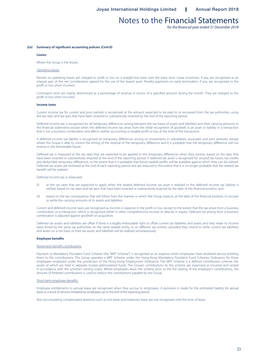*for the financial year ended 31 December 2018*

#### **2(e) Summary of significant accounting policies (Cont'd)**

#### **Leases**

Where the Group is the lessee,

#### Operating leases

Rentals on operating leases are charged to profit or loss on a straight-line basis over the lease term. Lease incentives, if any, are recognised as an integral part of the net consideration agreed for the use of the leased asset. Penalty payments on early termination, if any, are recognised in the profit or loss when incurred.

Contingent rents are mainly determined as a percentage of revenue in excess of a specified amount during the month. They are charged to the profit or loss when incurred.

#### **Income taxes**

Current income tax for current and prior periods is recognised at the amount expected to be paid to or recovered from the tax authorities, using the tax rates and tax laws that have been enacted or substantively enacted by the end of the reporting period.

Deferred income tax is recognised for all temporary differences arising between the tax bases of assets and liabilities and their carrying amounts in the financial statements except when the deferred income tax arises from the initial recognition of goodwill or an asset or liability in a transaction that is not a business combination and affects neither accounting or taxable profit or loss at the time of the transaction.

A deferred income tax liability is recognised on temporary differences arising on investments in subsidiaries, associates and joint ventures, except where the Group is able to control the timing of the reversal of the temporary difference and it is probable that the temporary difference will not reverse in the foreseeable future.

Deferred tax is measured at the tax rates that are expected to be applied to the temporary differences when they reverse, based on the laws that have been enacted or substantively enacted at the end of the reporting period. A deferred tax asset is recognised for unused tax losses, tax credits and deductible temporary differences, to the extent that it is probable that future taxable profits will be available against which they can be utilised. Deferred tax assets are reviewed at the end of each reporting period and are reduced to the extent that it is no longer probable that the related tax benefit will be realised.

Deferred income tax is measured:

- (i) at the tax rates that are expected to apply when the related deferred income tax asset is realised or the deferred income tax liability is settled, based on tax rates and tax laws that have been enacted or substantively enacted by the date of the financial position; and
- (ii) based on the tax consequence that will follow from the manner in which the Group expects, at the date of the financial position, to recover or settle the carrying amounts of its assets and liabilities.

Current and deferred income taxes are recognised as income or expense in the profit or loss, except to the extent that the tax arises from a business combination or a transaction which is recognised either in other comprehensive income or directly in equity. Deferred tax arising from a business combination is adjusted against goodwill on acquisition.

Deferred tax assets and liabilities are offset if there is a legally enforceable right to offset current tax liabilities and assets and they relate to income taxes levied by the same tax authorities on the same taxable entity, or on different tax entities, provided they intend to settle current tax liabilities and assets on a net basis or their tax assets and liabilities will be realised simultaneously.

#### **Employee benefits**

#### Retirement benefit contributions

Payment to Mandatory Provident Fund Scheme (the "MPF Scheme") is recognised as an expense when employees have rendered service entitling them to the contributions. The Group operates a MPF Scheme under the Hong Kong Mandatory Provident Fund Schemes Ordinance for those employees employed under the jurisdiction of the Hong Kong Employment Ordinance. The MPF Scheme is a defined contribution scheme, the assets of which are held in separate trustee-administered funds. The Group's contributions to the scheme are expensed as incurred and vested in accordance with the scheme's vesting scales. Where employees leave the scheme prior to the full vesting of the employer's contributions, the amount of forfeited contributions is used to reduce the contributions payable by the Group.

#### Short-term employee benefits

Employee entitlements to annual leave are recognised when they accrue to employees. A provision is made for the estimated liability for annual leave as a result of services rendered by employees up to the end of the reporting period.

Non-accumulating compensated absences such as sick leave and maternity leave are not recognised until the time of leave.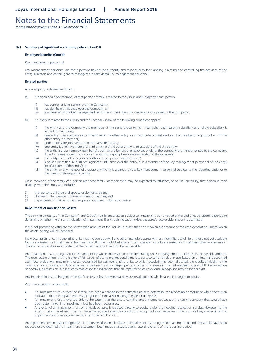*for the financial year ended 31 December 2018*

#### **2(e) Summary of significant accounting policies (Cont'd)**

#### **Employee benefits (Cont'd)**

#### Key management personnel

Key management personnel are those persons having the authority and responsibility for planning, directing and controlling the activities of the entity. Directors and certain general managers are considered key management personnel.

#### **Related parties**

A related party is defined as follows:

- (a) A person or a close member of that person's family is related to the Group and Company if that person:
	- (i) has control or joint control over the Company;<br>(ii) has significant influence over the Company: or
	- has significant influence over the Company; or
	- (iii) is a member of the key management personnel of the Group or Company or of a parent of the Company.
- (b) An entity is related to the Group and the Company if any of the following conditions applies:
	- (i) the entity and the Company are members of the same group (which means that each parent, subsidiary and fellow subsidiary is related to the others);
	- (ii) one entity is an associate or joint venture of the other entity (or an associate or joint venture of a member of a group of which the other entity is a member);
	- (iii) both entities are joint ventures of the same third party;<br> $(iv)$  one entity is a joint venture of a third entity and the other
	- one entity is a joint venture of a third entity and the other entity is an associate of the third entity;
	- (v) the entity is a post-employment benefit plan for the benefit of employees of either the Company or an entity related to the Company. If the Company is itself such a plan, the sponsoring employers are also related to the Company;
	- (vi) the entity is controlled or jointly controlled by a person identified in (a);
	- (vii) a person identified in (a) (i) has significant influence over the entity or is a member of the key management personnel of the entity (or of a parent of the entity); or
	- (viii) the entity, or any member of a group of which it is a part, provides key management personnel services to the reporting entity or to the parent of the reporting entity.

Close members of the family of a person are those family members who may be expected to influence, or be influenced by, that person in their dealings with the entity and include:

- (i) that person's children and spouse or domestic partner;
- (ii) children of that person's spouse or domestic partner; and
- (iii) dependents of that person or that person's spouse or domestic partner.

#### **Impairment of non-financial assets**

The carrying amounts of the Company's and Group's non-financial assets subject to impairment are reviewed at the end of each reporting period to determine whether there is any indication of impairment. If any such indication exists, the asset's recoverable amount is estimated.

If it is not possible to estimate the recoverable amount of the individual asset, then the recoverable amount of the cash-generating unit to which the assets belong will be identified.

Individual assets or cash-generating units that include goodwill and other intangible assets with an indefinite useful life or those not yet available for use are tested for impairment at least annually. All other individual assets or cash-generating units are tested for impairment whenever events or changes in circumstances indicate that the carrying amount may not be recoverable.

An impairment loss is recognised for the amount by which the asset's or cash-generating unit's carrying amount exceeds its recoverable amount. The recoverable amount is the higher of fair value, reflecting market conditions less costs to sell and value-in-use, based on an internal discounted cash flow evaluation. Impairment losses recognised for cash-generating units, to which goodwill has been allocated, are credited initially to the carrying amount of goodwill. Any remaining impairment loss is charged pro rata to the other assets in the cash-generating unit. With the exception of goodwill, all assets are subsequently reassessed for indications that an impairment loss previously recognised may no longer exist.

Any impairment loss is charged to the profit or loss unless it reverses a previous revaluation in which case it is charged to equity.

With the exception of goodwill,

- An impairment loss is reversed if there has been a change in the estimates used to determine the recoverable amount or when there is an indication that the impairment loss recognised for the asset no longer exists or decreases.
- An impairment loss is reversed only to the extent that the asset's carrying amount does not exceed the carrying amount that would have been determined if no impairment loss had been recognised.
- A reversal of an impairment loss on a revalued asset is credited directly to equity under the heading revaluation surplus. However, to the extent that an impairment loss on the same revalued asset was previously recognised as an expense in the profit or loss, a reversal of that impairment loss is recognised as income in the profit or loss.

An impairment loss in respect of goodwill is not reversed, even if it relates to impairment loss recognised in an interim period that would have been reduced or avoided had the impairment assessment been made at a subsequent reporting or end of the reporting period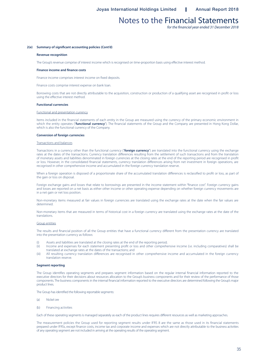*for the financial year ended 31 December 2018*

#### **2(e) Summary of significant accounting policies (Cont'd)**

#### **Revenue recognition**

The Group's revenue comprise of interest income which is recognised on time-proportion basis using effective interest method.

#### **Finance income and finance costs**

Finance income comprises interest income on fixed deposits.

Finance costs comprise interest expense on bank loan.

Borrowing costs that are not directly attributable to the acquisition, construction or production of a qualifying asset are recognised in profit or loss using the effective interest method.

#### **Functional currencies**

#### Functional and presentation currency

Items included in the financial statements of each entity in the Group are measured using the currency of the primary economic environment in which the entity operates ("**functional currency**"). The financial statements of the Group and the Company are presented in Hong Kong Dollar, which is also the functional currency of the Company.

#### **Conversion of foreign currencies**

#### Transactions and balances

Transactions in a currency other than the functional currency ("**foreign currency**") are translated into the functional currency using the exchange rates at the dates of the transactions. Currency translation differences resulting from the settlement of such transactions and from the translation of monetary assets and liabilities denominated in foreign currencies at the closing rates at the end of the reporting period are recognised in profit or loss. However, in the consolidated financial statements, currency translation differences arising from net investment in foreign operations, are recognised in other comprehensive income and accumulated in the foreign currency translation reserve.

When a foreign operation is disposed of a proportionate share of the accumulated translation differences is reclassified to profit or loss, as part of the gain or loss on disposal.

Foreign exchange gains and losses that relate to borrowings are presented in the income statement within "finance cost". Foreign currency gains and losses are reported on a net basis as either other income or other operating expense depending on whether foreign currency movements are in a net gain or net loss position.

Non-monetary items measured at fair values in foreign currencies are translated using the exchange rates at the date when the fair values are determined.

Non-monetary items that are measured in terms of historical cost in a foreign currency are translated using the exchange rates at the date of the translations.

#### Group entities

The results and financial position of all the Group entities that have a functional currency different from the presentation currency are translated into the presentation currency as follows:

- (i) Assets and liabilities are translated at the closing rates at the end of the reporting period;
- (ii) Income and expenses for each statement presenting profit or loss and other comprehensive income (i.e. including comparatives) shall be translated at exchange rates at the dates of the transactions; and
- (iii) All resulting currency translation differences are recognised in other comprehensive income and accumulated in the foreign currency translation reserve.

#### **Segment reporting**

The Group identifies operating segments and prepares segment information based on the regular internal financial information reported to the executive directors for their decisions about resources allocation to the Group's business components and for their review of the performance of those components. The business components in the internal financial information reported to the executive directors are determined following the Group's major product lines.

The Group has identified the following reportable segments:

- (a) Nickel ore
- (b) Financing activities

Each of these operating segments is managed separately as each of the product lines requires different resources as well as marketing approaches.

The measurement policies the Group used for reporting segment results under IFRS 8 are the same as those used in its financial statements prepared under IFRSs, except finance costs, income tax and corporate income and expenses which are not directly attributable to the business activities of any operating segment are not included in arriving at the operating results of the operating segment.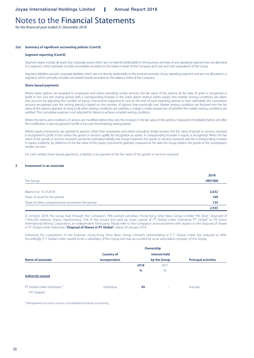*for the financial year ended 31 December 2018*

#### **2(e) Summary of significant accounting policies (Cont'd)**

#### **Segment reporting (Cont'd)**

Segment assets include all assets but corporate assets which are not directly attributable to the business activities of any operating segment are not allocated to a segment, which primarily includes receivables recorded on the balance sheet of the Company and cash and cash equivalents of the Group.

Segment liabilities exclude corporate liabilities which are not directly attributable to the business activities of any operating segment and are not allocated to a segment, which primarily includes convertible bonds recorded on the balance sheet of the Company.

#### **Share-based payments**

Where share options are awarded to employees and others providing similar services, the fair value of the options at the date of grant is recognised in profit or loss over the vesting period with a corresponding increase in the share option reserve within equity. Non-market vesting conditions are taken into account by adjusting the number of equity instruments expected to vest at the end of each reporting period so that, ultimately, the cumulative amount recognised over the vesting period is based on the number of options that eventually vest. Market vesting conditions are factored into the fair value of the options granted. As long as all other vesting conditions are satisfied, a charge is made irrespective of whether the market vesting conditions are satisfied. The cumulative expense is not adjusted for failure to achieve a market vesting condition.

Where the terms and conditions of options are modified before they vest, the increase in the fair value of the options, measured immediately before and after the modification, is also recognised in profit or loss over the remaining vesting period.

Where equity instruments are granted to persons other than employees and others providing similar services, the fair value of goods or services received is recognised in profit or loss unless the goods or services qualify for recognition as assets. A corresponding increase in equity is recognised. When the fair value of the goods or services received cannot be estimated reliably, the Group measures the goods or services received, and the corresponding increase in equity, indirectly, by reference to the fair value of the equity instruments granted, measured at the date the Group obtains the goods or the counterparty renders services.

For cash-settled share-based payments, a liability is recognised at the fair value of the goods or services received.

#### **3 Investment in an associate**

|                                                    | 2018            |
|----------------------------------------------------|-----------------|
| The Group                                          | <b>HK\$'000</b> |
|                                                    |                 |
| Balance on 10.10.2018                              | 2,632           |
| Share of result for the period                     | 169             |
| Share of other comprehensive income for the period | 134             |
|                                                    | 2,935           |

In October 2018, the Group had, through the Company's 70%-owned subsidiary, Hong Kong Silver Basic Group Limited "HK Silver", disposed of 1,954,350 ordinary shares, representing 15% of the issued and paid-up share capital of PT Global Linker Indonesia "PT Global" to Fill Stone International Mining Corporation, an independent third party. Please refer to the Company's announcement with respect to the Disposal of Shares in PT Global Linker Indonesia ("**Disposal of Shares in PT Global**") dated 28 January 2019.

Following the completion of the Disposal, Hong Kong Silver Basic Group Limited's shareholding in P. T. Global Linker has reduced to 49%. Accordingly, P. T. Global Linker ceased to be a subsidiary of the Group and was accounted for as an associated company of the Group.

|                                               |                   | Ownership    |                          |                             |  |
|-----------------------------------------------|-------------------|--------------|--------------------------|-----------------------------|--|
|                                               | <b>Country of</b> |              | interest held            |                             |  |
| Name of associate                             | incorporation     | by the Group |                          | <b>Principal activities</b> |  |
|                                               |                   | 2018         | 2017                     |                             |  |
|                                               |                   | $\%$         | $\%$                     |                             |  |
| Indirectly owned                              |                   |              |                          |                             |  |
| PT Global Linker Indonesia *<br>("PT Global") | Indonesia         | 49           | $\overline{\phantom{a}}$ | <b>Inactive</b>             |  |

\* Management accounts used for consolidated and equity accounting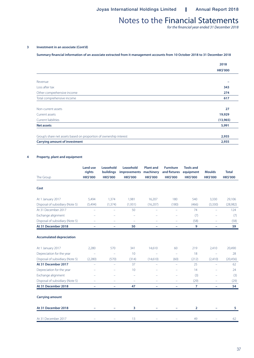*for the financial year ended 31 December 2018*

# **3 Investment in an associate (Cont'd)**

**Summary financial information of an associate extracted from it management accounts from 10 October 2018 to 31 December 2018**

|                                                                    | 2018            |
|--------------------------------------------------------------------|-----------------|
|                                                                    | <b>HK\$'000</b> |
|                                                                    |                 |
| Revenue                                                            |                 |
| Loss after tax                                                     | 343             |
| Other comprehensive income                                         | 274             |
| Total comprehensive income                                         | 617             |
| Non-current assets                                                 | 27              |
| Current assets                                                     | 19,929          |
| Current liabilities                                                | (13,965)        |
| <b>Net assets</b>                                                  | 5,991           |
| Group's share net assets based on proportion of ownership interest | 2,935           |
| <b>Carrying amount of investment</b>                               | 2,935           |

# **4 Property, plant and equipment**

| The Group                       | <b>Land use</b><br>rights<br><b>HK\$'000</b> | <b>Leasehold</b><br><b>buildings</b><br><b>HK\$'000</b> | Leasehold<br>improvements<br><b>HK\$'000</b> | <b>Plant and</b><br>machinery<br><b>HK\$'000</b> | <b>Furniture</b><br>and fixtures<br><b>HK\$'000</b> | <b>Tools and</b><br>equipment<br><b>HK\$'000</b> | <b>Moulds</b><br><b>HK\$'000</b> | <b>Total</b><br><b>HK\$'000</b> |
|---------------------------------|----------------------------------------------|---------------------------------------------------------|----------------------------------------------|--------------------------------------------------|-----------------------------------------------------|--------------------------------------------------|----------------------------------|---------------------------------|
| Cost                            |                                              |                                                         |                                              |                                                  |                                                     |                                                  |                                  |                                 |
| At 1 January 2017               | 5,494                                        | 1,374                                                   | 1,981                                        | 16,207                                           | 180                                                 | 540                                              | 3,330                            | 29,106                          |
| Disposal of subsidiary (Note 5) | (5,494)                                      | (1, 374)                                                | (1,931)                                      | (16,207)                                         | (180)                                               | (466)                                            | (3,330)                          | (28, 982)                       |
| At 31 December 2017             | L.                                           |                                                         | 50                                           | ÷                                                |                                                     | 74                                               | ÷,                               | 124                             |
| Exchange alignment              |                                              |                                                         |                                              |                                                  |                                                     | (7)                                              |                                  | (7)                             |
| Disposal of subsidiary (Note 5) |                                              | -                                                       | $\qquad \qquad -$                            | $\equiv$                                         | $\qquad \qquad -$                                   | (58)                                             | -                                | (58)                            |
| At 31 December 2018             | $\overline{\phantom{0}}$                     | ÷,                                                      | 50                                           | ÷                                                | $\overline{\phantom{m}}$                            | 9                                                | $\overline{\phantom{0}}$         | 59                              |
| <b>Accumulated depreciation</b> |                                              |                                                         |                                              |                                                  |                                                     |                                                  |                                  |                                 |
| At 1 January 2017               | 2,280                                        | 570                                                     | 341                                          | 14,610                                           | 60                                                  | 219                                              | 2,410                            | 20,490                          |
| Depreciation for the year       |                                              |                                                         | 10                                           |                                                  | $\equiv$                                            | 18                                               | -                                | 28                              |
| Disposal of subsidiary (Note 5) | (2,280)                                      | (570)                                                   | (314)                                        | (14,610)                                         | (60)                                                | (212)                                            | (2,410)                          | (20, 456)                       |
| At 31 December 2017             | $\overline{\phantom{0}}$                     | ÷,                                                      | 37                                           | ÷                                                | ÷                                                   | 25                                               | ÷.                               | 62                              |
| Depreciation for the year       |                                              | -                                                       | 10                                           | $\overline{\phantom{0}}$                         | $\overline{\phantom{0}}$                            | 14                                               |                                  | 24                              |
| Exchange alignment              |                                              |                                                         | $\qquad \qquad -$                            |                                                  |                                                     | (3)                                              |                                  | (3)                             |
| Disposal of subsidiary (Note 5) |                                              | $\equiv$                                                | ÷                                            | $\overline{\phantom{0}}$                         | $\equiv$                                            | (29)                                             | -                                | (29)                            |
| At 31 December 2018             | -                                            | -                                                       | 47                                           | $\overline{\phantom{0}}$                         | $\overline{\phantom{m}}$                            | $\overline{7}$                                   | -                                | 54                              |
| <b>Carrying amount</b>          |                                              |                                                         |                                              |                                                  |                                                     |                                                  |                                  |                                 |
| At 31 December 2018             |                                              |                                                         | 3                                            |                                                  |                                                     | $\mathbf{2}^{\prime}$                            |                                  | 5                               |
| At 31 December 2017             |                                              |                                                         | 13                                           |                                                  |                                                     | 49                                               |                                  | 62                              |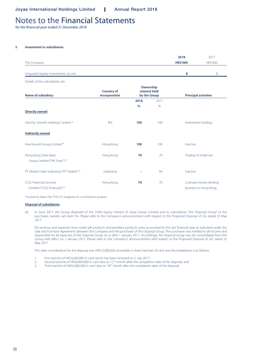*for the financial year ended 31 December 2018*

## **5 Investment in subsidiaries**

| The Company                          | 2018<br><b>HK\$'000</b> | 2017<br><b>HK\$'000</b> |
|--------------------------------------|-------------------------|-------------------------|
| Unquoted equity investments, at cost |                         |                         |

Details of the subsidiaries are:

| <b>Name of subsidiary</b>                                      | <b>Country of</b><br>incorporation | Ownership<br>interest held<br>by the Group |               | <b>Principal activities</b>                     |
|----------------------------------------------------------------|------------------------------------|--------------------------------------------|---------------|-------------------------------------------------|
|                                                                |                                    | 2018                                       | 2017          |                                                 |
| <b>Directly owned</b>                                          |                                    | $\%$                                       | $\frac{0}{0}$ |                                                 |
| Asia Pac Growth Holdings Limited *                             | <b>BVI</b>                         | 100                                        | 100           | Investment holding                              |
| <b>Indirectly owned</b>                                        |                                    |                                            |               |                                                 |
| Asia Growth Group Limited *                                    | Hong Kong                          | 100                                        | 100           | Inactive                                        |
| Hong Kong Silver Basic<br>Group Limited ("HK Silver") *        | Hong Kong                          | 70                                         | 70            | Trading of nickel ore                           |
| PT Global Linker Indonesia ("PT Global") *                     | Indonesia                          |                                            | 64            | Inactive                                        |
| <b>CCIG Financial Services</b><br>Limited ("CCIG Financial") * | Hong Kong                          | 70                                         | 70            | Licensed money lending<br>business in Hong Kong |

\*Audited by Baker Tilly TFW LLP, Singapore for consolidation purpose

# **Disposal of subsidiaries**

(a) In June 2017, the Group disposed of the 100% equity interest of Joyas Group Limited and its subsidiaries "the Disposal Group" to the purchaser, namely Lam Kam Yin. Please refer to the Company's announcement with respect to the Proposed Disposal of JGL dated 25 May 2017.

No revenue and expenses from metal gift products and jewellery products were accounted for the last financial year as indicated under the Sale and Purchase Agreement between the Company and the purchaser of the Disposal Group. The purchaser was entitled to all income and responsible for all expenses of the Disposal Group on or after 1 January 2017. Accordingly, the Disposal Group was de-consolidated from the Group with effect on 1 January 2017. Please refer to the Company's announcement with respect to the Proposed Disposal of JGL dated 25 May 2017.

The sales consideration for the disposal was HK\$15,000,000 receivable in three tranches of cash and the breakdown is as follows:

- 1. First tranche of HK\$3,000,000 in cash which has been received on 5 July 2017;<br>Second tranche of HK\$6,000,000 in cash due on 12<sup>th</sup> month after the completi
- 2. Second tranche of HK\$6,000,000 in cash due on  $12<sup>th</sup>$  month after the completion date of the disposal; and<br>3. Third tranche of HK\$6,000,000 in cash due on  $18<sup>th</sup>$  month after the completion date of the disposal
- Third tranche of HK\$6,000,000 in cash due on 18<sup>th</sup> month after the completion date of the disposal.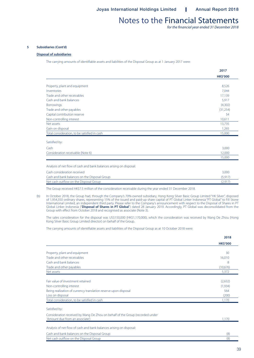*for the financial year ended 31 December 2018*

#### **5 Subsidiaries (Cont'd)**

# **Disposal of subsidiaries**

The carrying amounts of identifiable assets and liabilities of the Disposal Group as at 1 January 2017 were:

|                                                                     | 2017            |
|---------------------------------------------------------------------|-----------------|
|                                                                     | <b>HK\$'000</b> |
| Property, plant and equipment                                       | 8,526           |
| Inventories                                                         | 7.044           |
| Trade and other receivables                                         | 17,139          |
| Cash and bank balances                                              | 5,917           |
| <b>Borrowings</b>                                                   | (4,302)         |
| Trade and other payables                                            | (31, 254)       |
| Capital contribution reserve                                        | 54              |
| Non-controlling interest                                            | 10,611          |
| Net assets                                                          | 13,735          |
| Gain on disposal                                                    | 1,265           |
| Total consideration, to be satisfied in cash                        | 15,000          |
| Satisfied by:                                                       |                 |
| Cash                                                                | 3,000           |
| Consideration receivable (Note 6)                                   | 12,000          |
|                                                                     | 15,000          |
| Analysis of net flow of cash and bank balances arising on disposal: |                 |
| Cash consideration received                                         | 3,000           |
| Cash and bank balances on the Disposal Group                        | (5, 917)        |
| Net cash outflow on the Disposal Group                              | (2,917)         |

The Group received HK\$7.5 million of the consideration receivable during the year ended 31 December 2018.

(b) In October 2018, the Group had, through the Company's 70%-owned subsidiary, Hong Kong Silver Basic Group Limited "HK Silver", disposed of 1,954,350 ordinary shares, representing 15% of the issued and paid-up share capital of PT Global Linker Indonesia "PT Global" to Fill Stone International Limited, an independent third party. Please refer to the Company's announcement with respect to the Disposal of Shares in PT Global Linker Indonesia ("**Disposal of Shares in PT Global**") dated 28 January 2019. Accordingly, PT Global was deconsolidated from the Group with effect from October 2018 and recognised as associate (Note 3).

The sales consideration for the disposal was US\$150,000 (HK\$1,170,000), which the consideration was received by Wang De Zhou (Hong Kong Silver Basic Group Limited director) on behalf of the Group.

The carrying amounts of identifiable assets and liabilities of the Disposal Group as at 10 October 2018 were:

|                                                                               | 2018            |
|-------------------------------------------------------------------------------|-----------------|
|                                                                               | <b>HK\$'000</b> |
|                                                                               |                 |
| Property, plant and equipment                                                 | 30              |
| Trade and other receivables                                                   | 16,010          |
| Cash and bank balances                                                        | 8               |
| Trade and other payables                                                      | (10,676)        |
| Net assets                                                                    | 5,372           |
| Fair value of investment retained                                             |                 |
|                                                                               | (2,632)         |
| Non-controlling interest                                                      | (1,934)         |
| Being realization of currency translation reserve upon disposal               | 564             |
| Loss on disposal                                                              | (200)           |
| Total consideration, to be satisfied in cash                                  | 1,170           |
| Satisfied by:                                                                 |                 |
| Consideration received by Wang De Zhou on behalf of the Group (recorded under |                 |
| 'Amount due from an associate')                                               | 1,170           |
|                                                                               |                 |
| Analysis of net flow of cash and bank balances arising on disposal:           |                 |
| Cash and bank balances on the Disposal Group                                  | (8)             |
| Net cash outflow on the Disposal Group                                        | (8)             |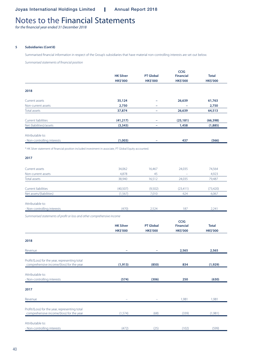*for the financial year ended 31 December 2018*

# **5 Subsidiaries (Cont'd)**

Summarised financial information in respect of the Group's subsidiaries that have material non-controlling interests are set out below.

*Summarised statements of financial position*

|                             |                  |                          | <b>CCIG</b>      |                 |  |
|-----------------------------|------------------|--------------------------|------------------|-----------------|--|
|                             | <b>HK Silver</b> | <b>PT Global</b>         | <b>Financial</b> | <b>Total</b>    |  |
|                             | <b>HK\$'000</b>  | <b>HK\$'000</b>          | <b>HK\$'000</b>  | <b>HK\$'000</b> |  |
| 2018                        |                  |                          |                  |                 |  |
| Current assets              | 35,124           | -                        | 26,639           | 61,763          |  |
| Non-current assets          | 2,750            | $\overline{\phantom{0}}$ | -                | 2,750           |  |
| Total assets                | 37,874           | $\overline{\phantom{m}}$ | 26,639           | 64,513          |  |
| Current liabilities         | (41, 217)        | $\overline{\phantom{a}}$ | (25, 181)        | (66, 398)       |  |
| Net (liabilities)/assets    | (3, 343)         |                          | 1,458            | (1,885)         |  |
| Attributable to:            |                  |                          |                  |                 |  |
| - Non-controlling interests | (1,003)          |                          | 437              | (566)           |  |

\* HK Silver statement of financial position included investment in associate, PT Global Equity accounted.

# **2017**

| Current assets              | 34,062   | 16,467  | 24,035    | 74,564    |
|-----------------------------|----------|---------|-----------|-----------|
| Non-current assets          | 4,878    | 45      |           | 4,923     |
| <b>Total assets</b>         | 38,940   | 16,512  | 24,035    | 79,487    |
|                             |          |         |           |           |
| Current liabilities         | (40,507) | (9,502) | (23, 411) | (73, 420) |
| Net assets/(liabilities)    | (1, 567) | 7.010   | 624       | 6,067     |
|                             |          |         |           |           |
| Attributable to:            |          |         |           |           |
| - Non-controlling interests | (470)    | 2,524   | 187       | 2,241     |

*Summarised statements of profit or loss and other comprehensive income*

|                                                                                            |                  |                  | <b>CCIG</b>      |                 |
|--------------------------------------------------------------------------------------------|------------------|------------------|------------------|-----------------|
|                                                                                            | <b>HK Silver</b> | <b>PT Global</b> | <b>Financial</b> | <b>Total</b>    |
|                                                                                            | <b>HK\$'000</b>  | <b>HK\$'000</b>  | <b>HK\$'000</b>  | <b>HK\$'000</b> |
| 2018                                                                                       |                  |                  |                  |                 |
| Revenue                                                                                    |                  |                  | 2,565            | 2,565           |
| Profit/(Loss) for the year, representing total<br>comprehensive income/(loss) for the year | (1, 913)         | (850)            | 834              | (1,929)         |
| Attributable to:                                                                           |                  |                  |                  |                 |
| - Non-controlling interests                                                                | (574)            | (306)            | 250              | (630)           |
| 2017                                                                                       |                  |                  |                  |                 |
| Revenue                                                                                    | -                |                  | 1,981            | 1,981           |
| Profit/(Loss) for the year, representing total<br>comprehensive income/(loss) for the year | (1,574)          | (68)             | (339)            | (1,981)         |
|                                                                                            |                  |                  |                  |                 |
| Attributable to:                                                                           |                  |                  |                  |                 |
| - Non-controlling interests                                                                | (472)            | (25)             | (102)            | (599)           |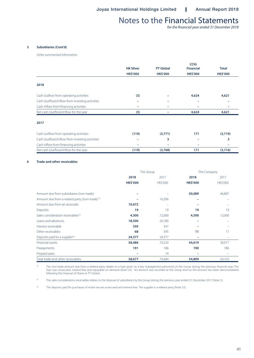*for the financial year ended 31 December 2018*

# **5 Subsidiaries (Cont'd)**

*Other summarised information* 

|                                                 |                          |                          | <b>CCIG</b>      |                 |
|-------------------------------------------------|--------------------------|--------------------------|------------------|-----------------|
|                                                 | <b>HK Silver</b>         | <b>PT Global</b>         | <b>Financial</b> | <b>Total</b>    |
|                                                 | <b>HK\$'000</b>          | <b>HK\$'000</b>          | <b>HK\$'000</b>  | <b>HK\$'000</b> |
| 2018                                            |                          |                          |                  |                 |
| Cash outflow from operating activities          | (3)                      |                          | 4,624            | 4,621           |
| Cash (outflow)/inflow from investing activities | $\overline{\phantom{0}}$ |                          |                  |                 |
| Cash inflow from financing activities           | -                        | -                        |                  |                 |
| Net cash (outflow)/inflow for the year          | (3)                      |                          | 4,624            | 4,621           |
| 2017                                            |                          |                          |                  |                 |
| Cash outflow from operating activities          | (119)                    | (3,771)                  | 171              | (3,719)         |
| Cash (outflow)/inflow from investing activities |                          | 3                        |                  | 3               |
| Cash inflow from financing activities           | -                        | $\overline{\phantom{0}}$ |                  |                 |
| Net cash (outflow)/inflow for the year          | (119)                    | (3,768)                  | 171              | (3,716)         |

# **6 Trade and other receivables**

|                                                            | The Group       |                 | The Company     |                 |
|------------------------------------------------------------|-----------------|-----------------|-----------------|-----------------|
|                                                            | 2018            | 2017            | 2018            | 2017            |
|                                                            | <b>HK\$'000</b> | <b>HK\$'000</b> | <b>HK\$'000</b> | <b>HK\$'000</b> |
| Amount due from subsidiaries (non-trade)                   |                 |                 | 50,089          | 46,887          |
| Amount due from a related party (non-trade) <sup>(1)</sup> |                 | 16,306          |                 |                 |
| Amount due from an associate                               | 10,672          | -               |                 |                 |
| Deposits                                                   | 19              | 19              | 19              | 19              |
| Sales consideration receivables <sup>(2)</sup>             | 4,500           | 12,000          | 4,500           | 12,000          |
| Loans and advances                                         | 18,500          | 20,780          |                 |                 |
| Interest receivable                                        | 350             | 347             |                 |                 |
| Other receivables                                          | 68              | 395             | 11              | 11              |
| Deposits paid to a supplier <sup>(3)</sup>                 | 24,377          | 24,377          |                 |                 |
| Financial assets                                           | 58,486          | 74,224          | 54,619          | 58,917          |
| Prepayments                                                | 191             | 186             | 190             | 186             |
| Prepaid taxes                                              |                 | 74              |                 |                 |
| Total trade and other receivables                          | 58,677          | 74,484          | 54,809          | 59,103          |

 $^{(1)}$  The non-trade amount due from a related party relates to a loan given to a key management personnel of the Group during the previous financial year. The loan was unsecured, interest-free and repayable on demand (Note 22). No amount was recorded at the Group level as the amount has been deconsolidated following the Disposal of Shares in PT Global.

(2) The sales considerations receivables relates to the disposal of subsidiaries by the Group during the previous year ended 31 December 2017 (Note 5).

(3) The deposits paid for purchases of nickel ore are unsecured and interest-free. The supplier is a related party (Note 22).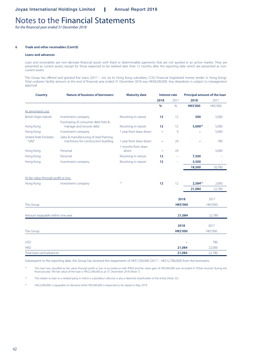*for the financial year ended 31 December 2018*

### **6 Trade and other receivables (Cont'd)**

## **Loans and advances**

Loan and receivables are non-derivate financial assets with fixed or determinable payments that are not quoted in an active market. They are presented as current assets, except for those expected to be realised later than 12 months after the reporting date which are presented as noncurrent assets.

The Group has offered and granted five loans (2017 – six) via its Hong Kong subsidiary, CCIG Financial (registered money lender in Hong Kong). Total undrawn facility amount at the end of financial year ended 31 December 2018 was HK\$8,500,000. Any drawdown is subject to management approval.

| <b>Country</b>                                                  | Nature of business of borrowers                                               | <b>Maturity date</b>       | <b>Interest rate</b> |      | Principal amount of the loan |                 |
|-----------------------------------------------------------------|-------------------------------------------------------------------------------|----------------------------|----------------------|------|------------------------------|-----------------|
|                                                                 |                                                                               |                            | 2018                 | 2017 | 2018                         | 2017            |
|                                                                 |                                                                               |                            | $\%$                 | %    | <b>HK\$'000</b>              | HK\$'000        |
| At amortised cost:                                              |                                                                               |                            |                      |      |                              |                 |
| <b>British Virgin Islands</b>                                   | Investment company                                                            | Revolving in nature        | 12                   | 12   | 500                          | 5,000           |
|                                                                 | Purchasing of consumer debt folio &                                           |                            |                      |      |                              |                 |
| Hong Kong                                                       | manage and recover debt                                                       | Revolving in nature        | 12                   | 12   | $5,000^{(2)}$                | 5,000           |
| Hong Kong                                                       | Investment company                                                            | 1 year from draw down      |                      | 9    |                              | 5,000           |
| United Arab Emirates<br>$^{\prime\prime}$ UAE $^{\prime\prime}$ | Sales & manufacturing of steel framing<br>machinery for construction building | 1 year from draw down      |                      | 24   |                              | 780             |
| Hong Kong                                                       | Personal                                                                      | 1 months from draw<br>down |                      | 24   |                              | 5,000           |
| Hong Kong                                                       | Personal                                                                      | Revolving in nature        | 12                   |      | 7,500                        |                 |
| Hong Kong                                                       | Investment company                                                            | Revolving in nature        | 12                   |      | 5,500                        |                 |
|                                                                 |                                                                               |                            |                      |      | 18,500                       | 20,780          |
|                                                                 |                                                                               |                            |                      |      |                              |                 |
| At fair value through profit or loss:                           |                                                                               |                            |                      |      |                              |                 |
| Hong Kong                                                       | Investment company                                                            | (3)                        | 12                   | 12   | $2,584^{(1)}$                | 2,000           |
|                                                                 |                                                                               |                            |                      |      | 21,084                       | 22,780          |
|                                                                 |                                                                               |                            |                      |      | 2018                         | 2017            |
| The Group                                                       |                                                                               |                            |                      |      | <b>HK\$'000</b>              | <b>HK\$'000</b> |
|                                                                 |                                                                               |                            |                      |      |                              |                 |
| Amount repayable within one year                                |                                                                               |                            |                      |      | 21,084                       | 22,780          |
|                                                                 |                                                                               |                            |                      |      | 2018                         | 2017            |
| The Group                                                       |                                                                               |                            |                      |      | <b>HK\$'000</b>              | <b>HK\$'000</b> |
|                                                                 |                                                                               |                            |                      |      |                              |                 |
| <b>USD</b>                                                      |                                                                               |                            |                      |      |                              | 780             |

Subsequent to the reporting date, the Group has received the repayments of HK\$7,500,000 (2017 – HK\$12,780,000) from the borrowers.

HKD **21,084** 22,000 Total loans and advances **21,084** 22,780

 $^{(1)}$  This loan was classified as fair value through profit or loss in accordance with IFRS9 and fair value gain of HK\$584,000 was recorded in "Other income" during the financial year. The fair value of the loan is HK\$2,584,000 as at 31 December 2018 (Note 7).

(2) This relates to loan to a related party in which a subsidiary's director is also a deemed shareholder of the entity (Note 22).

(3) HK\$2,000,000 is repayable on demand while HK\$584,000 is expected to be repaid in May 2019.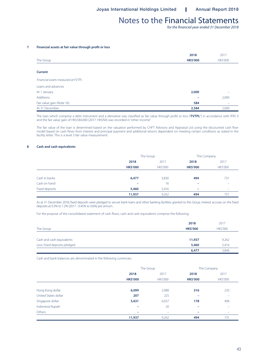*for the financial year ended 31 December 2018*

### **7 Financial assets at fair value through profit or loss**

|                                    | 2018            | 2017            |
|------------------------------------|-----------------|-----------------|
| The Group                          | <b>HK\$'000</b> | <b>HK\$'000</b> |
|                                    |                 |                 |
| <b>Current</b>                     |                 |                 |
| Financial assets measured at FVTPL |                 |                 |
| Loans and advances                 |                 |                 |
| At 1 January                       | 2,000           |                 |
| <b>Additions</b>                   |                 | 2,000           |
| Fair value gain (Note 16)          | 584             |                 |
| At 31 December                     | 2,584           | 2,000           |

The loan which comprise a debt instrument and a derivative was classified as fair value through profit or loss ("**FVTPL**") in accordance with IFRS 9 and the fair value gain of HK\$584,000 (2017: HK\$Nil) was recorded in "other income".

The fair value of the loan is determined based on the valuation performed by CHFT Advisory and Appraisal Ltd using the discounted cash flow model based on cash flows from interest and principal payment and additional returns dependent on meeting certain conditions as stated in the facility letter. This is a level 3 fair value measurement.

# **8 Cash and cash equivalents**

|                |                          | The Group       |                          | The Company              |
|----------------|--------------------------|-----------------|--------------------------|--------------------------|
|                | 2018                     | 2017            | 2018                     | 2017                     |
|                | <b>HK\$'000</b>          | <b>HK\$'000</b> | <b>HK\$'000</b>          | HK\$'000                 |
|                |                          |                 |                          |                          |
| Cash in banks  | 6,477                    | 3,830           | 494                      | 731                      |
| Cash on hand   | $\overline{\phantom{0}}$ | 16              | $\overline{\phantom{a}}$ |                          |
| Fixed deposits | 5,460                    | 5,416           | $\overline{\phantom{0}}$ | $\overline{\phantom{0}}$ |
|                | 11,937                   | 9,262           | 494                      | 731                      |

As at 31 December 2018, fixed deposits were pledged to secure bank loans and other banking facilities granted to the Group. Interest accrues on the fixed deposits at 0.3% to 1.2% (2017 - 0.45% to 0.6%) per annum.

For the purpose of the consolidated statement of cash flows, cash and cash equivalents comprise the following:

|                              | 2018            | 2017            |
|------------------------------|-----------------|-----------------|
| The Group                    | <b>HK\$'000</b> | <b>HK\$'000</b> |
|                              |                 |                 |
| Cash and cash equivalents    | 11,937          | 9,262           |
| Less: Fixed deposits pledged | 5,460           | 5,416           |
|                              | 6,477           | 3,846           |

Cash and bank balances are denominated in the following currencies:

|                      | The Group                |                          |                          | The Company     |
|----------------------|--------------------------|--------------------------|--------------------------|-----------------|
|                      | 2018                     | 2017                     | 2018                     | 2017            |
|                      | <b>HK\$'000</b>          | <b>HK\$'000</b>          | <b>HK\$'000</b>          | <b>HK\$'000</b> |
|                      |                          |                          |                          |                 |
| Hong Kong dollar     | 6,099                    | 2,980                    | 316                      | 235             |
| United States dollar | 207                      | 225                      |                          |                 |
| Singapore dollar     | 5,631                    | 6,037                    | 178                      | 496             |
| Indonesia Rupiah     | $\overline{\phantom{0}}$ | 20                       | $\overline{\phantom{0}}$ |                 |
| Others               | $\overline{\phantom{a}}$ | $\overline{\phantom{0}}$ | -                        |                 |
|                      | 11,937                   | 9,262                    | 494                      | 731             |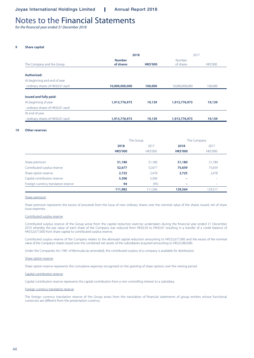*for the financial year ended 31 December 2018*

## **9 Share capital**

|                                    | 2018                       |                |                            | 2017            |  |
|------------------------------------|----------------------------|----------------|----------------------------|-----------------|--|
| The Company and the Group          | <b>Number</b><br>of shares | <b>HKS'000</b> | <b>Number</b><br>of shares | <b>HK\$'000</b> |  |
| Authorised:                        |                            |                |                            |                 |  |
| At beginning and end of year       |                            |                |                            |                 |  |
| - ordinary shares of HK\$0.01 each | 10,000,000,000             | 100,000        | 10,000,000,000             | 100.000         |  |
|                                    |                            |                |                            |                 |  |
| Issued and fully paid:             |                            |                |                            |                 |  |
| At beginning of year               | 1,913,776,973              | 19,139         | 1,913,776,973              | 19,139          |  |
| - ordinary shares of HK\$0.01 each |                            |                |                            |                 |  |
| At end of year                     |                            |                |                            |                 |  |
| - ordinary shares of HK\$0.01 each | 1,913,776,973              | 19,139         | 1,913,776,973              | 19,139          |  |

## **10 Other reserves**

|                                      | The Group       |                 | The Company     |                 |
|--------------------------------------|-----------------|-----------------|-----------------|-----------------|
|                                      | 2018            | 2017            | 2018            | 2017            |
|                                      | <b>HK\$'000</b> | <b>HK\$'000</b> | <b>HK\$'000</b> | <b>HK\$'000</b> |
|                                      |                 |                 |                 |                 |
| Share premium                        | 51,180          | 51,180          | 51,180          | 51,180          |
| Contributed surplus reserve          | 52,677          | 52,677          | 75,659          | 75,659          |
| Share option reserve                 | 2,725           | 2,478           | 2,725           | 2,478           |
| Capital contribution reserve         | 5,306           | 5,306           |                 |                 |
| Foreign currency translation reserve | 94              | (95)            | -               |                 |
|                                      | 111,982         | 111,546         | 129,564         | 129,317         |

# Share premium

Share premium represents the excess of proceeds from the issue of new ordinary shares over the nominal value of the shares issued, net of share issue expenses.

# Contributed surplus reserve

Contributed surplus reserve of the Group arose from the capital reduction exercise undertaken during the financial year ended 31 December 2010 whereby the par value of each share of the Company was reduced from HK\$0.50 to HK\$0.01 resulting in a transfer of a credit balance of HK\$52,677,000 from share capital to contributed surplus reserve.

Contributed surplus reserve of the Company relates to the aforesaid capital reduction amounting to HK\$52,677,000 and the excess of the nominal value of the Company's shares issued over the combined net assets of the subsidiaries acquired amounting to HK\$22,982,000.

Under the Companies Act 1981 of Bermuda (as amended), the contributed surplus of a company is available for distribution.

#### Share option reserve

Share option reserve represents the cumulative expenses recognised on the granting of share options over the vesting period.

#### Capital contribution reserve

Capital contribution reserve represents the capital contribution from a non-controlling interest to a subsidiary.

#### Foreign currency translation reserve

The foreign currency translation reserve of the Group arises from the translation of financial statements of group entities whose functional currencies are different from the presentation currency.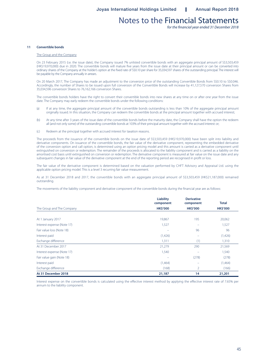*for the financial year ended 31 December 2018*

#### **11 Convertible bonds**

# The Group and the Company

On 23 February 2015 (i.e. the issue date), the Company issued 7% unlisted convertible bonds with an aggregate principal amount of S\$3,503,459 (HK\$19,970,000) due in 2020. The convertible bonds will mature five years from the issue date at their principal amount or can be converted into ordinary shares of the Company at the holder's option at the fixed rate of S\$0.10 per share for 35,034,597 shares of the outstanding principal. The interest will be payable by the Company annually in arrears.

On 20 March 2017, The Company has made an adjustment to the conversion price of the outstanding Convertible Bonds from S\$0.10 to S\$0.046. Accordingly, the number of Shares to be issued upon full conversion of the Convertible Bonds will increase by 41,127,570 conversion Shares from 35,034,596 conversion Shares to 76,162,166 conversion Shares.

The convertible bonds holders have the right to convert their convertible bonds into new shares at any time on or after one year from the issue date. The Company may early redeem the convertible bonds under the following conditions:

- (a) If at any time, the aggregate principal amount of the convertible bonds outstanding is less than 10% of the aggregate principal amount originally issued. In this situation, the Company can redeem the convertible bonds at the principal amount together with accrued interest;
- (b) At any time after 3 years of the issue date of the convertible bonds before the maturity date, the Company shall have the option the redeem all (and not only some) of the outstanding convertible bonds at 103% of their principal amount together with the accrued interest: or;
- (c) Redeem at the principal together with accrued interest for taxation reasons.

The proceeds from the issuance of the convertible bonds on the issue date of S\$3,503,459 (HK\$19,970,000) have been split into liability and derivative components. On issuance of the convertible bonds, the fair value of the derivative component, representing the embedded derivative of the conversion option and call option, is determined using an option pricing model and this amount is carried as a derivative component until extinguished on conversion or redemption. The remainder of the proceeds is allocated to the liability component and is carried as a liability on the amortised cost basis until extinguished on conversion or redemption. The derivative component is measured at fair value on the issue date and any subsequent changes in fair value of the derivative component at the end of the reporting period are recognised in profit or loss.

The fair value of the derivative component is determined based on the valuation performed by CHFT Advisory and Appraisal Ltd. using the applicable option pricing model. This is a level 3 recurring fair value measurement.

As at 31 December 2018 and 2017, the convertible bonds with an aggregate principal amount of S\$3,503,459 (HK\$21,187,000) remained outstanding.

The movements of the liability component and derivative component of the convertible bonds during the financial year are as follows:

|                            | Liability<br>component | <b>Derivative</b><br>component | <b>Total</b>    |  |
|----------------------------|------------------------|--------------------------------|-----------------|--|
| The Group and The Company  | <b>HK\$'000</b>        | <b>HK\$'000</b>                | <b>HK\$'000</b> |  |
|                            |                        |                                |                 |  |
| At 1 January 2017          | 19,867                 | 195                            | 20,062          |  |
| Interest expense (Note 17) | 1,527                  | -                              | 1,527           |  |
| Fair value loss (Note 18)  |                        | 96                             | 96              |  |
| Interest paid              | (1,426)                |                                | (1,426)         |  |
| Exchange difference        | 1,311                  | (1)                            | 1,310           |  |
| At 31 December 2017        | 21,279                 | 290                            | 21,569          |  |
| Interest expense (Note 17) | 1,540                  |                                | 1,540           |  |
| Fair value gain (Note 18)  |                        | (278)                          | (278)           |  |
| Interest paid              | (1,464)                |                                | (1,464)         |  |
| Exchange difference        | (168)                  | $\overline{2}$                 | (166)           |  |
| At 31 December 2018        | 21,187                 | 14                             | 21,201          |  |

Interest expense on the convertible bonds is calculated using the effective interest method by applying the effective interest rate of 7.65% per annum to the liability component.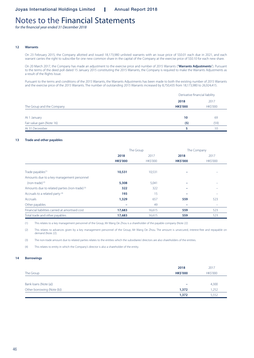*for the financial year ended 31 December 2018*

## **12 Warrants**

On 23 February 2015, the Company allotted and issued 18,173,980 unlisted warrants with an issue price of S\$0.01 each due in 2021, and each warrant carries the right to subscribe for one new common share in the capital of the Company at the exercise price of S\$0.10 for each new share.

On 20 March 2017, the Company has made an adjustment to the exercise price and number of 2015 Warrants ("**Warrants Adjustments**"). Pursuant to the terms of the deed poll dated 15 January 2015 constituting the 2015 Warrants, the Company is required to make the Warrants Adjustments as a result of the Rights Issue.

Pursuant to the terms and conditions of the 2015 Warrants, the Warrants Adjustments has been made to both the existing number of 2015 Warrants and the exercise price of the 2015 Warrants. The number of outstanding 2015 Warrants increased by 8,750,435 from 18,173,980 to 26,924,415.

|                           | Derivative financial liability |      |  |
|---------------------------|--------------------------------|------|--|
|                           | 2018                           | 2017 |  |
| The Group and the Company | <b>HK\$'000</b>                |      |  |
|                           |                                |      |  |
| At 1 January              | 10                             | 69   |  |
| Fair value gain (Note 16) | (5)                            | (59) |  |
| At 31 December            |                                | 10   |  |

## **13 Trade and other payables**

|                                                 | The Group       |                |                 | The Company     |
|-------------------------------------------------|-----------------|----------------|-----------------|-----------------|
|                                                 | 2018            | 2017           | 2018            | 2017            |
|                                                 | <b>HK\$'000</b> | <b>HKS'000</b> | <b>HK\$'000</b> | <b>HK\$'000</b> |
|                                                 |                 |                |                 |                 |
| Trade payables <sup>(1)</sup>                   | 10,531          | 10,531         |                 |                 |
| Amounts due to a key management personnel       |                 |                |                 |                 |
| $(non-trade)^{(2)}$                             | 5,308           | 5,041          |                 |                 |
| Amounts due to related parties (non-trade) (3)  | 322             | 322            |                 |                 |
| Accruals to a related party (4)                 | 193             | 15             |                 |                 |
| <b>Accruals</b>                                 | 1,329           | 657            | 559             | 523             |
| Other payables                                  |                 | 49             |                 |                 |
| Financial liabilities carried at amortised cost | 17,683          | 16,615         | 559             | 523             |
| Total trade and other payables                  | 17,683          | 16,615         | 559             | 523             |

(1) This relates to a key management personnel of the Group, Mr Wang De Zhou is a shareholder of the payable company (Note 22)

(2) This relates to advances given by a key management personnel of the Group, Mr Wang De Zhou. The amount is unsecured, interest-free and repayable on demand (Note 22).

(3) The non-trade amount due to related parties relates to the entities which the subsidiaries' directors are also shareholders of the entities.

(4) This relates to entity in which the Company's director is also a shareholder of the entity.

#### **14 Borrowings**

|                            | 2018            | 2017            |
|----------------------------|-----------------|-----------------|
| The Group                  | <b>HK\$'000</b> | <b>HK\$'000</b> |
|                            |                 |                 |
| Bank loans (Note (a))      | -               | 4,300           |
| Other borrowing (Note (b)) | 1,372           | 1,252           |
|                            | 1,372           | 5,552           |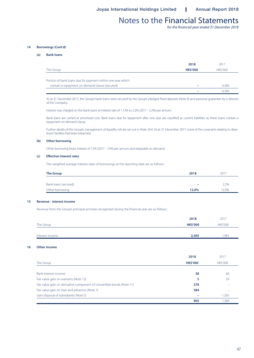*for the financial year ended 31 December 2018*

## **14 Borrowings (Cont'd)**

### **(a) Bank loans**

|                                                             | 2018            | 2017            |
|-------------------------------------------------------------|-----------------|-----------------|
| The Group                                                   | <b>HK\$'000</b> | <b>HK\$'000</b> |
|                                                             |                 |                 |
| Portion of bank loans due for payment within one year which |                 |                 |
| contain a repayment on demand clause (secured)              |                 | 4.300           |
|                                                             |                 | 4.300           |

As at 31 December 2017, the Group's bank loans were secured by the Group's pledged fixed deposits (Note 8) and personal guarantee by a director of the Company.

Interest was charged on the bank loans at interest rate of 1.12% to 2.2% (2017 - 2.2%) per annum.

Bank loans are carried at amortised cost. Bank loans due for repayment after one year are classified as current liabilities as these loans contain a repayment on demand clause.

Further details of the Group's management of liquidity risk are set out in Note 24.4. As at 31 December 2017, none of the covenants relating to drawdown facilities had been breached.

## **(b) Other borrowing**

Other borrowing bears interest of 12% (2017 - 12%) per annum and repayable on demand.

# **(c) Effective interest rates**

The weighted average interest rates of borrowings at the reporting date are as follows:

| <b>The Group</b>     | 2018  | 2017  |
|----------------------|-------|-------|
|                      |       |       |
| Bank loans (secured) |       | 2.2%  |
| Other borrowing      | 12.0% | 12.0% |

#### **15 Revenue - interest income**

Revenue from the Group's principal activities recognised during the financial year are as follows:

|                 | 2018            | 2017     |
|-----------------|-----------------|----------|
| The Group       | <b>HK\$'000</b> | HK\$'000 |
|                 |                 |          |
| Interest income | 2,565           | 1,981    |

## **16 Other income**

|                                                                        | 2018            | 2017            |
|------------------------------------------------------------------------|-----------------|-----------------|
| The Group                                                              | <b>HK\$'000</b> | <b>HK\$'000</b> |
| Bank interest income                                                   | 38              | 60              |
| Fair value gain on warrants (Note 12)                                  |                 | 59              |
| Fair value gain on derivative component of convertible bonds (Note 11) | 278             |                 |
| Fair value gain on loan and advances (Note 7)                          | 584             |                 |
| Gain disposal of subsidiaries (Note 5)                                 |                 | 1,265           |
|                                                                        | 905             | .384            |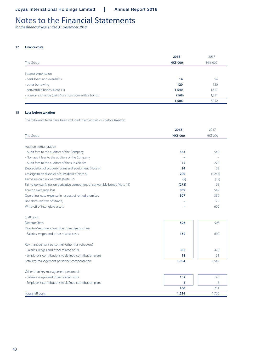*for the financial year ended 31 December 2018*

## **17 Finance costs**

|                                                       | 2018            | 2017            |
|-------------------------------------------------------|-----------------|-----------------|
| The Group                                             | <b>HK\$'000</b> | <b>HK\$'000</b> |
|                                                       |                 |                 |
| Interest expense on                                   |                 |                 |
| - bank loans and overdrafts                           | 14              | 94              |
| - other borrowing                                     | 120             | 120             |
| - convertible bonds (Note 11)                         | 1,540           | 1,527           |
| - Foreign exchange (gain)/loss from convertible bonds | (168)           | 1,311           |
|                                                       | 1,506           | 3,052           |

# **18 Loss before taxation**

The following items have been included in arriving at loss before taxation:

|                                                                               | 2018            | 2017            |
|-------------------------------------------------------------------------------|-----------------|-----------------|
| The Group                                                                     | <b>HK\$'000</b> | <b>HK\$'000</b> |
|                                                                               |                 |                 |
| Auditors' remuneration                                                        |                 |                 |
| - Audit fees to the auditors of the Company                                   | 563             | 540             |
| - Non audit fees to the auditors of the Company                               |                 |                 |
| - Audit fees to the auditors of the subsidiaries                              | 75              | 270             |
| Depreciation of property, plant and equipment (Note 4)                        | 24              | 28              |
| Loss/(gain) on disposal of subsidiaries (Note 5)                              | 200             | (1,265)         |
| Fair value gain on warrants (Note 12)                                         | (5)             | (59)            |
| Fair value (gain)/loss on derivative component of convertible bonds (Note 11) | (278)           | 96              |
| Foreign exchange loss                                                         | 839             | 549             |
| Operating lease expense in respect of rented premises                         | 307             | 339             |
| Bad debts written off (trade)                                                 |                 | 125             |
| Write-off of intangible assets                                                |                 | 600             |

# Staff costs

| Directors' fees                                          | 526   | 508   |
|----------------------------------------------------------|-------|-------|
| Directors' remuneration other than directors' fee        |       |       |
| - Salaries, wages and other related costs                | 150   | 600   |
|                                                          |       |       |
| Key management personnel (other than directors)          |       |       |
| - Salaries, wages and other related costs                | 360   | 420   |
| - Employer's contributions to defined contribution plans | 18    |       |
| Total key management personnel compensation              | 1,054 | 1,549 |
|                                                          |       |       |

 $\overline{\phantom{a}}$  $\overline{a}$ 

| Other than key management personnel                      |       |              |
|----------------------------------------------------------|-------|--------------|
| - Salaries, wages and other related costs                | 152   | 193          |
| - Employer's contributions to defined contribution plans |       |              |
|                                                          | 160   | $20^{\circ}$ |
| Total staff costs                                        | 1.214 | .750         |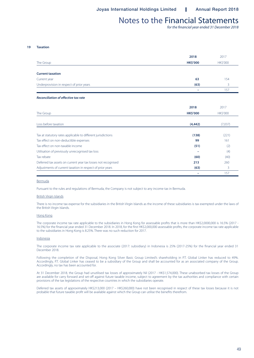*for the financial year ended 31 December 2018*

#### **19 Taxation**

|                                                               | 2018            | 2017            |
|---------------------------------------------------------------|-----------------|-----------------|
| The Group                                                     | <b>HK\$'000</b> | <b>HKS'000</b>  |
|                                                               |                 |                 |
| <b>Current taxation</b>                                       |                 |                 |
| Current year                                                  | 63              | 154             |
| Underprovision in respect of prior years                      | (63)            | 3               |
|                                                               |                 | 157             |
| <b>Reconciliation of effective tax rate</b>                   |                 |                 |
|                                                               | 2018            | 2017            |
| The Group                                                     | <b>HK\$'000</b> | <b>HK\$'000</b> |
| Loss before taxation                                          | (4, 442)        | (7,037)         |
|                                                               |                 |                 |
| Tax at statutory rates applicable to different jurisdictions  | (138)           | (221)           |
| Tax effect on non-deductible expenses                         | 99              | 161             |
| Tax effect on non-taxable income                              | (51)            | (2)             |
| Utilisation of previously unrecognised tax loss               |                 | (4)             |
| Tax rebate                                                    | (60)            | (40)            |
| Deferred tax assets on current year tax losses not recognised | 213             | 260             |
| Adjustments of current taxation in respect of prior years     | (63)            | 3               |
|                                                               |                 | 157             |

#### Bermuda

Pursuant to the rules and regulations of Bermuda, the Company is not subject to any income tax in Bermuda.

#### British Virgin Islands

There is no income tax expense for the subsidiaries in the British Virgin Islands as the income of these subsidiaries is tax exempted under the laws of the British Virgin Islands.

## Hong Kong

The corporate income tax rate applicable to the subsidiaries in Hong Kong for assessable profits that is more than HK\$2,0000,000 is 16.5% (2017 -16.5%) for the financial year ended 31 December 2018. In 2018, for the first HK\$2,000,000 assessable profits, the corporate income tax rate applicable to the subsidiaries in Hong Kong is 8.25%. There was no such reduction for 2017.

#### Indonesia

The corporate income tax rate applicable to the associate (2017: subsidiary) in Indonesia is 25% (2017-25%) for the financial year ended 31 December 2018.

Following the completion of the Disposal, Hong Kong Silver Basic Group Limited's shareholding in P.T. Global Linker has reduced to 49%. Accordingly, P.T. Global Linker has ceased to be a subsidiary of the Group and shall be accounted for as an associated company of the Group. Accordingly, no tax has been accounted for.

At 31 December 2018, the Group had unutilised tax losses of approximately Nil (2017 - HK\$1,574,000). These unabsorbed tax losses of the Group are available for carry forward and set-off against future taxable income, subject to agreement by the tax authorities and compliance with certain provisions of the tax legislations of the respective countries in which the subsidiaries operate.

Deferred tax assets of approximately HK\$213,000 (2017 – HK\$260,000) have not been recognised in respect of these tax losses because it is not probable that future taxable profit will be available against which the Group can utilise the benefits therefrom.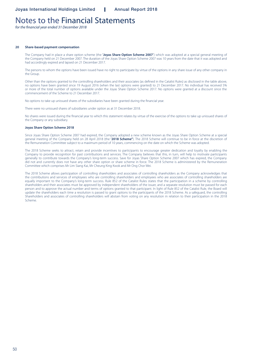*for the financial year ended 31 December 2018*

#### **20 Share-based payment compensation**

The Company had in place a share option scheme (the "**Joyas Share Option Scheme 2007**") which was adopted at a special general meeting of the Company held on 21 December 2007. The duration of the Joyas Share Option Scheme 2007 was 10 years from the date that it was adopted and had accordingly expired and lapsed on 21 December 2017.

The persons to whom the options have been issued have no right to participate by virtue of the options in any share issue of any other company in the Group.

Other than the options granted to the controlling shareholders and their associates (as defined in the Catalist Rules) as disclosed in the table above, no options have been granted since 19 August 2016 (when the last options were granted) to 21 December 2017. No individual has received 5% or more of the total number of options available under the Joyas Share Option Scheme 2017. No options were granted at a discount since the commencement of the Scheme to 21 December 2017.

No options to take up unissued shares of the subsidiaries have been granted during the financial year.

There were no unissued shares of subsidiaries under option as at 31 December 2018.

No shares were issued during the financial year to which this statement relates by virtue of the exercise of the options to take up unissued shares of the Company or any subsidiary.

### **Joyas Share Option Scheme 2018**

Since Joyas Share Option Scheme 2007 had expired, the Company adopted a new scheme known as the Joyas Share Option Scheme at a special general meeting of the Company held on 28 April 2018 (the "**2018 Scheme"**). The 2018 Scheme will continue to be in force at the discretion of the Remuneration Committee subject to a maximum period of 10 years, commencing on the date on which the Scheme was adopted.

The 2018 Scheme seeks to attract, retain and provide incentives to participants to encourage greater dedication and loyalty by enabling the Company to provide recognition for past contributions and services. The Company believes that this, in turn, will help to motivate participants generally to contribute towards the Company's long-term success. Save for Joyas Share Option Scheme 2007 which has expired, the Company did not and currently does not have any other share option or share scheme in force. The 2018 Scheme is administered by the Remuneration Committee which comprises Mr Lim Siang Kai, Mr Cheung King Kwok and Mr Ong Chor Wei.

The 2018 Scheme allows participation of controlling shareholders and associates of controlling shareholders as the Company acknowledges that the contributions and services of employees who are controlling shareholders and employees who are associates of controlling shareholders are equally important to the Company's long-term success. Rule 852 of the Catalist Rules states that the participation in a scheme by controlling shareholders and their associates must be approved by independent shareholders of the issuer, and a separate resolution must be passed for each person and to approve the actual number and terms of options granted to that participant. In light of Rule 852 of the Catalist Rule, the Board will update the shareholders each time a resolution is passed to grant options to the participants of the 2018 Scheme. As a safeguard, the controlling Shareholders and associates of controlling shareholders will abstain from voting on any resolution in relation to their participation in the 2018 Scheme.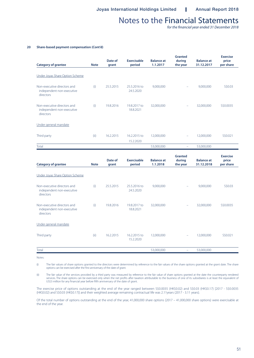*for the financial year ended 31 December 2018*

# **20 Share-based payment compensation (Cont'd)**

| <b>Category of grantee</b>                                            | <b>Note</b> | Date of<br>grant | <b>Exercisable</b><br>period | <b>Balance at</b><br>1.1.2017 | <b>Granted</b><br>during<br>the year | <b>Balance</b> at<br>31.12.2017 | <b>Exercise</b><br>price<br>per share |
|-----------------------------------------------------------------------|-------------|------------------|------------------------------|-------------------------------|--------------------------------------|---------------------------------|---------------------------------------|
|                                                                       |             |                  |                              |                               |                                      |                                 |                                       |
| Under Joyas Share Option Scheme                                       |             |                  |                              |                               |                                      |                                 |                                       |
| Non-executive directors and<br>independent non-executive<br>directors | (i)         | 25.5.2015        | 25.5.2016 to<br>24.5.2020    | 9,000,000                     |                                      | 9,000,000                       | S\$0.03                               |
| Non-executive directors and<br>independent non-executive<br>directors | (i)         | 19.8.2016        | 19.8.2017 to<br>18.8.2021    | 32,000,000                    |                                      | 32,000,000                      | S\$0.0035                             |
| Under general mandate                                                 |             |                  |                              |                               |                                      |                                 |                                       |
| Third party                                                           | (iii)       | 16.2.2015        | 16.2.2015 to<br>15.2.2020    | 12,000,000                    |                                      | 12,000,000                      | S\$0.021                              |
| <b>Total</b>                                                          |             |                  |                              | 53,000,000                    |                                      | 53,000,000                      |                                       |
| <b>Category of grantee</b>                                            | <b>Note</b> | Date of<br>grant | <b>Exercisable</b><br>period | <b>Balance at</b><br>1.1.2018 | <b>Granted</b><br>during<br>the year | <b>Balance at</b><br>31.12.2018 | <b>Exercise</b><br>price<br>per share |
|                                                                       |             |                  |                              |                               |                                      |                                 |                                       |
| Under Joyas Share Option Scheme                                       |             |                  |                              |                               |                                      |                                 |                                       |
| Non-executive directors and<br>independent non-executive<br>directors | (i)         | 25.5.2015        | 25.5.2016 to<br>24.5.2020    | 9,000,000                     |                                      | 9,000,000                       | S\$0.03                               |
| Non-executive directors and<br>independent non-executive<br>directors | (i)         | 19.8.2016        | 19.8.2017 to<br>18.8.2021    | 32,000,000                    |                                      | 32,000,000                      | S\$0.0035                             |
| Under general mandate                                                 |             |                  |                              |                               |                                      |                                 |                                       |
| Third party                                                           | (iii)       | 16.2.2015        | 16.2.2015 to<br>15.2.2020    | 12,000,000                    |                                      | 12,000,000                      | S\$0.021                              |
| Total                                                                 |             |                  |                              | 53,000,000                    | $\equiv$                             | 53,000,000                      |                                       |

Notes:

(i) The fair values of share options granted to the directors were determined by reference to the fair values of the share options granted at the grant date. The share options can be exercised after the first anniversary of the date of grant.

(ii) The fair value of the services provided by a third party was measured by reference to the fair value of share options granted at the date the counterparty rendered services. The share options can be exercised only when the net profits after taxation attributable to the business of one of its subsidiaries is at least the equivalent of US\$3 million for any financial year before fifth anniversary of the date of grant.

The exercise price of options outstanding at the end of the year ranged between S\$0.0035 (HK\$0.02) and S\$0.03 (HK\$0.17) [2017 - S\$0.0035 (HK\$0.02) and S\$0.03 (HK\$0.17)] and their weighted average remaining contractual life was 2.11years (2017 - 3.11 years).

Of the total number of options outstanding at the end of the year, 41,000,000 share options (2017 – 41,000,000 share options) were exercisable at the end of the year.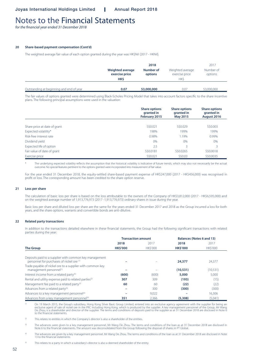*for the financial year ended 31 December 2018*

#### **20 Share-based payment compensation (Cont'd)**

The weighted average fair value of each option granted during the year was HK\$Nil (2017 - HKNil).

| <b>Weighted average</b><br>exercise price<br><b>HKS</b> | Number of<br>options | Weighted average<br>exercise price<br><b>HKS</b> | Number of<br>options |
|---------------------------------------------------------|----------------------|--------------------------------------------------|----------------------|
| Outstanding at beginning and end of year<br>0.07        | 53,000,000           | 0.07                                             | 53,000,000           |

The fair values of options granted were determined using Black-Scholes Pricing Model that takes into account factors specific to the share incentive plans. The following principal assumptions were used in the valuation:

|                              | <b>Share options</b><br>granted in<br>February 2015 | <b>Share options</b><br>granted in<br><b>May 2015</b> | <b>Share options</b><br>granted in<br>August 2016 |
|------------------------------|-----------------------------------------------------|-------------------------------------------------------|---------------------------------------------------|
| Share price at date of grant | S\$0.021                                            | S\$0.029                                              | S\$0.003                                          |
| Expected volatility*         | 198%                                                | 199%                                                  | 199%                                              |
| Risk-free interest rate      | 0.98%                                               | 1.19%                                                 | 0.99%                                             |
| Dividend yield               | 0%                                                  | 0%                                                    | $0\%$                                             |
| Expected life of option      | 2.5                                                 | 3                                                     |                                                   |
| Fair value of date of grant  | S\$0.0181                                           | S\$0.0265                                             | S\$0,0018                                         |
| Exercise price               | S\$0.021                                            | S\$0.03                                               | S\$0,0035                                         |

The underlying expected volatility reflects the assumption that the historical volatility is indicative of future trends, which may also not necessarily be the actual outcome. No special features pertinent to the options granted were incorporated into measurement of fair value.

For the year ended 31 December 2018, the equity-settled share-based payment expense of HK\$247,000 (2017 - HK\$456,000) was recognised in profit or loss. The corresponding amount has been credited to the share option reserve.

### **21 Loss per share**

The calculation of basic loss per share is based on the loss attributable to the owners of the Company of HK\$3,812,000 (2017 - HK\$6,595,000) and on the weighted average number of 1,913,776,973 (2017 -1,913,776,973) ordinary shares in issue during the year.

Basic loss per share and diluted loss per share are the same for the years ended 31 December 2017 and 2018 as the Group incurred a loss for both years, and the share options, warrants and convertible bonds are anti-dilutive.

#### **22 Related party transactions**

In addition to the transactions detailed elsewhere in these financial statements, the Group had the following significant transactions with related parties during the year:

|                                                                                                     | <b>Transaction amount</b> |                | <b>Balances (Notes 6 and 13)</b> |                 |
|-----------------------------------------------------------------------------------------------------|---------------------------|----------------|----------------------------------|-----------------|
|                                                                                                     | 2018                      | 2017           | 2018                             | 2017            |
| <b>The Group</b>                                                                                    | <b>HKS'000</b>            | <b>HKS'000</b> | <b>HKS'000</b>                   | <b>HK\$'000</b> |
| Deposits paid to a supplier with common key management<br>personnel for purchases of nickel ore (1) |                           |                | 24,377                           | 24,377          |
| Trade payable of nickel ore to a supplier with common key<br>management personnel <sup>(1)</sup>    |                           |                | (10, 531)                        | (10,531)        |
| Interest income from a related party <sup>(5)</sup>                                                 | (600)                     | (600)          | 5,000                            | 5,000           |
| Rental and utility expense paid to related parties <sup>(2)</sup>                                   | 307                       | 309            | (193)                            | (15)            |
| Management fee paid to a related party <sup>(2)</sup>                                               | 60                        | 60             | (22)                             | (22)            |
| Advances from a related party <sup>(5)</sup>                                                        |                           | 300            | (300)                            | (300)           |
| Advances to a key management personnel <sup>(3)</sup>                                               |                           | 9,022          |                                  | 16,306          |
| Advances from a key management personnel <sup>(4)</sup>                                             | 351                       | 2.366          | (5,308)                          | (5,041)         |

On 19 March 2015, the Group's subsidiary, Hong Kong Silver Basic Group Limited, entered into an exclusive agency agreement with the supplier for being an<br>exclusive agent of sale of nickel ore in the PRC including Hong Kong to the financial statements.

(2) This relates to entities in which the Company's director is also a shareholder of the entities.

<sup>(3)</sup> The advances were given to a key management personnel, Mr Wang De Zhou. The terms and conditions of the loan as at 31 December 2018 are disclosed in<br>Note 6 to the financial statements. The amount was deconsolidated f

<sup>(4)</sup> The advances are given by a key management personnel, Mr Wang De Zhou. The terms and conditions of the loan as at 31 December 2018 are disclosed in Note 13 to the financial statements

 $(5)$  This relates to a party in which a subsidiary's director is also a deemed shareholder of the entity.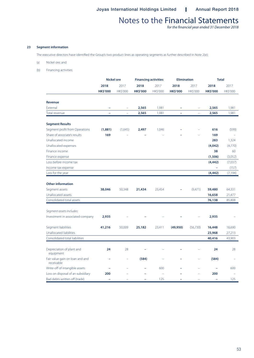*for the financial year ended 31 December 2018*

# **23 Segment information**

The executive directors have identified the Group's two product lines as operating segments as further described in Note 2(e):

- (a) Nickel ore; and
- (b) Financing activities.

|                                               | <b>Nickel ore</b> |          |                 | <b>Financing activities</b> |                          | <b>Elimination</b> |                 | <b>Total</b> |  |
|-----------------------------------------------|-------------------|----------|-----------------|-----------------------------|--------------------------|--------------------|-----------------|--------------|--|
|                                               | 2018              | 2017     | 2018            | 2017                        | 2018                     | 2017               | 2018            | 2017         |  |
|                                               | <b>HK\$'000</b>   | HK\$'000 | <b>HK\$'000</b> | HK\$'000                    | <b>HK\$'000</b>          | HK\$'000           | <b>HK\$'000</b> | HK\$'000     |  |
|                                               |                   |          |                 |                             |                          |                    |                 |              |  |
| <b>Revenue</b>                                |                   |          |                 |                             |                          |                    |                 |              |  |
| External                                      |                   |          | 2,565           | 1,981                       | $\overline{\phantom{0}}$ |                    | 2,565           | 1,981        |  |
| Total revenue                                 |                   |          | 2,565           | 1,981                       |                          |                    | 2,565           | 1,981        |  |
| <b>Segment Results</b>                        |                   |          |                 |                             |                          |                    |                 |              |  |
| Segment profit from Operations                | (1,881)           | (1,645)  | 2,497           | 1,046                       |                          |                    | 616             | (599)        |  |
| Share of associate's results                  | 169               |          |                 |                             |                          |                    | 169             |              |  |
| Unallocated income                            |                   |          |                 |                             |                          |                    | 283             | 1,324        |  |
| Unallocated expenses                          |                   |          |                 |                             |                          |                    | (4,042)         | (4,770)      |  |
| Finance income                                |                   |          |                 |                             |                          |                    | 38              | 60           |  |
| Finance expense                               |                   |          |                 |                             |                          |                    | (1,506)         | (3,052)      |  |
| Loss before income tax                        |                   |          |                 |                             |                          |                    | (4, 442)        | (7,037)      |  |
| Income tax expense                            |                   |          |                 |                             |                          |                    |                 | (157)        |  |
| Loss for the year                             |                   |          |                 |                             |                          |                    | (4, 442)        | (7, 194)     |  |
|                                               |                   |          |                 |                             |                          |                    |                 |              |  |
| <b>Other information</b>                      |                   |          |                 |                             |                          |                    |                 |              |  |
| Segment assets                                | 38,046            | 50,348   | 21,434          | 23,454                      |                          | (9,471)            | 59,480          | 64,331       |  |
| Unallocated assets                            |                   |          |                 |                             |                          |                    | 16,658          | 21,477       |  |
| Consolidated total assets                     |                   |          |                 |                             |                          |                    | 76,138          | 85,808       |  |
| Segment assets includes:                      |                   |          |                 |                             |                          |                    |                 |              |  |
| Investment in associated company              | 2,935             |          |                 |                             |                          |                    | 2,935           |              |  |
|                                               |                   |          |                 |                             |                          |                    |                 |              |  |
| Segment liabilities                           | 41,216            | 50,009   | 25,182          | 23,411                      | (49, 950)                | (56,730)           | 16,448          | 16,690       |  |
| Unallocated liabilities                       |                   |          |                 |                             |                          |                    | 23,968          | 27,213       |  |
| Consolidated total liabilities                |                   |          |                 |                             |                          |                    | 40,416          | 43,903       |  |
|                                               |                   |          |                 |                             |                          |                    |                 |              |  |
| Depreciation of plant and<br>equipment        | 24                | 28       |                 |                             |                          |                    | 24              | 28           |  |
| Fair value gain on loan and and<br>receivable |                   |          | (584)           |                             |                          |                    | (584)           |              |  |
| Write-off of intangible assets                |                   |          |                 | 600                         |                          |                    | $\overline{a}$  | 600          |  |
| Loss on disposal of an subsidiary             | 200               |          |                 |                             |                          |                    | 200             |              |  |
| Bad debts written off (trade)                 |                   |          |                 | 125                         |                          |                    |                 | 125          |  |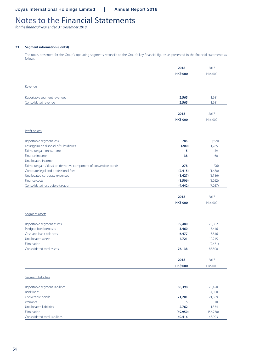*for the financial year ended 31 December 2018*

# **23 Segment information (Cont'd)**

The totals presented for the Group's operating segments reconcile to the Group's key financial figures as presented in the financial statements as follows:

|                                                                       | 2018                     | 2017            |
|-----------------------------------------------------------------------|--------------------------|-----------------|
|                                                                       | <b>HK\$'000</b>          | <b>HK\$'000</b> |
|                                                                       |                          |                 |
|                                                                       |                          |                 |
| Revenue                                                               |                          |                 |
| Reportable segment revenues                                           | 2,565                    | 1,981           |
| Consolidated revenue                                                  | 2,565                    | 1,981           |
|                                                                       |                          |                 |
|                                                                       | 2018                     | 2017            |
|                                                                       | <b>HK\$'000</b>          | HK\$'000        |
|                                                                       |                          |                 |
| Profit or loss                                                        |                          |                 |
| Reportable segment loss                                               | 785                      | (599)           |
| Loss/(gain) on disposal of subsidiaries                               | (200)                    | 1,265           |
| Fair value gain on warrants                                           | 5                        | 59              |
| Finance income                                                        | 38                       | 60              |
| Unallocated income                                                    |                          |                 |
| Fair value gain / (loss) on derivative component of convertible bonds | 278                      | (96)            |
| Corporate legal and professional fees                                 | (2, 415)                 | (1,488)         |
|                                                                       |                          |                 |
| Unallocated corporate expenses                                        | (1, 427)                 | (3, 186)        |
| Finance costs                                                         | (1,506)                  | (3,052)         |
| Consolidated loss before taxation                                     | (4, 442)                 | (7,037)         |
|                                                                       | 2018                     | 2017            |
|                                                                       | <b>HK\$'000</b>          | HK\$'000        |
|                                                                       |                          |                 |
| Segment assets                                                        |                          |                 |
|                                                                       |                          |                 |
| Reportable segment assets                                             | 59,480                   | 73,802          |
| Pledged fixed deposits                                                | 5,460                    | 5,416           |
| Cash and bank balances                                                | 6,477                    | 3,846           |
| Unallocated assets                                                    | 4,721                    | 12,215          |
| Elimination                                                           | $\overline{\phantom{0}}$ | (9,471)         |
| Consolidated total assets                                             | 76,138                   | 85,808          |
|                                                                       | 2018                     | 2017            |
|                                                                       | <b>HK\$'000</b>          | HK\$'000        |
|                                                                       |                          |                 |
| Segment liabilities                                                   |                          |                 |
| Reportable segment liabilities                                        | 66,398                   | 73,420          |
| <b>Bank loans</b>                                                     |                          | 4,300           |
| Convertible bonds                                                     | 21,201                   | 21,569          |
| Warrants                                                              | 5                        | 10              |
| Unallocated liabilities                                               | 2,762                    | 1,334           |
| Elimination                                                           | (49, 950)                | (56, 730)       |
| Consolidated total liabilities                                        | 40,416                   | 43,903          |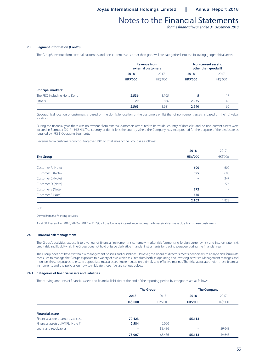*for the financial year ended 31 December 2018*

### **23 Segment information (Cont'd)**

The Group's revenue from external customers and non-current assets other than goodwill are categorised into the following geographical areas:

|                              |                 | <b>Revenue from</b><br>external customers |                 | Non-current assets,<br>other than goodwill |
|------------------------------|-----------------|-------------------------------------------|-----------------|--------------------------------------------|
|                              | 2018            | 2017                                      | 2018            | 2017                                       |
|                              | <b>HK\$'000</b> | <b>HK\$'000</b>                           | <b>HK\$'000</b> | <b>HK\$'000</b>                            |
| <b>Principal markets:</b>    |                 |                                           |                 |                                            |
| The PRC, including Hong Kong | 2,536           | 1,105                                     | 5               | 17                                         |
| Others                       | 29              | 876                                       | 2,935           | 45                                         |
|                              | 2,565           | .981                                      | 2,940           | 62                                         |

Geographical location of customers is based on the domicile location of the customers whilst that of non-current assets is based on their physical location.

During the financial year, there was no revenue from external customers attributed to Bermuda (country of domicile) and no non-current assets were located in Bermuda (2017 - HK\$Nil). The country of domicile is the country where the Company was incorporated for the purpose of the disclosure as required by IFRS 8 Operating Segments.

Revenue from customers contributing over 10% of total sales of the Group is as follows:

|                   | 2018                     | 2017                     |
|-------------------|--------------------------|--------------------------|
| <b>The Group</b>  | <b>HK\$'000</b>          | <b>HK\$'000</b>          |
|                   |                          |                          |
| Customer A (Note) | 600                      | 600                      |
| Customer B (Note) | 595                      | 600                      |
| Customer C (Note) | $\overline{\phantom{0}}$ | 347                      |
| Customer D (Note) | -                        | 276                      |
| Customer E (Note) | 372                      |                          |
| Customer F (Note) | 536                      | $\overline{\phantom{0}}$ |
|                   | 2,103                    | 1,823                    |

Notes:

Derived from the financing activities

As at 31 December 2018, 90.6% (2017 – 21.7%) of the Group's interest receivables/trade receivables were due from these customers.

# **24 Financial risk management**

The Group's activities expose it to a variety of financial instrument risks, namely market risk (comprising foreign currency risk and interest rate risk), credit risk and liquidity risk. The Group does not hold or issue derivative financial instruments for trading purpose during the financial year.

The Group does not have written risk management policies and guidelines. However, the board of directors meets periodically to analyse and formulate measures to manage the Group's exposure to a variety of risks which resulted from both its operating and investing activities. Management manages and monitors these exposures to ensure appropriate measures are implemented on a timely and effective manner. The risks associated with these financial instruments and the policies on how to mitigate these risks are set out below:

## **24.1 Categories of financial assets and liabilities**

The carrying amounts of financial assets and financial liabilities at the end of the reporting period by categories are as follows:

|                                    |                 | <b>The Group</b> |                          | <b>The Company</b> |
|------------------------------------|-----------------|------------------|--------------------------|--------------------|
|                                    | 2018            | 2017             | 2018                     | 2017               |
|                                    | <b>HK\$'000</b> | <b>HK\$'000</b>  | <b>HK\$'000</b>          | <b>HK\$'000</b>    |
|                                    |                 |                  |                          |                    |
| <b>Financial assets</b>            |                 |                  |                          |                    |
| Financial assets at amortised cost | 70,423          |                  | 55,113                   |                    |
| Financial assets at FVTPL (Note 7) | 2,584           | 2,000            | $\overline{\phantom{0}}$ |                    |
| Loans and receivables              | -               | 83,486           |                          | 59,648             |
|                                    | 73,007          | 85,486           | 55,113                   | 59,648             |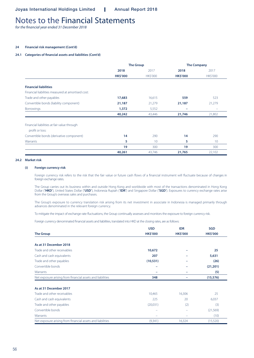*for the financial year ended 31 December 2018*

## **24 Financial risk management (Cont'd)**

## **24.1 Categories of financial assets and liabilities (Cont'd)**

|                                                   |                 | <b>The Group</b> | <b>The Company</b> |                          |
|---------------------------------------------------|-----------------|------------------|--------------------|--------------------------|
|                                                   | 2018            | 2017             | 2018               | 2017                     |
|                                                   | <b>HK\$'000</b> | <b>HK\$'000</b>  | <b>HK\$'000</b>    | <b>HK\$'000</b>          |
| <b>Financial liabilities</b>                      |                 |                  |                    |                          |
| Financial liabilities measured at amortised cost: |                 |                  |                    |                          |
| Trade and other payables                          | 17,683          | 16,615           | 559                | 523                      |
| Convertible bonds (liability component)           | 21,187          | 21,279           | 21,187             | 21,279                   |
| <b>Borrowings</b>                                 | 1,372           | 5,552            |                    | $\overline{\phantom{0}}$ |
|                                                   | 40,242          | 43,446           | 21,746             | 21,802                   |
| Financial liabilities at fair value through       |                 |                  |                    |                          |
| profit or loss:                                   |                 |                  |                    |                          |
| Convertible bonds (derivative component)          | 14              | 290              | 14                 | 290                      |
| Warrants                                          | 5               | 10               | 5                  | 10                       |
|                                                   | 19              | 300              | 19                 | 300                      |
|                                                   | 40,261          | 43,746           | 21,765             | 22,102                   |

# **24.2 Market risk**

#### **(i) Foreign currency risk**

Foreign currency risk refers to the risk that the fair value or future cash flows of a financial instrument will fluctuate because of changes in foreign exchange rates.

The Group carries out its business within and outside Hong Kong and worldwide with most of the transactions denominated in Hong Kong Dollar ("**HKD**"), United States Dollar ("**USD**"), Indonesia Rupiah ("**IDR**") and Singapore Dollar ("**SGD**"). Exposures to currency exchange rates arise from the Group's overseas sales and purchases.

The Group's exposure to currency translation risk arising from its net investment in associate in Indonesia is managed primarily through advances denominated in the relevant foreign currency.

To mitigate the impact of exchange rate fluctuations, the Group continually assesses and monitors the exposure to foreign currency risk.

Foreign currency denominated financial assets and liabilities, translated into HKD at the closing rates, are as follows:

|                                                            | <b>USD</b>      | <b>IDR</b>               | <b>SGD</b>      |
|------------------------------------------------------------|-----------------|--------------------------|-----------------|
| <b>The Group</b>                                           | <b>HK\$'000</b> | <b>HK\$'000</b>          | <b>HK\$'000</b> |
|                                                            |                 |                          |                 |
| As at 31 December 2018                                     |                 |                          |                 |
| Trade and other receivables                                | 10,672          |                          | 25              |
| Cash and cash equivalents                                  | 207             |                          | 5,631           |
| Trade and other payables                                   | (10, 531)       |                          | (26)            |
| Convertible bonds                                          |                 |                          | (21, 201)       |
| Warrants                                                   | -               |                          | (5)             |
| Net exposure arising from financial assets and liabilities | 348             |                          | (15, 576)       |
| As at 31 December 2017                                     |                 |                          |                 |
| Trade and other receivables                                | 10,465          | 16,306                   | 25              |
| Cash and cash equivalents                                  | 225             | 20                       | 6,037           |
| Trade and other payables                                   | (20,031)        | (2)                      | (3)             |
| Convertible bonds                                          | -               | $\overline{\phantom{0}}$ | (21, 569)       |
| Warrants                                                   | -               |                          | (10)            |
| Net exposure arising from financial assets and liabilities | (9,341)         | 16,324                   | (15,520)        |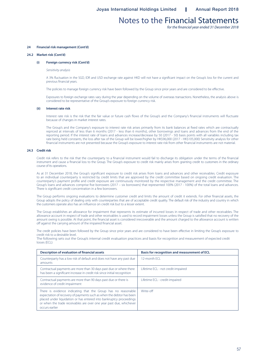*for the financial year ended 31 December 2018*

# **24 Financial risk management (Cont'd)**

### **24.2 Market risk (Cont'd)**

#### **(i) Foreign currency risk (Cont'd)**

#### *Sensitivity analysis*

A 3% fluctuation in the SGD, IDR and USD exchange rate against HKD will not have a significant impact on the Group's loss for the current and previous financial years.

The policies to manage foreign currency risk have been followed by the Group since prior years and are considered to be effective.

Exposures to foreign exchange rates vary during the year depending on the volume of overseas transactions. Nonetheless, the analysis above is considered to be representative of the Group's exposure to foreign currency risk.

#### **(ii) Interest rate risk**

Interest rate risk is the risk that the fair value or future cash flows of the Group's and the Company's financial instruments will fluctuate because of changes in market interest rates.

The Group's and the Company's exposure to interest rate risk arises primarily from its bank balances at fixed rates which are contractually repriced at intervals of less than 6 months (2017 - less than 6 months), other borrowings and loans and advances from the end of the reporting period. If the interest rate of loans and advances increase/decrease by 50 (2017 - 50) basis points with all variables including tax rate being held constants, the loss after tax of the Group will be lower/higher by HK\$96,000 (2017 - HK\$105,000) Sensitivity analysis for other financial instruments are not presented because the Group's exposure to interest rate risk from other financial instruments are not material.

## **24.3 Credit risk**

Credit risk refers to the risk that the counterparty to a financial instrument would fail to discharge its obligation under the terms of the financial instrument and cause a financial loss to the Group. The Group's exposure to credit risk mainly arises from granting credit to customers in the ordinary course of its operations.

As at 31 December 2018, the Group's significant exposure to credit risk arises from loans and advances and other receivables. Credit exposure to an individual counterparty is restricted by credit limits that are approved by the credit committee based on ongoing credit evaluation. The counterparty's payment profile and credit exposure are continuously monitored by the respective management and the credit committee. The Group's loans and advances comprise five borrowers (2017 – six borrowers) that represented 100% (2017 - 100%) of the total loans and advances. There is significant credit concentration in a few borrowers.

The Group performs ongoing evaluations to determine customer credit and limits the amount of credit it extends. For other financial assets, the Group adopts the policy of dealing only with counterparties that are of acceptable credit quality. The default risk of the industry and country in which the customers operate also has an influence on credit risk but to a lesser extent.

The Group establishes an allowance for impairment that represents its estimate of incurred losses in respect of trade and other receivables. The allowance account in respect of trade and other receivables is used to record impairment losses unless the Group is satisfied that no recovery of the amount owing is possible. At that point, the financial asset is considered irrecoverable and the amount charged to the allowance account is written off against the carrying amount of the impaired financial asset.

The credit policies have been followed by the Group since prior years and are considered to have been effective in limiting the Group's exposure to credit risk to a desirable level.

The following sets out the Group's internal credit evaluation practices and basis for recognition and measurement of expected credit losses (ECL):

| <b>Description of evaluation of financial assets</b>                                                                                                                                                                                                                                                  | <b>Basis for recognition and measurement of ECL</b> |
|-------------------------------------------------------------------------------------------------------------------------------------------------------------------------------------------------------------------------------------------------------------------------------------------------------|-----------------------------------------------------|
| Counterparty has a low risk of default and does not have any past due<br>amounts                                                                                                                                                                                                                      | 12-month FCL                                        |
| Contractual payments are more than 30 days past due or where there<br>has been a significant increase in credit risk since initial recognition                                                                                                                                                        | Lifetime ECL - not credit-impaired                  |
| Contractual payments are more than 90 days past due or there is<br>evidence of credit impairment                                                                                                                                                                                                      | Lifetime ECL - credit-impaired                      |
| There is evidence indicating that the Group has no reasonable<br>expectation of recovery of payments such as when the debtor has been<br>placed under liquidation or has entered into bankruptcy proceedings<br>or when the trade receivables are over one year past due, whichever<br>occurs earlier | Write-off                                           |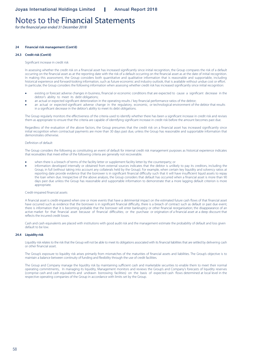*for the financial year ended 31 December 2018*

### **24 Financial risk management (Cont'd)**

#### **24.3 Credit risk (Cont'd)**

#### Significant increase in credit risk

In assessing whether the credit risk on a financial asset has increased significantly since initial recognition, the Group compares the risk of a default occurring on the financial asset as at the reporting date with the risk of a default occurring on the financial asset as at the date of initial recognition. In making this assessment, the Group considers both quantitative and qualitative information that is reasonable and supportable, including historical experience and forward-looking information, such as future economic and industry outlook, that is available without undue cost or effort. In particular, the Group considers the following information when assessing whether credit risk has increased significantly since initial recognition:

- existing or forecast adverse changes in business, financial or economic conditions that are expected to cause a significant decrease in the debtor's ability to meet its debt obligations;
- an actual or expected significant deterioration in the operating results / key financial performance ratios of the debtor;
- an actual or expected significant adverse change in the regulatory, economic, or technological environment of the debtor that results in a significant decrease in the debtor's ability to meet its debt obligations.

The Group regularly monitors the effectiveness of the criteria used to identify whether there has been a significant increase in credit risk and revises them as appropriate to ensure that the criteria are capable of identifying significant increase in credit risk before the amount becomes past due.

Regardless of the evaluation of the above factors, the Group presumes that the credit risk on a financial asset has increased significantly since initial recognition when contractual payments are more than 30 days past due, unless the Group has reasonable and supportable information that demonstrates otherwise.

#### Definition of default

The Group considers the following as constituting an event of default for internal credit risk management purposes as historical experience indicates that receivables that meet either of the following criteria are generally not recoverable.

- when there is a breach of terms of the facility letter or supplement facility letter by the counterparty; or
- information developed internally or obtained from external sources indicates that the debtor is unlikely to pay its creditors, including the Group, in full (without taking into account any collaterals held by the Group). For example, when certain key liquidity and solvency ratios at reporting date provide evidence that the borrower is in significant financial difficulty such that it will have insufficient liquid assets to repay the loan when due. Irrespective of the above analysis, the Group considers that default has occurred when a financial asset is more than 90 days past due unless the Group has reasonable and supportable information to demonstrate that a more lagging default criterion is more appropriate.

#### Credit-impaired financial assets

A financial asset is credit-impaired when one or more events that have a detrimental impact on the estimated future cash flows of that financial asset have occurred such as evidence that the borrower is in significant financial difficulty, there is a breach of contract such as default or past due event; there is information that it is becoming probable that the borrower will enter bankruptcy or other financial reorganisation; the disappearance of an active market for that financial asset because of financial difficulties; or the purchase or origination of a financial asset at a deep discount that reflects the incurred credit losses.

Cash and cash equivalents are placed with institutions with good audit risk and the management estimate the probability of default and loss given default to be low.

#### **24.4 Liquidity risk**

Liquidity risk relates to the risk that the Group will not be able to meet its obligations associated with its financial liabilities that are settled by delivering cash or other financial asset.

The Group's exposure to liquidity risk arises primarily from mismatches of the maturities of financial assets and liabilities. The Group's objective is to maintain a balance between continuity of funding and flexibility through the use of credit facilities.

The Group and Company manage the liquidity risk by maintaining sufficient cash and marketable securities to enable them to meet their normal operating commitments,. In managing its liquidity, Management monitors and reviews the Group's and Company's forecasts of liquidity reserves (comprise cash and cash equivalents and undrawn borrowing facilities) on the basis of expected cash flows determined at local level in the respective operating companies of the Group in accordance with limits set by the Group.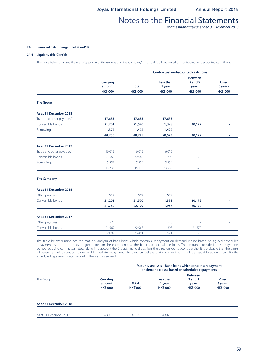*for the financial year ended 31 December 2018*

## **24 Financial risk management (Cont'd)**

# **24.4 Liquidity risk (Cont'd)**

The table below analyses the maturity profile of the Group's and the Company's financial liabilities based on contractual undiscounted cash flows.

|                                         |                                              | <b>Contractual undiscounted cash flows</b> |                                        |                                                           |                                    |  |
|-----------------------------------------|----------------------------------------------|--------------------------------------------|----------------------------------------|-----------------------------------------------------------|------------------------------------|--|
|                                         | <b>Carrying</b><br>amount<br><b>HK\$'000</b> | <b>Total</b><br><b>HK\$'000</b>            | Less than<br>1 year<br><b>HK\$'000</b> | <b>Between</b><br>$2$ and $5$<br>years<br><b>HK\$'000</b> | Over<br>5 years<br><b>HK\$'000</b> |  |
| <b>The Group</b>                        |                                              |                                            |                                        |                                                           |                                    |  |
| As at 31 December 2018                  |                                              |                                            |                                        |                                                           |                                    |  |
| Trade and other payables <sup>(1)</sup> | 17,683                                       | 17,683                                     | 17,683                                 |                                                           |                                    |  |
| Convertible bonds                       | 21,201                                       | 21,570                                     | 1,398                                  | 20,172                                                    |                                    |  |
| <b>Borrowings</b>                       | 1,372                                        | 1,492                                      | 1,492                                  |                                                           |                                    |  |
|                                         | 40,256                                       | 40,745                                     | 20,573                                 | 20,172                                                    | $\equiv$                           |  |
| As at 31 December 2017                  |                                              |                                            |                                        |                                                           |                                    |  |
| Trade and other payables <sup>(1)</sup> | 16,615                                       | 16,615                                     | 16,615                                 |                                                           |                                    |  |
| Convertible bonds                       | 21,569                                       | 22,968                                     | 1,398                                  | 21,570                                                    |                                    |  |
| <b>Borrowings</b>                       | 5,552                                        | 5,554                                      | 5,554                                  |                                                           |                                    |  |
|                                         | 43,736                                       | 45,137                                     | 23,567                                 | 21,570                                                    |                                    |  |
| <b>The Company</b>                      |                                              |                                            |                                        |                                                           |                                    |  |
| As at 31 December 2018                  |                                              |                                            |                                        |                                                           |                                    |  |
| Other payables                          | 559                                          | 559                                        | 559                                    |                                                           |                                    |  |
| Convertible bonds                       | 21,201                                       | 21,570                                     | 1,398                                  | 20,172                                                    |                                    |  |
|                                         | 21,760                                       | 22,129                                     | 1,957                                  | 20,172                                                    |                                    |  |
| As at 31 December 2017                  |                                              |                                            |                                        |                                                           |                                    |  |
| Other payables                          | 523                                          | 523                                        | 523                                    |                                                           |                                    |  |
| Convertible bonds                       | 21,569                                       | 22,968                                     | 1,398                                  | 21,570                                                    |                                    |  |
|                                         | 22,092                                       | 23,491                                     | 1,921                                  | 21,570                                                    |                                    |  |

The table below summarises the maturity analysis of bank loans which contain a repayment on demand clause based on agreed scheduled repayments set out in the loan agreements, on the exception that the banks do not call the loans. The amounts include interest payments computed using contractual rates. Taking into account the Group's financial position, the directors do not consider that it is probable that the banks will exercise their discretion to demand immediate repayment. The directors believe that such bank loans will be repaid in accordance with the scheduled repayment dates set out in the loan agreements.

| The Group              |                                       | Maturity analysis - Bank loans which contain a repayment<br>on demand clause based on scheduled repayments |                                        |                                                         |                                    |  |
|------------------------|---------------------------------------|------------------------------------------------------------------------------------------------------------|----------------------------------------|---------------------------------------------------------|------------------------------------|--|
|                        | Carrying<br>amount<br><b>HK\$'000</b> | <b>Total</b><br><b>HK\$'000</b>                                                                            | Less than<br>1 year<br><b>HK\$'000</b> | <b>Between</b><br>$2$ and 5<br>years<br><b>HK\$'000</b> | Over<br>5 years<br><b>HK\$'000</b> |  |
| As at 31 December 2018 |                                       |                                                                                                            |                                        |                                                         |                                    |  |
| As at 31 December 2017 | 4,300                                 | 4,302                                                                                                      | 4,302                                  |                                                         |                                    |  |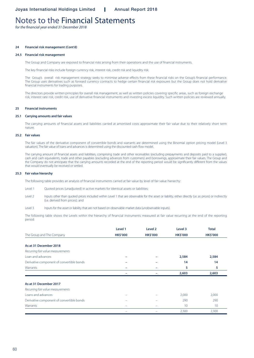*for the financial year ended 31 December 2018*

#### **24 Financial risk management (Cont'd)**

#### **24.5 Financial risk management**

The Group and Company are exposed to financial risks arising from their operations and the use of financial instruments.

The key financial risks include foreign currency risk, interest risk, credit risk and liquidity risk.

The Group's overall risk management strategy seeks to minimise adverse effects from these financial risks on the Group's financial performance. The Group uses derivatives such as forward currency contracts to hedge certain financial risk exposures but the Group does not hold derivative financial instruments for trading purposes.

The directors provide written principles for overall risk management, as well as written policies covering specific areas, such as foreign exchange risk, interest rate risk, credit risk, use of derivative financial instruments and investing excess liquidity. Such written policies are reviewed annually.

#### **25 Financial instruments**

### **25.1 Carrying amounts and fair values**

The carrying amounts of financial assets and liabilities carried at amortised costs approximate their fair value due to their relatively short term nature.

#### **25.2 Fair values**

The fair values of the derivative component of convertible bonds and warrants are determined using the Binomial option pricing model (Level 3 valuation). The fair value of loans and advances is determined using the discounted cash flow model.

The carrying amount of financial assets and liabilities, comprising trade and other receivables (excluding prepayments and deposits paid to a supplier), cash and cash equivalents, trade and other payables (excluding advances from customers) and borrowings, approximate their fair values. The Group and the Company do not anticipate that the carrying amounts recorded at the end of the reporting period would be significantly different from the values that would eventually be received or settled.

#### **25.3 Fair value hierarchy**

The following table provides an analysis of financial instruments carried at fair value by level of fair value hierarchy:

- Level 1 Quoted prices (unadjusted) in active markets for identical assets or liabilities;
- Level 2 Inputs other than quoted prices included within Level 1 that are observable for the asset or liability, either directly (i.e. as prices) or indirectly (i.e. derived from prices); and
- Level 3 Inputs for the asset or liability that are not based on observable market data (unobservable inputs).

The following table shows the Levels within the hierarchy of financial instruments measured at fair value recurring at the end of the reporting period:

|                                           | Level 1         | Level 2         | Level 3         | <b>Total</b>    |
|-------------------------------------------|-----------------|-----------------|-----------------|-----------------|
| The Group and The Company                 | <b>HK\$'000</b> | <b>HK\$'000</b> | <b>HK\$'000</b> | <b>HK\$'000</b> |
| As at 31 December 2018                    |                 |                 |                 |                 |
| Recurring fair value measurements         |                 |                 |                 |                 |
| Loan and advances                         |                 |                 | 2,584           | 2,584           |
| Derivative component of convertible bonds |                 |                 | 14              | 14              |
| Warrants                                  |                 |                 | 5               | 5               |
|                                           |                 |                 | 2,603           | 2,603           |
|                                           |                 |                 |                 |                 |
| As at 31 December 2017                    |                 |                 |                 |                 |
| Recurring fair value measurements         |                 |                 |                 |                 |
| Loans and advances                        |                 |                 | 2,000           | 2,000           |
| Derivative component of convertible bonds |                 |                 | 290             | 290             |
| <b>Warrants</b>                           |                 |                 | 10              | 10              |
|                                           |                 |                 | 2,300           | 2,300           |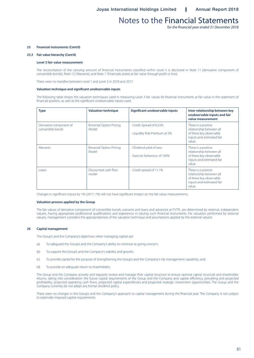*for the financial year ended 31 December 2018*

#### **25 Financial instruments (Cont'd)**

## **25.3 Fair value hierarchy (Cont'd)**

### **Level 3 fair value measurement**

The reconciliation of the carrying amount of financial instruments classified within Level 3 is disclosed in Note 11 (derivative component of convertible bonds), Note 12 (Warrants), and Note 7 (Financials assets at fair value through profit or loss).

There were no transfers between Level 1 and Level 3 in 2018 and 2017.

#### **Valuation technique and significant unobservable inputs**

The following table shows the valuation techniques used in measuring Level 3 fair values for financial instruments at fair value in the statement of financial position, as well as the significant unobservable inputs used.

| <b>Type</b>                                  | <b>Valuation technique</b>              | Significant unobservable inputs                            | Inter-relationship between key<br>unobservable inputs and fair<br>value measurement                               |
|----------------------------------------------|-----------------------------------------|------------------------------------------------------------|-------------------------------------------------------------------------------------------------------------------|
| Derivative component of<br>convertible bonds | <b>Binomial Option Pricing</b><br>Model | - Credit Spread of 6.53%<br>- Liquidity Risk Premium of 2% | There is a positive<br>relationship between all<br>of these key observable<br>inputs and estimated fair<br>value. |
| <b>Warrants</b>                              | <b>Binomial Option Pricing</b><br>Model | - Dividend yield of zero<br>- Exercise behaviour of 100%   | There is a positive<br>relationship between all<br>of these key observable<br>inputs and estimated fair<br>value. |
| Loans                                        | Discounted cash flow<br>model           | - Credit spread of 11.1%                                   | There is a positive<br>relationship between all<br>of these key observable<br>inputs and estimated fair<br>value. |

Changes in significant inputs by 1% (2017: 1%) will not have significant impact on the fair value measurements.

# **Valuation process applied by the Group**

The fair values of derivative component of convertible bonds, warrants and loans and advances at FVTPL are determined by external, independent valuers, having appropriate professional qualifications and experience in valuing such financial instruments. For valuation performed by external valuers, management considers the appropriateness of the valuation technique and assumptions applied by the external valuers.

#### **26 Capital management**

The Group's and the Company's objectives when managing capital are:

- (a) To safeguard the Group's and the Company's ability to continue as going concern;
- (b) To support the Group's and the Company's stability and growth;
- (c) To provide capital for the purpose of strengthening the Group's and the Company's risk management capability; and
- (d) To provide an adequate return to shareholders.

The Group and the Company actively and regularly review and manage their capital structure to ensure optimal capital structure and shareholder returns, taking into consideration the future capital requirements of the Group and the Company and capital efficiency, prevailing and projected profitability, projected operating cash flows, projected capital expenditures and projected strategic investment opportunities. The Group and the Company currently do not adopt any formal dividend policy.

There were no changes in the Group's and the Company's approach to capital management during the financial year. The Company is not subject to externally imposed capital requirements.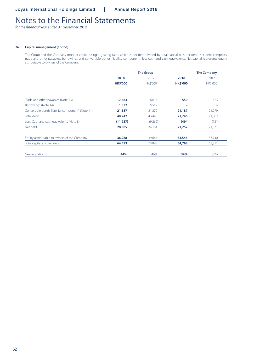*for the financial year ended 31 December 2018*

## **26 Capital management (Cont'd)**

The Group and the Company monitor capital using a gearing ratio, which is net debt divided by total capital plus net debt. Net debt comprises trade and other payables, borrowings and convertible bonds (liability component), less cash and cash equivalents. Net capital represents equity attributable to owners of the Company.

|                                                   |                 | <b>The Group</b> |                 | <b>The Company</b> |  |  |
|---------------------------------------------------|-----------------|------------------|-----------------|--------------------|--|--|
|                                                   | 2018            | 2017             | 2018            | 2017               |  |  |
|                                                   | <b>HK\$'000</b> | <b>HK\$'000</b>  | <b>HK\$'000</b> | <b>HK\$'000</b>    |  |  |
|                                                   |                 |                  |                 |                    |  |  |
| Trade and other payables (Note 13)                | 17,683          | 16,615           | 559             | 523                |  |  |
| Borrowings (Note 14)                              | 1,372           | 5,552            |                 |                    |  |  |
| Convertible bonds (liability component) (Note 11) | 21,187          | 21,279           | 21,187          | 21,279             |  |  |
| Total debt                                        | 40,242          | 43,446           | 21,746          | 21,802             |  |  |
| Less: Cash and cash equivalents (Note 8)          | (11, 937)       | (9,262)          | (494)           | (731)              |  |  |
| Net debt                                          | 28,305          | 34,184           | 21,252          | 21,071             |  |  |
| Equity attributable to owners of the Company      | 36,288          | 39,664           | 33,546          | 37,740             |  |  |
| Total capital and net debt                        | 64,593          | 73,848           | 54,798          | 58,811             |  |  |
| Gearing ratio                                     | 44%             | 46%              | 39%             | 36%                |  |  |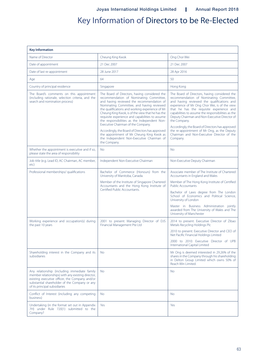# Key Information of Directors to be Re-Elected

| <b>Key Information</b>                                                                                                                                                                                                                |                                                                                                                                                                                                                                                                                                                                                                                                                                    |                                                                                                                                                                                                                                                                                                                                                                                                                |
|---------------------------------------------------------------------------------------------------------------------------------------------------------------------------------------------------------------------------------------|------------------------------------------------------------------------------------------------------------------------------------------------------------------------------------------------------------------------------------------------------------------------------------------------------------------------------------------------------------------------------------------------------------------------------------|----------------------------------------------------------------------------------------------------------------------------------------------------------------------------------------------------------------------------------------------------------------------------------------------------------------------------------------------------------------------------------------------------------------|
| Name of Director                                                                                                                                                                                                                      | Cheung King Kwok                                                                                                                                                                                                                                                                                                                                                                                                                   | Ong Chor Wei                                                                                                                                                                                                                                                                                                                                                                                                   |
| Date of appointment                                                                                                                                                                                                                   | 21 Dec 2007                                                                                                                                                                                                                                                                                                                                                                                                                        | 21 Dec 2007                                                                                                                                                                                                                                                                                                                                                                                                    |
| Date of last re-appointment                                                                                                                                                                                                           | 28 June 2017                                                                                                                                                                                                                                                                                                                                                                                                                       | 28 Apr 2016                                                                                                                                                                                                                                                                                                                                                                                                    |
| Age                                                                                                                                                                                                                                   | 64                                                                                                                                                                                                                                                                                                                                                                                                                                 | 50                                                                                                                                                                                                                                                                                                                                                                                                             |
| Country of principal residence                                                                                                                                                                                                        | Singapore                                                                                                                                                                                                                                                                                                                                                                                                                          | Hong Kong                                                                                                                                                                                                                                                                                                                                                                                                      |
| The Board's comments on this appointment<br>(including rationale, selection criteria, and the<br>search and nomination process)                                                                                                       | The Board of Directors, having considered the<br>recommendation of Nominating Committee,<br>and having reviewed the recommendation of<br>Nominating Committee, and having reviewed<br>the qualifications and working experience of Mr<br>Cheung King Kwok, is of the view that he has the<br>requisite experience and capabilities to assume<br>the responsibilities as the Independent Non-<br>Executive Chairman of the Company. | The Board of Directors, having considered the<br>recommendation of Nominating Committee,<br>and having reviewed the qualifications and<br>experience of Mr Ong Chor Wei, is of the view<br>that he has the requisite experience and<br>capabilities to assume the responsibilities as the<br>Deputy Chairman and Non-Executive Director of<br>the Company.<br>Accordingly, the Board of Directors has approved |
|                                                                                                                                                                                                                                       | Accordingly, the Board of Directors has approved<br>the appointment of Mr Cheung King Kwok as<br>the Independent Non-Executive Chairman of<br>the Company.                                                                                                                                                                                                                                                                         | the re-appointment of Mr Ong, as the Deputy<br>Chairman and Non-Executive Director of the<br>Company.                                                                                                                                                                                                                                                                                                          |
| Whether the appointment is executive and if so,<br>please state the area of responsibility                                                                                                                                            | <b>No</b>                                                                                                                                                                                                                                                                                                                                                                                                                          | <b>No</b>                                                                                                                                                                                                                                                                                                                                                                                                      |
| Job title (e.g. Lead ID, AC Chairman, AC member,<br>etc)                                                                                                                                                                              | Independent Non-Executive Chairman                                                                                                                                                                                                                                                                                                                                                                                                 | Non-Executive Deputy Chairman                                                                                                                                                                                                                                                                                                                                                                                  |
| Professional memberships/ qualifications                                                                                                                                                                                              | Bachelor of Commerce (Honours) from the<br>University of Manitoba, Canada.<br>Member of the Institute of Singapore Chartered                                                                                                                                                                                                                                                                                                       | Associate member of The Institute of Chartered<br>Accountants in England and Wales<br>Member of The Hong Kong Institute of Certified                                                                                                                                                                                                                                                                           |
|                                                                                                                                                                                                                                       | Accountants and the Hong Kong Institute of<br>Certified Public Accountants.                                                                                                                                                                                                                                                                                                                                                        | <b>Public Accountants</b><br>Bachelor of Laws degree from The London<br>School of Economics and Political Science,<br>University of London<br>Master in Business Administration jointly<br>awarded from The University of Wales and The<br>University of Manchester                                                                                                                                            |
| Working experience and occupation(s) during<br>the past 10 years                                                                                                                                                                      | 2001 to present: Managing Director of DJS<br>Financial Management Pte Ltd                                                                                                                                                                                                                                                                                                                                                          | 2014 to present: Executive Director of Zibao<br>Metals Recycling Holdings Plc<br>2010 to present: Executive Director and CEO of                                                                                                                                                                                                                                                                                |
|                                                                                                                                                                                                                                       |                                                                                                                                                                                                                                                                                                                                                                                                                                    | Net Pacific Financial Holdings Limited<br>2000 to 2010: Executive Director of UPB<br>International Capital Limited                                                                                                                                                                                                                                                                                             |
| Shareholding interest in the Company and its<br>subsidiaries                                                                                                                                                                          | <b>No</b>                                                                                                                                                                                                                                                                                                                                                                                                                          | Mr Ong is deemed interested in 29.26% of the<br>shares in the Company through his shareholding<br>in Delton Group Limited which owns 50% of<br>Reach Win Limited.                                                                                                                                                                                                                                              |
| Any relationship (including immediate family<br>member relationships) with any existing director,<br>existing executive officer, the Company and/or<br>substantial shareholder of the Company or any<br>of its principal subsidiaries | <b>No</b>                                                                                                                                                                                                                                                                                                                                                                                                                          | No                                                                                                                                                                                                                                                                                                                                                                                                             |
| Conflict of Interest (including any competing<br>business)                                                                                                                                                                            | <b>No</b>                                                                                                                                                                                                                                                                                                                                                                                                                          | No.                                                                                                                                                                                                                                                                                                                                                                                                            |
| Undertaking (in the format set out in Appendix<br>7H) under Rule 720(1) submitted to the<br>Company?                                                                                                                                  | Yes                                                                                                                                                                                                                                                                                                                                                                                                                                | Yes                                                                                                                                                                                                                                                                                                                                                                                                            |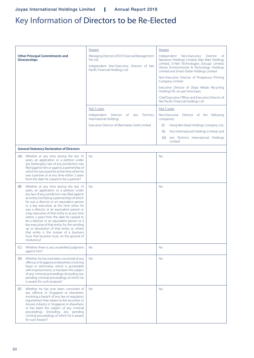# Key Information of Directors to be Re-Elected

|                                                                                                                                                                                                                                                                                                                                                                                                                                                                                                                                                                                                                                                                                        | Present                                                                                                                                  | Present                                                                                                                                                                                                                            |
|----------------------------------------------------------------------------------------------------------------------------------------------------------------------------------------------------------------------------------------------------------------------------------------------------------------------------------------------------------------------------------------------------------------------------------------------------------------------------------------------------------------------------------------------------------------------------------------------------------------------------------------------------------------------------------------|------------------------------------------------------------------------------------------------------------------------------------------|------------------------------------------------------------------------------------------------------------------------------------------------------------------------------------------------------------------------------------|
| <b>Other Principal Commitments and</b><br><b>Directorships</b>                                                                                                                                                                                                                                                                                                                                                                                                                                                                                                                                                                                                                         | Managing Director of DJS Financial Management<br>Pte Ltd.<br>Independent Non-Executive Director of Net<br>Pacific Financial Holdings Ltd | Independent Non-Executive<br>Director<br>of<br>Nameson Holdings Limited, Man Wah Holdings<br>Limited, O-Net Technologies (Group) Limited,<br>Denox Environmental & Technology Holdings<br>Limited and Smart Globe Holdings Limited |
|                                                                                                                                                                                                                                                                                                                                                                                                                                                                                                                                                                                                                                                                                        |                                                                                                                                          | Non-Executive Director of Prosperous Printing<br>Company Limited                                                                                                                                                                   |
|                                                                                                                                                                                                                                                                                                                                                                                                                                                                                                                                                                                                                                                                                        |                                                                                                                                          | Executive Director of Zibao Metals Recycling<br>Holdings Plc on part time basis                                                                                                                                                    |
|                                                                                                                                                                                                                                                                                                                                                                                                                                                                                                                                                                                                                                                                                        |                                                                                                                                          | Chief Executive Officer and Executive Director of<br>Net Pacific Financial Holdings Ltd                                                                                                                                            |
|                                                                                                                                                                                                                                                                                                                                                                                                                                                                                                                                                                                                                                                                                        | Past 5 years                                                                                                                             | Past 5 years                                                                                                                                                                                                                       |
|                                                                                                                                                                                                                                                                                                                                                                                                                                                                                                                                                                                                                                                                                        | Director<br>Technics<br>Independent<br>of<br>Jets<br><b>International Holdings</b>                                                       | Non-Executive<br>Director of the following<br>companies:                                                                                                                                                                           |
|                                                                                                                                                                                                                                                                                                                                                                                                                                                                                                                                                                                                                                                                                        | Executive Director of Manhattan Gold Limited                                                                                             | Hong Wei (Asia) Holdings Company Ltd.;<br>(i)                                                                                                                                                                                      |
|                                                                                                                                                                                                                                                                                                                                                                                                                                                                                                                                                                                                                                                                                        |                                                                                                                                          | Vico International Holdings Limited; and<br>(ii)                                                                                                                                                                                   |
|                                                                                                                                                                                                                                                                                                                                                                                                                                                                                                                                                                                                                                                                                        |                                                                                                                                          | (iii)<br>Jets Technics International Holdings<br><b>Limited</b>                                                                                                                                                                    |
| <b>General Statutory Declaration of Directors</b>                                                                                                                                                                                                                                                                                                                                                                                                                                                                                                                                                                                                                                      |                                                                                                                                          |                                                                                                                                                                                                                                    |
| (A) Whether at any time during the last 10<br>years, an application or a petition under<br>any bankruptcy law of any jurisdiction was<br>filed against him or against a partnership of<br>which he was a partner at the time when he<br>was a partner or at any time within 2 years<br>from the date he ceased to be a partner?                                                                                                                                                                                                                                                                                                                                                        | <b>No</b>                                                                                                                                | <b>No</b>                                                                                                                                                                                                                          |
| (B)<br>Whether at any time during the last 10<br>years, an application or a petition under<br>any law of any jurisdiction was filed against<br>an entity (not being a partnership) of which<br>he was a director or an equivalent person<br>or a key executive, at the time when he<br>was a director or an equivalent person or<br>a key executive of that entity or at any time<br>within 2 years from the date he ceased to<br>be a director or an equivalent person or a<br>key executive of that entity, for the winding<br>up or dissolution of that entity or, where<br>that entity is the trustee of a business<br>trust, that business trust, on the ground of<br>insolvency? | <b>No</b>                                                                                                                                | <b>No</b>                                                                                                                                                                                                                          |
| (C) Whether there is any unsatisfied judgment<br>against him?                                                                                                                                                                                                                                                                                                                                                                                                                                                                                                                                                                                                                          | <b>No</b>                                                                                                                                | <b>No</b>                                                                                                                                                                                                                          |
| Whether he has ever been convicted of any<br>(D)<br>offence, in Singapore or elsewhere, involving<br>fraud or dishonesty which is punishable<br>with imprisonment, or has been the subject<br>of any criminal proceedings (including any<br>pending criminal proceedings of which he<br>is aware) for such purpose?                                                                                                                                                                                                                                                                                                                                                                    | <b>No</b>                                                                                                                                | <b>No</b>                                                                                                                                                                                                                          |
| Whether he has ever been convicted of<br>(E)<br>any offence, in Singapore or elsewhere,<br>involving a breach of any law or regulatory<br>requirement that relates to the securities or<br>futures industry in Singapore or elsewhere,<br>or has been the subject of any criminal<br>proceedings (including any pending<br>criminal proceedings of which he is aware)<br>for such breach?                                                                                                                                                                                                                                                                                              | <b>No</b>                                                                                                                                | <b>No</b>                                                                                                                                                                                                                          |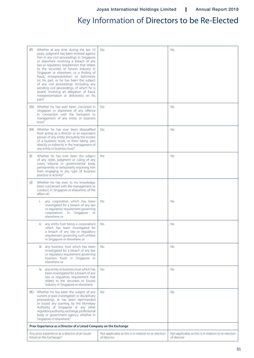# Key Information of Directors to be Re-Elected

| (F) | Whether at any time during the last 10<br>years, judgment has been entered against<br>him in any civil proceedings in Singapore<br>or elsewhere involving a breach of any<br>law or regulatory requirement that relates<br>to the securities or futures industry in<br>Singapore or elsewhere, or a finding of<br>fraud, misrepresentation or dishonesty<br>on his part, or he has been the subject<br>of any civil proceedings (including any<br>pending civil proceedings of which he is<br>aware) involving an allegation of fraud,<br>misrepresentation or dishonesty on his<br>part? | <b>No</b>                                                           | No.                                                                 |
|-----|-------------------------------------------------------------------------------------------------------------------------------------------------------------------------------------------------------------------------------------------------------------------------------------------------------------------------------------------------------------------------------------------------------------------------------------------------------------------------------------------------------------------------------------------------------------------------------------------|---------------------------------------------------------------------|---------------------------------------------------------------------|
| (G) | Whether he has ever been convicted in<br>Singapore or elsewhere of any offence<br>in connection with the formation or<br>management of any entity or business<br>trust?                                                                                                                                                                                                                                                                                                                                                                                                                   | <b>No</b>                                                           | No                                                                  |
| (H) | Whether he has ever been disqualified<br>from acting as a director or an equivalent<br>person of any entity (including the trustee<br>of a business trust), or from taking part<br>directly or indirectly in the management of<br>any entity or business trust?                                                                                                                                                                                                                                                                                                                           | <b>No</b>                                                           | <b>No</b>                                                           |
| (1) | Whether he has ever been the subject<br>of any order, judgment or ruling of any<br>court, tribunal or governmental body,<br>permanently or temporarily enjoining him<br>from engaging in any type of business<br>practice or activity?                                                                                                                                                                                                                                                                                                                                                    | <b>No</b>                                                           | <b>No</b>                                                           |
| (J) | Whether he has ever, to his knowledge,<br>been concerned with the management or<br>conduct, in Singapore or elsewhere, of the<br>affairs of:-                                                                                                                                                                                                                                                                                                                                                                                                                                             |                                                                     |                                                                     |
|     | any corporation which has been<br>÷.<br>investigated for a breach of any law<br>or regulatory requirement governing<br>corporations in<br>Singapore<br><b>or</b><br>elsewhere; or                                                                                                                                                                                                                                                                                                                                                                                                         | No.                                                                 | <b>No</b>                                                           |
|     | any entity (not being a corporation)<br>II.<br>which has been investigated for<br>a breach of any law or regulatory<br>requirement governing such entities<br>in Singapore or elsewhere; or                                                                                                                                                                                                                                                                                                                                                                                               | <b>No</b>                                                           | No                                                                  |
|     | iii. any business trust which has been<br>investigated for a breach of any law<br>or regulatory requirement governing<br>business trusts in Singapore or<br>elsewhere; or                                                                                                                                                                                                                                                                                                                                                                                                                 | <b>No</b>                                                           | <b>No</b>                                                           |
|     | iv. any entity or business trust which has<br>been investigated for a breach of any<br>law or regulatory requirement that<br>relates to the securities or futures<br>industry in Singapore or elsewhere,                                                                                                                                                                                                                                                                                                                                                                                  | <b>No</b>                                                           | <b>No</b>                                                           |
| (K) | Whether he has been the subject of any<br>current or past investigation or disciplinary<br>proceedings, or has been reprimanded<br>or issued any warning, by the Monetary<br>Authority of Singapore or any other<br>regulatory authority, exchange, professional<br>body or government agency, whether in<br>Singapore or elsewhere?                                                                                                                                                                                                                                                      | <b>No</b>                                                           | <b>No</b>                                                           |
|     | Prior Experience as a Director of a Listed Company on the Exchange                                                                                                                                                                                                                                                                                                                                                                                                                                                                                                                        |                                                                     |                                                                     |
|     | Any prior experience as a director of an issuer<br>listed on the Exchange?                                                                                                                                                                                                                                                                                                                                                                                                                                                                                                                | Not applicable as this is in relation to re-election<br>of director | Not applicable as this is in relation to re-election<br>of director |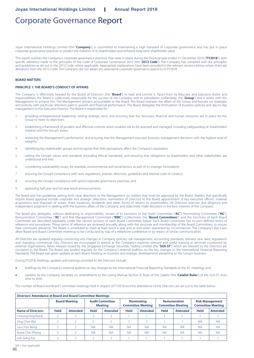Joyas International Holdings Limited (the "**Company**") is committed to maintaining a high standard of corporate governance and has put in place corporate governance practices to protect the interests of its shareholders and enhance long-term shareholder value.

This report outlines the Company's corporate governance practices that were in place during the financial year ended 31 December 2018 ("**FY2018**"), with specific reference made to the principles of the Code of Corporate Governance 2012 (the "**2012 Code**"). The Company has complied with the principles and guidelines as set out in the 2012 Code, where applicable. Appropriate explanations have been provided in the relevant sections below where there are deviations from the 2012 Code. The Company did not adopt any alternative corporate governance practices in FY2018.

#### **BOARD MATTERS**

# **PRINCIPLE 1: THE BOARD'S CONDUCT OF AFFAIRS**

The Company is effectively headed by the Board of Directors (the "**Board**") to lead and control it. Apart from its fiduciary and statutory duties and responsibilities, the Board is collectively responsible for the success of the Company and its subsidiaries (collectively, the "**Group**") and it works with the Management to achieve this. The Management remains accountable to the Board. The Board oversees the affairs of the Group and focuses on strategies and policies, with particular attention paid to growth and financial performance. The Board delegates the formulation of business policies and day-to-day management to the Executive Director. The Board is responsible for:

- 1. providing entrepreneurial leadership, setting strategic aims, and ensuring that the necessary financial and human resources are in place for the Group to meet its objectives;
- 2. establishing a framework of prudent and effective controls which enables risk to be assessed and managed, including safeguarding of shareholders' interests and the Group's assets;
- 3. reviewing the Management's performance, and ensuring that the Management executes business management decisions with the highest level of integrity;
- 4. identifying key stakeholder groups and recognise that their perceptions affect the Company's reputation;
- 5. setting the Group's values and standards (including ethical standards), and ensuring that obligations to shareholders and other stakeholders are understood and met;
- 6. considering sustainability issues, for example, environmental and social factors, as part of its strategic formulation;
- 7. ensuring the Group's compliance with laws, regulations, policies, directives, guidelines and internal code of conduct;
- 8. ensuring the Group's compliance with good corporate governance practices; and
- 9. approving half-year and full-year result announcements.

The Board also has guidelines setting forth clear directions to the Management on matters that must be approved by the Board. Matters that specifically require Board approval include corporate and strategic directions, nomination of Directors to the Board, appointment of key executive officers, material acquisitions and disposals of assets, share issuances, dividends and other forms of returns to shareholders. All Directors exercise due diligence and independent judgment in dealing with the business affairs of the Company, and objectively make decisions in the best interests of the Company.

The Board also delegates, without abdicating its responsibility, certain of its functions to the Audit Committee ("**AC**"), Nominating Committee ("**NC**"), Remuneration Committee ("**RC**") and Risk Management Committee ("**RMC**") (collectively, the "**Board Committees**") and the functions of each Board Committee are described separately under the various sections of each Board Committee below. Each Board Committee has its own defined terms of reference and procedures. These terms of reference are reviewed annually, along with the structure and membership of the Board Committees, to ensure their continued relevance. The Board is scheduled to meet at least twice a year and as and when warranted by circumstances. The Company's Bye-Laws allow Board and Board Committee meetings to be conducted by way of a telephone conference or by means of similar communication.

All Directors are updated regularly concerning any changes in Company policies, risk management, accounting standards, relevant new laws, regulations and changing commercial risks. Directors are encouraged to attend, at the Company's expense, relevant and useful training or seminars conducted by external organisations. News releases issued by the Singapore Exchange Securities Trading Limited (the "**SGX-ST**") which are relevant to the Directors are circulated to the Board. The Board was briefed regularly by the Company's external auditors on the key changes to the International Financial Reporting Standards. The Board was given updates at each Board meeting on business and strategic developments pertaining to the Group's business.

During FY2018, briefings, updates and trainings provided to the Directors include:

- briefings by the Company's external auditors on key changes to the International Financial Reporting Standards at the AC meetings; and
- updates by the Company Secretary on amendments to the Listing Manual Section B: Rules of the Catalist (the "**Catalist Rules**") of the SGX-ST, from time to time.

The number of Board and Board Committee meetings held in respect of FY2018 and the attendance of the Directors are set out in the table below:

| <b>Directors' Attendance at Board and Board Committee Meetings</b> |             |                      |                                          |                 |                                               |                 |                                                 |                 |                                                    |                 |
|--------------------------------------------------------------------|-------------|----------------------|------------------------------------------|-----------------|-----------------------------------------------|-----------------|-------------------------------------------------|-----------------|----------------------------------------------------|-----------------|
|                                                                    |             | <b>Board Meeting</b> | <b>Audit Committee</b><br><b>Meeting</b> |                 | <b>Nominating</b><br><b>Committee Meeting</b> |                 | <b>Remuneration</b><br><b>Committee Meeting</b> |                 | <b>Risk Management</b><br><b>Committee Meeting</b> |                 |
| <b>Name of Directors</b>                                           | <b>Held</b> | <b>Attended</b>      | <b>Held</b>                              | <b>Attended</b> | <b>Held</b>                                   | <b>Attended</b> | <b>Held</b>                                     | <b>Attended</b> | <b>Held</b>                                        | <b>Attended</b> |
| Cheung King Kwok                                                   |             |                      |                                          |                 |                                               |                 |                                                 |                 |                                                    |                 |
| Ong Chor Wei                                                       |             |                      |                                          |                 |                                               |                 |                                                 |                 | <b>NA</b>                                          | <b>NA</b>       |
| Lau Chor Beng                                                      |             |                      | <b>NA</b>                                | <b>NA</b>       | <b>NA</b>                                     | <b>NA</b>       | <b>NA</b>                                       | <b>NA</b>       | <b>NA</b>                                          | <b>NA</b>       |
| Kwok Chin Phang                                                    |             |                      | <b>NA</b>                                | <b>NA</b>       | <b>NA</b>                                     | <b>NA</b>       | <b>NA</b>                                       | <b>NA</b>       | <b>NA</b>                                          | <b>NA</b>       |
| Lim Siang Kai                                                      |             |                      |                                          |                 |                                               |                 |                                                 |                 |                                                    |                 |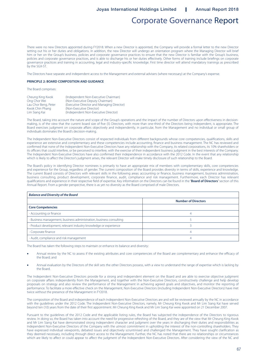There were no new Directors appointed during FY2018. When a new Director is appointed, the Company will provide a formal letter to the new Director setting out his or her duties and obligations. In addition, the new Director will undergo an orientation program where the Managing Director will brief him or her on the Group's business, policies and corporate governance practices to ensure that the new Director is familiar with the Group's business, policies and corporate governance practices, and is able to discharge his or her duties effectively. Other forms of training include briefings on corporate governance practices and training in accounting, legal and industry-specific knowledge. First time director will attend mandatory trainings as prescribed by the SGX-ST.

The Directors have separate and independent access to the Management and external advisers (where necessary) at the Company's expense.

## **PRINCIPLE 2: BOARD COMPOSITION AND GUIDANCE**

The Board comprises:

| Cheung King Kwok     | (Independent Non-Executive Chairman)       |
|----------------------|--------------------------------------------|
| Ong Chor Wei         | (Non-Executive Deputy Chairman)            |
| Lau Chor Beng, Peter | (Executive Director and Managing Director) |
| Kwok Chin Phang      | (Non-Executive Director)                   |
| Lim Siang Kai        | (Independent Non-Executive Director)       |

The Board, taking into account the nature and scope of the Group's operations and the impact of the number of Directors upon effectiveness in decisionmaking, is of the view that the current board size of five (5) Directors, with more than one-third of the Directors being independent, is appropriate. The Board exercises judgment on corporate affairs objectively and independently, in particular, from the Management and no individual or small group of individuals dominates the Board's decision-making.

The Independent Non-Executive Directors consist of respected individuals from different backgrounds whose core competencies, qualifications, skills and experience are extensive and complementary and these competencies include accounting, finance and business management. The NC has reviewed and confirmed that none of the Independent Non-Executive Directors have any relationship with the Company, its related corporations, its 10% shareholders or its officers that could interfere, or be perceived to interfere, with the exercise of their independent business judgment in the best interests of the Company. The Independent Non-Executive Directors have also confirmed their independence in accordance with the 2012 Code. In the event that any relationship which is likely to affect the Director's judgment arises, the relevant Director will make timely disclosure of such relationship to the Board.

The Board's policy in identifying Director nominees is primarily to have an appropriate mix of members with complementary skills, core competencies and experience for the Group, regardless of gender. The current composition of the Board provides diversity in terms of skills, experience and knowledge. The current Board consists of Directors with relevant skills in the following areas: accounting or finance, business management, business administration, business consulting, product development, corporate finance, audit, compliance and risk management. Furthermore, each Director has relevant qualifications and experience in their respective field of expertise. Key information on the Directors can be found in the "**Board of Directors**" section of this Annual Report. From a gender perspective, there is as yet no diversity as the Board comprised of male Directors.

| <b>Balance and Diversity of the Board</b>                           |                            |  |  |
|---------------------------------------------------------------------|----------------------------|--|--|
|                                                                     | <b>Number of Directors</b> |  |  |
| <b>Core Competencies</b>                                            |                            |  |  |
| - Accounting or finance                                             |                            |  |  |
| - Business management, business administration, business consulting |                            |  |  |
| - Product development, relevant industry knowledge or experience    |                            |  |  |
| - Corporate finance                                                 |                            |  |  |
| - Audit, compliance and risk management                             |                            |  |  |

The Board has taken the following steps to maintain or enhance its balance and diversity:

- Annual review by the NC to assess if the existing attributes and core competencies of the Board are complementary and enhance the efficacy of the Board; and
- Annual evaluation by the Directors of the skill sets the other Directors possess, with a view to understand the range of expertise which is lacking by the Board.

The Independent Non-Executive Directors provide for a strong and independent element on the Board and are able to exercise objective judgment on corporate affairs independently from the Management, and together with the Non-Executive Directors, constructively challenge and help develop proposals on strategy and also review the performance of the Management in achieving agreed goals and objectives, and monitor the reporting of performance. To facilitate a more effective check on the Management, Non-Executive Directors (including Independent Non-Executive Directors) have met twice without the presence of the Management in FY2018.

The composition of the Board and independence of each Independent Non-Executive Directors are and will be reviewed annually by the NC in accordance with the guidelines under the 2012 Code. The Independent Non-Executive Directors, namely, Mr Cheung King Kwok and Mr Lim Siang Kai have served beyond ten (10) years from the date of their first appointment. Mr Cheung King Kwok and Mr Lim Siang Kai were appointed on 21 December 2007.

Pursuant to the guidelines of the 2012 Code and the applicable listing rules, the Board has subjected the independence of the Directors to rigorous review. In doing so, the Board has taken into account the need for progressive refreshing of the Board, and they are of the view that Mr Cheung King Kwok and Mr Lim Siang Kai have demonstrated strong independent character and judgment over the years in discharging their duties and responsibilities as Independent Non-Executive Directors of the Company with the utmost commitment in upholding the interest of the non-controlling shareholders. They have expressed individual viewpoints, debated issues and objectively scruntinised and challenged the Management. They have sought clarification as they deemed necessary, including through direct access to the Management. Further, the NC has noted that there are no relationships or circumstances which are likely to affect or could appear to affect the judgment of the Independent Non-Executive Directors. After considering the view of the NC and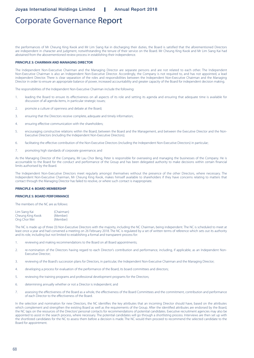the performances of Mr Cheung King Kwok and Mr Lim Siang Kai in discharging their duties, the Board is satisfied that the aforementioned Directors are independent in character and judgment, notwithstanding the tenure of their service on the Board. Mr Cheung King Kwok and Mr Lim Siang Kai had abstained from the abovementioned review process in establishing their independence.

## **PRINCIPLE 3: CHAIRMAN AND MANAGING DIRECTOR**

The Independent Non-Executive Chairman and the Managing Director are separate persons and are not related to each other. The Independent Non-Executive Chairman is also an Independent Non-Executive Director. Accordingly, the Company is not required to, and has not appointed, a lead independent Director. There is clear separation of the roles and responsibilities between the Independent Non-Executive Chairman and the Managing Director in order to ensure an appropriate balance of power, increased accountability and greater capacity of the Board for independent decision making.

The responsibilities of the Independent Non-Executive Chairman include the following:

- 1. leading the Board to ensure its effectiveness on all aspects of its role and setting its agenda and ensuring that adequate time is available for discussion of all agenda items, in particular strategic issues;
- 2. promote a culture of openness and debate at the Board;
- 3. ensuring that the Directors receive complete, adequate and timely information;
- 4. ensuring effective communication with the shareholders;
- 5. encouraging constructive relations within the Board, between the Board and the Management, and between the Executive Director and the Non-Executive Directors (including the Independent Non-Executive Directors);
- 6. facilitating the effective contribution of the Non-Executive Directors (including the Independent Non-Executive Directors) in particular;
- 7. promoting high standards of corporate governance; and

As the Managing Director of the Company, Mr Lau Chor Beng, Peter is responsible for overseeing and managing the businesses of the Company. He is accountable to the Board for the conduct and performance of the Group and has been delegated authority to make decisions within certain financial limits authorised by the Board.

The Independent Non-Executive Directors meet regularly amongst themselves without the presence of the other Directors, where necessary. The Independent Non-Executive Chairman, Mr Cheung King Kwok, makes himself available to shareholders if they have concerns relating to matters that contact through the Managing Director has failed to resolve, or where such contact is inappropriate.

### **PRINCIPLE 4: BOARD MEMBERSHIP**

#### **PRINCIPLE 5: BOARD PERFORMANCE**

The members of the NC are as follows:

| Lim Siang Kai    | (Chairman) |
|------------------|------------|
| Cheung King Kwok | (Member)   |
| Ong Chor Wei     | (Member)   |

The NC is made up of three (3) Non-Executive Directors with the majority, including the NC Chairman, being independent. The NC is scheduled to meet at least once a year and had convened a meeting on 26 February 2018. The NC is regulated by a set of written terms of reference which sets out its authority and its role, including but not limited to establishing a formal and transparent process for:

- 1. reviewing and making recommendations to the Board on all Board appointments;
- 2. re-nomination of the Directors having regard to each Director's contribution and performance, including, if applicable, as an Independent Non-Executive Director;
- 3. reviewing of the Board's succession plans for Directors, in particular, the Independent Non-Executive Chairman and the Managing Director;
- 4. developing a process for evaluation of the performance of the Board, its board committees and directors;
- 5. reviewing the training programs and professional development programs for the Directors;
- 6. determining annually whether or not a Director is independent; and
- 7. assessing the effectiveness of the Board as a whole, the effectiveness of the Board Committees and the commitment, contribution and performance of each Director to the effectiveness of the Board.

In the selection and nomination for new Directors, the NC identifies the key attributes that an incoming Director should have, based on the attributes which complement and strengthen the existing Board as well as the requirements of the Group. After the identified attributes are endorsed by the Board, the NC taps on the resources of the Directors' personal contacts for recommendations of potential candidates. Executive recruitment agencies may also be appointed to assist in the search process, where necessary. The potential candidates will go through a shortlisting process. Interviews are then set up with the shortlisted candidates for the NC to assess them before a decision is made. The NC would then proceed to recommend the selected candidate to the Board for appointment.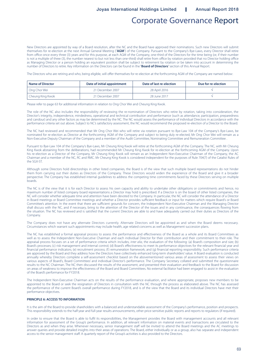New Directors are appointed by way of a Board resolution, after the NC and the Board have approved their nominations. Such new Directors will submit themselves for re-election at the next Annual General Meeting ("**AGM**") of the Company. Pursuant to the Company's Bye-Laws, every Director shall retire from office once every three (3) years and for this purpose, at each AGM of the Company, one-third of the Directors for the time being (or, if their number is not a multiple of three (3), the number nearest to but not less than one-third) shall retire from office by rotation provided that no Director holding office as Managing Director or a person holding an equivalent position shall be subject to retirement by rotation or be taken into account in determining the number of Directors to retire. Key information on the Directors can be found in the "**Board of Directors**" section of this Annual Report.

The Directors who are retiring and who, being eligible, will offer themselves for re-election at the forthcoming AGM of the Company are named below:

| <b>Name of Director</b> | Date of initial appointment | Date of last re-election | Due for re-election |
|-------------------------|-----------------------------|--------------------------|---------------------|
| l Ona Chor Wei          | 21 December 2007            | 28 April 2016            |                     |
| Cheung King Kwok        | 21 December 2007            | 28 June 2017             |                     |

Please refer to page 63 for additional information in relation to Ong Chor Wei and Cheung King Kwok.

The role of the NC also includes the responsibility of reviewing the re-nomination of Directors who retire by rotation, taking into consideration, the Director's integrity, independence, mindedness, operational and technical contribution and performance (such as attendance, participation, preparedness and candour) and any other factors as may be determined by the NC. The NC would assess the performance of individual Directors in accordance with the performance criteria set out above. Subject to NC's satisfactory assessment, the NC would recommend the proposed re-election of a Director to the Board.

The NC had reviewed and recommended that Mr Ong Chor Wei who will retire via rotation pursuant to Bye-Law 104 of the Company's Bye-Laws, be nominated for re-election as Director at the forthcoming AGM of the Company and subject to being duly re-elected, Mr Ong Chor Wei will remain as a Non-Executive Deputy Chairman of the Company and a member of the Audit Committee, Nominating Committee and Remuneration Committee .

Pursuant to Bye-Law 104 of the Company's Bye-Laws, Mr Cheung King Kwok will retire at the forthcoming AGM of the Company. The NC, with Mr Cheung King Kwok abstaining from the deliberations, had recommended Mr Cheung King Kwok for re-election at the forthcoming AGM of the Company. Upon his re-election as a Director of the Company, Mr Cheung King Kwok will remain as an Independent Non-Executive Chairman of the Company, the AC Chairman and a member of the NC, RC and RMC. Mr Cheung King Kwok is considered independent for the purposes of Rule 704(7) of the Catalist Rules of the SGX-ST.

Although some Directors hold directorships in other listed companies, the Board is of the view that such multiple board representations do not hinder them from carrying out their duties as Directors of the Company. These Directors would widen the experience of the Board and give it a broader perspective. The Company has established internal guidelines to address the competing time commitments faced by these Directors serving on multiple boards.

The NC is of the view that it is for each Director to assess his own capacity and ability to undertake other obligations or commitments and hence, no maximum number of listed company board representations a Director may hold is prescribed. If a Director is on the board of other listed companies, the NC will consider whether adequate time and attention have been devoted to the Company. In particular, the NC will consider the attendance of a Director in Board meetings or Board Committee meetings and whether a Director provides sufficient feedback or input for matters which require Board's or Board Committee's attention. In the event that there are sufficient grounds for concern, the Independent Non-Executive Chairman and the Managing Director shall discuss with the NC, and if necessary, bring to the attention of the Director of the issues and in any continuance, the consequences flowing from the situation. The NC has reviewed and is satisfied that the current Directors are able to and have adequately carried out their duties as Directors of the Company.

The Company does not have any alternate Directors currently. Alternate Directors will be appointed as and when the Board deems necessary. Circumstances which warrant such appointments may include health, age related concerns as well as Management succession plans.

The NC has established a formal appraisal process to assess the performance and effectiveness of the Board as a whole and its Board Committees as well as to assess the Independent Non-Executive Chairman and each individual Director for their contribution and their commitment to their role. The appraisal process focuses on a set of performance criteria which includes, *inter alia*, the evaluation of the following: (a) Board's composition and size; (b) Board's processes; (c) risk management and internal control; (d) Board's effectiveness to meet its performance objectives for the relevant financial year and financial performance indicators; (e) recruitment process; (f) remuneration framework; and (g) financial reporting responsibility. Such performance criteria are approved by the Board and they address how the Directors have collectively enhanced long-term shareholders' value. A Board evaluation is conducted annually whereby Directors complete a self-assessment checklist based on the abovementioned various areas of assessment to assess their views on various aspects of Board's, Board Committees' and individual Director's performance. The Company Secretary collated and submitted the questionnaire results to the NC Chairman. The NC then discussed the results of the assessment, and presented their evaluation and feedback to the Board for discussion on areas of weakness to improve the effectiveness of the Board and Board Committees. No external facilitator had been engaged to assist in the evaluation of the Board's performance for FY2018.

The Independent Non-Executive Chairman acts on the results of the performance evaluation, and where appropriate, proposes new members to be appointed to the Board or seek the resignation of Directors in consultation with the NC through the process as elaborated above. The NC has assessed the performance of the current Board's overall performance during FY2018, and is of the view that the Board and its individual Directors have met their performance objectives.

# **PRINCIPLE 6: ACCESS TO INFORMATION**

It is the aim of the Board to provide shareholders with a balanced and understandable assessment of the Company's performance, position and prospects. This responsibility extends to the half-year and full-year results announcements, other price-sensitive public reports and reports to regulators (if required).

In order to ensure that the Board is able to fulfil its responsibilities, the Management provides the Board with management accounts and all relevant information for assessment of the Group's performance. In addition, all relevant information on material events and transactions are circulated to the Directors as and when they arise. Whenever necessary, senior management staff will be invited to attend the Board meetings and the AC meetings to answer queries and provide detailed insights into their areas of operations. The Board, either individually or as a group, also has separate and independent access to the senior management staff. A quarterly report of the Group's activities is also provided to the Directors.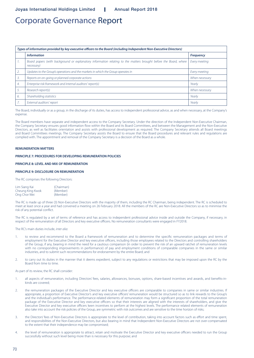| Types of information provided by key executive officers to the Board (including Independent Non-Executive Directors) |                                                                                                                                |                  |  |
|----------------------------------------------------------------------------------------------------------------------|--------------------------------------------------------------------------------------------------------------------------------|------------------|--|
|                                                                                                                      | <b>Information</b>                                                                                                             | <b>Frequency</b> |  |
|                                                                                                                      | Board papers (with background or explanatory information relating to the matters brought before the Board, where<br>necessary) | Every meeting    |  |
| 2.                                                                                                                   | Updates to the Group's operations and the markets in which the Group operates in                                               | Every meeting    |  |
|                                                                                                                      | Reports on on-going or planned corporate actions                                                                               | When necessary   |  |
| 4.                                                                                                                   | Enterprise risk framework and internal auditors' report(s)                                                                     | Yearly           |  |
|                                                                                                                      | Research report(s)                                                                                                             | When necessary   |  |
| 6.                                                                                                                   | Shareholding statistics                                                                                                        | Yearly           |  |
|                                                                                                                      | External auditors' report                                                                                                      | Yearly           |  |

The Board, individually or as a group, in the discharge of its duties, has access to independent professional advice, as and when necessary, at the Company's expense.

The Board members have separate and independent access to the Company Secretary. Under the direction of the Independent Non-Executive Chairman, the Company Secretary ensures good information flow within the Board and its Board Committees, and between the Management and the Non-Executive Directors, as well as facilitates orientation and assists with professional development as required. The Company Secretary attends all Board meetings and Board Committees meetings. The Company Secretary assists the Board to ensure that the Board procedures and relevant rules and regulations are complied with. The appointment and removal of the Company Secretary is a decision of the Board as a whole.

### **REMUNERATION MATTERS**

## **PRINCIPLE 7: PROCEDURES FOR DEVELOPING REMUNERATION POLICIES**

### **PRINCIPLE 8: LEVEL AND MIX OF REMUNERATION**

#### **PRINCIPLE 9: DISCLOSURE ON REMUNERATION**

The RC comprises the following Directors:

| Lim Siang Kai    | (Chairman) |
|------------------|------------|
| Cheung King Kwok | (Member)   |
| Ong Chor Wei     | (Member)   |

The RC is made up of three (3) Non-Executive Directors with the majority of them, including the RC Chairman, being independent. The RC is scheduled to meet at least once a year and had convened a meeting on 26 February 2018. All the members of the RC are Non-Executive Directors so as to minimise the risk of any potential conflict.

The RC is regulated by a set of terms of reference and has access to independent professional advice inside and outside the Company, if necessary, in respect of the remuneration of all Directors and key executive officers. No remuneration consultants were engaged in FY2018.

The RC's main duties include, *inter alia*:

- 1. to review and recommend to the Board a framework of remuneration and to determine the specific remuneration packages and terms of employment for the Executive Director and key executive officers, including those employees related to the Directors and controlling shareholders of the Group, if any, bearing in mind the need for a cautious comparison (in order to prevent the risk of an upward ratchet of remuneration levels with no corresponding improvements in performance) of pay and employment conditions of comparable companies in the same or similar industries, and to submit such recommendations for endorsement by the entire Board; and
- 2. to carry out its duties in the manner that it deems expedient, subject to any regulations or restrictions that may be imposed upon the RC by the Board from time to time.

As part of its review, the RC shall consider:

- 1. all aspects of remuneration, including Directors' fees, salaries, allowances, bonuses, options, share-based incentives and awards, and benefits-inkinds are covered;
- 2. the remuneration packages of the Executive Director and key executive officers are comparable to companies in same or similar industries. If appropriate, a proportion of Executive Director's and key executive officers' remuneration would be structured so as to link rewards to the Group's and the individual's performance. The performance-related elements of remuneration may form a significant proportion of the total remuneration package of the Executive Director and key executive officers so that their interests are aligned with the interests of shareholders, and give the Executive Director and key executive officers keen incentives to perform at the highest levels. The performance related elements of remuneration also take into account the risk policies of the Group, are symmetric with risk outcomes and are sensitive to the time horizon of risks;
- 3. the Directors' fees of Non-Executive Directors is appropriate to the level of contribution, taking into account factors such as effort and time spent, and responsibilities of the Non-Executive Directors, but also bearing in mind that Independent Non-Executive Directors are not over-compensated to the extent that their independence may be compromised;
- 4. the level of remuneration is appropriate to attract, retain and motivate the Executive Director and key executive officers needed to run the Group successfully without such level being more than is necessary for this purpose; and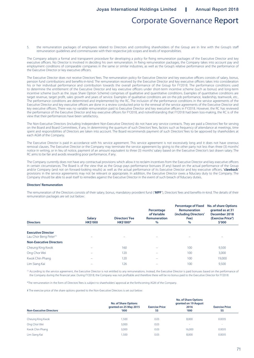5. the remuneration packages of employees related to Directors and controlling shareholders of the Group are in line with the Group's staff remuneration guidelines and commensurate with their respective job scopes and levels of responsibilities.

The Company adopts a formal and transparent procedure for developing a policy for fixing remuneration packages of the Executive Director and key executive officers. No Director is involved in deciding his own remuneration. In fixing remuneration packages, the Company takes into account pay and employment conditions of comparable companies in the same or similar industries, as well as the Group's relative performance and the performance of the Executive Director or key executive officers.

The Executive Director does not receive Directors' fees. The remuneration policy for Executive Director and key executive officers consists of salary, bonus, pension fund contributions and benefits-in-kind. The remuneration received by the Executive Director and key executive officers takes into consideration his or her individual performance and contribution towards the overall performance of the Group for FY2018. The performance conditions used to determine the entitlement of the Executive Director and key executive officers under short-term incentive scheme (such as bonus) and long-term incentive scheme (such as the Joyas Share Option Scheme) comprises of qualitative and quantitative conditions. Examples of quantitative conditions are target revenue, target profit, sales growth and years of service. Examples of qualitative conditions are on-the-job performance, leadership, teamwork, etc.. The performance conditions are determined and implemented by the RC. The inclusion of the performance conditions in the service agreements of the Executive Director and key executive officers are done in a review conducted prior to the renewal of the service agreements of the Executive Director and key executive officers. There was no variable remuneration paid to Executive Director and key executive officers in FY2018. However, the RC has reviewed the performance of the Executive Director and key executive officers for FY2018, and notwithstanding that FY2018 had been loss-making, the RC is of the view that their performances have been satisfactory.

The Non-Executive Directors (including Independent Non-Executive Directors) do not have any service contracts. They are paid a Directors' fee for serving on the Board and Board Committees, if any. In determining the quantum of such Directors' fees, factors such as frequency of attendance at meetings, time spent and responsibilities of Directors are taken into account. The Board recommends payment of such Directors' fees to be approved by shareholders at each AGM of the Company.

The Executive Director is paid in accordance with his service agreement. This service agreement is not excessively long and it does not have onerous removal clauses. The Executive Director or the Company may terminate the service agreement by giving to the other party not less than three (3) months' notice in writing, or in lieu of notice, payment of an amount equivalent to three (3) months' salary based on the Executive Director's last drawn salary. The RC aims to be fair and avoids rewarding poor performance, if any.

The Company currently does not have any contractual provisions which allow it to reclaim incentives from the Executive Director and key executive officers in certain circumstances. The Board is of the view that as the Group pays performance bonuses (if any) based on the actual performance of the Group and/or Company (and not on forward-looking results) as well as the actual performance of its Executive Director and key executive officers, "**clawback**" provisions in the service agreements may not be relevant or appropriate. In addition, the Executive Director owes a fiduciary duty to the Company. The Company should be able to avail itself to remedies against the Executive Director in the event of such breach of fiduciary duties.

## **Directors' Remuneration**

The remuneration of the Directors consists of their salary, bonus, mandatory provident fund ("**MPF**"), Directors' fees and benefits-in-kind. The details of their remuneration packages are set out below:

| <b>Directors</b>                   | <b>Salary</b><br><b>HK\$'000</b> | <b>Directors' Fee</b><br><b>HK\$'000*</b> | Percentage<br>of Variable<br>Remuneration<br>$\%$ | <b>Percentage of Fixed</b><br><b>Remuneration</b><br>(including Directors'<br>Fee)<br>$\%$ | <b>No. of share Options</b><br>granted as at 31<br>December 2018<br>(Exercise Price#)<br>\$′000 |
|------------------------------------|----------------------------------|-------------------------------------------|---------------------------------------------------|--------------------------------------------------------------------------------------------|-------------------------------------------------------------------------------------------------|
|                                    |                                  |                                           |                                                   |                                                                                            |                                                                                                 |
| <b>Executive Director</b>          |                                  |                                           |                                                   |                                                                                            |                                                                                                 |
| Lau Chor Beng Peter <sup>(1)</sup> |                                  | $\overline{\phantom{a}}$                  |                                                   | -                                                                                          |                                                                                                 |
| <b>Non-Executive Directors</b>     |                                  |                                           |                                                   |                                                                                            |                                                                                                 |
| Cheung King Kwok                   |                                  | 160                                       |                                                   | 100                                                                                        | 9,500                                                                                           |
| Ong Chor Wei                       |                                  | 120                                       |                                                   | 100                                                                                        | 3,000                                                                                           |
| Kwok Chin Phang                    | $\overline{\phantom{0}}$         | 120                                       | -                                                 | 100                                                                                        | 19,000                                                                                          |
| Lim Siang Kai                      |                                  | 126                                       |                                                   | 100                                                                                        | 9,500                                                                                           |

(1) According to the service agreement, the Executive Director is not entitled to any remunerations. Instead, the Executive Director is paid bonuses based on the performance of the Company during the financial year. During FY2018, the Company was not profitable and therefore there will be no bonus paid to the Executive Director for FY2018

\*The remuneration in the form of Directors' fees is subject to shareholders' approval at the forthcoming AGM of the Company.

# The exercise price of the share options granted to the Non-Executive Directors is set out below:

| <b>Non-Executive Directors</b> | <b>No. of Share Options</b>    |                              | <b>No. of Share Options</b><br>granted on 19 August |                              |
|--------------------------------|--------------------------------|------------------------------|-----------------------------------------------------|------------------------------|
|                                | granted on 25 May 2015<br>'000 | <b>Exercise Price</b><br>S\$ | 2016<br>'000                                        | <b>Exercise Price</b><br>S\$ |
| Cheung King Kwok               | 1.500                          | 0.03                         | 8.000                                               | 0.0035                       |
| Ong Chor Wei                   | 3,000                          | 0.03                         | $\overline{\phantom{a}}$                            | ۰                            |
| Kwok Chin Phang                | 3,000                          | 0.03                         | 16.000                                              | 0.0035                       |
| Lim Siang Kai                  | 1.500                          | 0.03                         | 8,000                                               | 0.0035                       |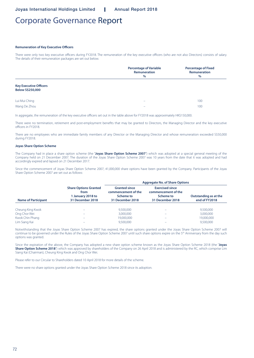#### **Remuneration of Key Executive Officers**

There were only two key executive officers during FY2018. The remuneration of the key executive officers (who are not also Directors) consists of salary. The details of their remuneration packages are set out below.

|                                                          | <b>Percentage of Variable</b><br>Remuneration<br>$\%$ | <b>Percentage of Fixed</b><br>Remuneration<br>$\%$ |
|----------------------------------------------------------|-------------------------------------------------------|----------------------------------------------------|
| <b>Key Executive Officers</b><br><b>Below S\$250,000</b> |                                                       |                                                    |
| Lui Mui Ching                                            | $\overline{\phantom{0}}$                              | 100                                                |
| Wang De Zhou                                             | $\overline{\phantom{0}}$                              | 100                                                |

In aggregate, the remuneration of the key executive officers set out in the table above for FY2018 was approximately HK\$150,000.

There were no termination, retirement and post-employment benefits that may be granted to Directors, the Managing Director and the key executive officers in FY2018.

There are no employees who are immediate family members of any Director or the Managing Director and whose remuneration exceeded S\$50,000 during FY2018.

#### **Joyas Share Option Scheme**

The Company had in place a share option scheme (the "**Joyas Share Option Scheme 2007**") which was adopted at a special general meeting of the Company held on 21 December 2007. The duration of the Joyas Share Option Scheme 2007 was 10 years from the date that it was adopted and had accordingly expired and lapsed on 21 December 2017.

Since the commencement of Joyas Share Option Scheme 2007, 41,000,000 share options have been granted by the Company. Participants of the Joyas Share Option Scheme 2007 are set out as follows:

|                            |                                                                               | <b>Aggregate No. of Share Options</b>                                               |                                                                                       |                                        |  |
|----------------------------|-------------------------------------------------------------------------------|-------------------------------------------------------------------------------------|---------------------------------------------------------------------------------------|----------------------------------------|--|
| <b>Name of Participant</b> | <b>Share Options Granted</b><br>from<br>1 January 2018 to<br>31 December 2018 | <b>Granted since</b><br>commencement of the<br><b>Scheme to</b><br>31 December 2018 | <b>Exercised since</b><br>commencement of the<br><b>Scheme to</b><br>31 December 2018 | Outstanding as at the<br>end of FY2018 |  |
|                            |                                                                               |                                                                                     |                                                                                       |                                        |  |
| Cheung King Kwok           | -                                                                             | 9,500,000                                                                           | -                                                                                     | 9,500,000                              |  |
| Ong Chor Wei               | -                                                                             | 3,000,000                                                                           | -                                                                                     | 3,000,000                              |  |
| Kwok Chin Phang            | -                                                                             | 19,000,000                                                                          | -                                                                                     | 19,000,000                             |  |
| Lim Siang Kai              |                                                                               | 9,500,000                                                                           |                                                                                       | 9,500,000                              |  |

Notwithstanding that the Joyas Share Option Scheme 2007 has expired, the share options granted under the Joyas Share Option Scheme 2007 will continue to be governed under the Rules of the Joyas Share Option Scheme 2007 until such share options expire on the 5th Anniversary from the day such options was granted.

Since the expiration of the above, the Company has adopted a new share option scheme known as the Joyas Share Option Scheme 2018 (the "**Joyas Share Option Scheme 2018**") which was approved by shareholders of the Company on 26 April 2018 and is administered by the RC, which comprise Lim Siang Kai (Chairman), Cheung King Kwok and Ong Chor Wei.

Please refer to our Circular to Shareholders dated 10 April 2018 for more details of the scheme.

There were no share options granted under the Joyas Share Option Scheme 2018 since its adoption.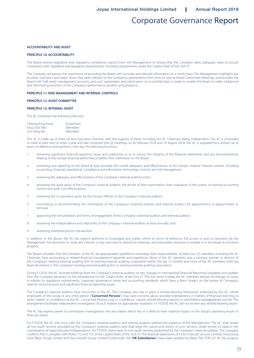#### **ACCOUNTABILITY AND AUDIT**

#### **PRINCIPLE 10: ACCOUNTABILITY**

The Board reviews legislative and regulatory compliance reports from the Management to ensure that the Company takes adequate steps to ensure compliance with legislative and regulatory requirements, including requirements under the Catalist Rules of the SGX-ST.

The Company recognises the importance of providing the Board with accurate and relevant information on a timely basis. The Management highlights key business indicators and major issues that were relevant to the Company's performance from time to time at Board Committee Meetings and provides the Board with half yearly management accounts and such explanation and information on a monthly basis in order to enable the Board to make a balanced and informed assessment of the Company's performance, position and prospects.

#### **PRINCIPLE 11: RISK MANAGEMENT AND INTERNAL CONTROLS**

#### **PRINCIPLE 12: AUDIT COMMITTEE**

#### **PRINCIPLE 13: INTERNAL AUDIT**

The AC comprises the following Directors:

| Cheung King Kwok | (Chairman) |
|------------------|------------|
| Ong Chor Wei     | (Member)   |
| Lim Siang Kai    | (Member)   |

The AC is made up of three (3) Non-Executive Directors with the majority of them, including the AC Chairman, being independent. The AC is scheduled to meet at least two (2) times a year and had convened two (2) meetings on 26 February 2018 and 10 August 2018. The AC is regulated by a written set of terms of reference and performs, *inter alia*, the following functions:

- 1. reviewing significant financial reporting issues and judgments so as to ensure the integrity of the financial statements and any announcements relating to the Group's financial performance before their submission to the Board;
- 2. reviewing and reporting to the Board at least annually the overall adequacy and effectiveness of the Group's material internal controls, including accounting, financial, operational, compliance and information technology controls, and risk management;
- 3. reviewing the adequacy and effectiveness of the Company's internal audit function;
- 4. reviewing the audit plans of the Company's external auditors, the results of their examination, their evaluation of the system of internal accounting control and audit cost effectiveness;
- 5. reviewing the co-operation given by the Group's officers to the Company's external auditors;
- 6. nominating or recommending the nomination of the Company's external auditors and internal auditors for appointment, re-appointment or removal;
- 7. approving the remuneration and terms of engagement of the Company's external auditors and internal auditors;
- 8. reviewing the independence and objectivity of the Company's external auditors at least annually; and
- 9. reviewing interested person transactions.

In addition to the above, the AC has explicit authority to investigate any matter within its terms of reference, full access to and co-operation by the Management, full discretion to invite any Director or key executive to attend its meetings, and reasonable resources to enable it to discharge its functions properly.

The Board considers that the members of the AC are appropriately qualified to discharge their responsibilities. At least two (2) members, including the AC Chairman, have accounting or related financial management expertise and experience. None of the AC members was a previous partner or director of the Company's existing external auditing firm or existing external auditing corporation within the last 12 months and none of the AC members hold any financial interest in the Company's existing external auditing firm or existing external auditing corporation.

During FY2018, the AC received briefings from the Company's external auditors on key changes to International Financial Reporting Standards and updates from the Company Secretary on the amendments to the Catalist Rules of the SGX-ST. This was done to keep the AC members abreast of changes or issues in relation to regulatory requirements, corporate governance issues and accounting standards, which have a direct impact on the review of Company's internal control process and significant financial reporting issues.

The Company's external auditors have full access to the AC. The Company also has in place a whistle-blowing framework, endorsed by the AC, where employees of the Group or any other person ("**Concerned Persons**") may raise concerns about possible improprieties in matters of financial reporting or other matters in confidence to the AC. Concerned Persons may, in confidence, submit whistle-blowing reports to whistleblow-joyas@upbnet.com.hk. This arrangement facilitates independent investigation of such matters for appropriate resolution. In FY2018, the AC did not receive any whistle-blowing report.

The AC has express power to commission investigations into any matter, which has or is likely to have material impact on the Group's operating results or financial results.

For FY2018, the AC met once with the Company's external auditors and internal auditors without the presence of the Management. The AC shall review all non-audit services provided by the Company's external auditors and shall keep the nature and extent of such services under review to balance the maintenance of objectivity and independence. For FY2018, there were no non-audit services performed by the Company's external auditors. The Company confirms that it complies with Rules 712 and 715 of the Catalist Rules of the SGX-ST. The financial statements of CCIG Financial Services Limited, Hong Kong Silver Basic Group Limited and Asia Growth Group Limited (collectively, the "**HK Subsidiaries**") have been audited by Baker Tilly TFW LLP for the purpose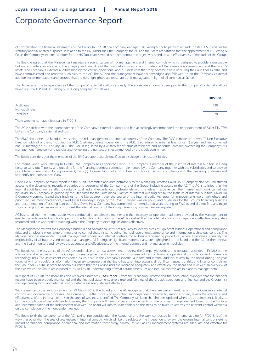of consolidating the financial statements of the Group. In FY2018, the Company engaged H.C. Wong & Co. to perform an audit on its HK Subsidiaries for statutory and tax related purposes. In relation to the HK Subsidiaries, the Company, the AC and the Board are satisfied that the appointment of H.C. Wong & Co. as the Company's external auditors for the HK Subsidiaries would not compromise the objectivity, standard and effectiveness of the audit of the Group.

The Board ensures that the Management maintains a sound system of risk management and internal controls which is designed to provide a reasonable but not absolute assurance as to the integrity and reliability of the financial information and to safeguard the shareholders' investment and the Group's assets. The Company's external auditors highlighted certain operational and business risks that they became aware of during their audit for FY2018, and have communicated and reported such risks to the AC. The AC and the Management have acknowledged and followed up on the Company's external auditors' recommendations and ensured that the risks highlighted are reasonable and manageable in light of all commercial factors.

The AC assesses the independence of the Company's external auditors annually. The aggregate amount of fees paid to the Company's external auditors Baker Tilly TFW LLP and H.C. Wong & Co., Hong Kong, for FY2018 was:

|                | <b>HK\$'000</b>          |
|----------------|--------------------------|
| Audit fees     | 638                      |
| Non-audit fees | $\overline{\phantom{0}}$ |
| Total fees     | 638                      |

There were no non-audit fees paid in FY2018.

The AC is satisfied with the independence of the Company's external auditors and had accordingly recommended the re-appointment of Baker Tilly TFW LLP as the Company's external auditors.

The RMC also assists the Board in overseeing the risk management and internal controls of the Company. The RMC is made up of two (2) Non-Executive Directors with all of them, including the RMC Chairman, being independent. The RMC is scheduled to meet at least once (1) a year and had convened one (1) meeting on 23 February 2018. The RMC is regulated by a written set of terms of reference and performs, *inter alia,* overseeing the Company's risk management framework and policies and reviewing the transactions recommended by the credit committee*.*

The Board considers that the members of the RMC are appropriately qualified to discharge their responsibilities.

For internal audit work relating to FY2018, the Company has appointed David Ho & Company, a member of the Institute of Internal Auditors in Hong Kong, to carry out (i) policy and guideline for the financing business currently implemented by the Company together with the subsidiaries and to provide possible recommendation for improvement, if any (ii) documentation of existing loan portfolio for checking compliance with the prevailing guidelines and to identify non-compliance, if any.

David Ho & Company primarily reports to the Audit Committee and administratively to the Managing Director. David Ho & Company also has unrestricted access to the documents, records, properties and personnel of the Company and of the Group, including access to the AC. The AC is satisfied that the internal audit function is staffed by suitably qualified and experienced professionals with the relevant experience. The internal audit work carried out by David Ho & Company is guided by the Standards for the Professional Practice of Internal Auditing set by the Institute of Internal Auditors. David Ho & Company communicated their findings to the Management over the course of the internal audit. Key areas for improvements were highlighted and prioritised. As mentioned above, David Ho & Company's scope of the FY2018 review was on policy and guidelines for the Group's financing business and documentation of existing loan portfolios. David Ho & Company has completed its internal audit work relating to FY2018 and did not find any major shortcomings in their review which suggest the internal controls of the Group's financing business are inadequate.

AC has noted that the internal audits were conducted in an effective manner and the necessary co-operation had been provided by the Management to enable the independent auditor to perform the functions. Accordingly, the AC is satisfied that the internal auditor is independent, effective, adequately resourced and has appropriate standing within the Company to discharge its duties effectively.

The Management reviews the Company's business and operational activities regularly to identify areas of significant business, operational and compliance risks, and employs a wide range of measures to control these risks, including financial, operational, compliance and information technology controls. The Management has embedded the risk management process and internal controls into all business operating procedures, where it becomes ultimately the responsibility of all business and operational managers. All findings or significant matters, if any, are highlighted to the Board and the AC for their review, and the Board monitors and reviews the adequacy and effectiveness of the internal controls and risk management policies.

The Board, with the assistance of the AC has undertaken an annual assessment to review the Company's business and operation activities in FY2018 on the adequacy and effectiveness of the Group's risk management and internal control systems addressing financial, operational, compliance and information technology risks. The assessment considered issues dealt in the Company's external auditors' and internal auditors' review by the Board during the year together with any additional information necessary to ensure that the Board has taken into account all significant aspects of risks and internal controls for the Group for FY2018. In order to obtain assurance that the Group's risks are managed adequately and effectively, the Board had reviewed an overview of the risks which the Group are exposed to, as well as an understanding of what counter measures and internal controls are in place to manage them.

In respect of FY2018, the Board has also received assurances ("**Assurance**") from the Managing Director and the Accounting Manager, that the financial records have been properly maintained and the financial statements give a true and fair view of the Group's operations and finances and the Group's risk management systems and internal control systems are adequate and effective.

With reference to the announcement on 29 March 2019, the Board and the AC recognize that there are certain weaknesses in the Company's internal controls and governance processes. The Company is in the process of appointing an independent reviewer to, amongst others, review the adequacy and effectiveness of the internal controls in the area of weakness identified. The Company will keep shareholders updated when the appointment is finalised. On the completion of the independent review, the Company will issue further announcements on the progress of improvement based on the findings and recommendation of the independent reviewer. The Board will inform shareholders on the steps to be taken to address the relevant control weakness on the completion of the independent review.

The Board (with the concurrence of the AC), taking into consideration the Assurance, and the work conducted by the internal auditor for FY2018, is of the view that other than the area of weaknesses in internal controls which will be the subject of the independent review, the Group's internal control systems (including financial, compliance, operational and information technology control) as well as risk management systems are adequate and effective for FY2018.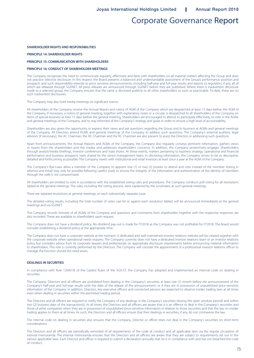#### **SHAREHOLDER RIGHTS AND RESPONSIBILITIES**

**PRINCIPLE 14: SHAREHOLDER RIGHTS**

#### **PRINCIPLE 15: COMMUNICATION WITH SHAREHOLDERS**

#### **PRINCIPLE 16: CONDUCT OF SHAREHOLDER MEETINGS**

The Company recognises the need to communicate regularly, effectively and fairly with shareholders on all material matters affecting the Group and does not practice selective disclosure. In this respect, the Board presents a balanced and understandable assessment of the Group's performance, position and prospects and such responsibility extends to price sensitive announcements, including half-year and full-year results and reports to regulators, if any, all of which are released through SGXNET. All press releases are announced through SGXNET before they are published. Where there is inadvertent disclosure made to a selected group, the Company ensures that the same is disclosed publicly to all other shareholders as soon as practicable. To-date, there are no such inadvertent disclosures.

The Company may also hold media meetings on significant events.

All shareholders of the Company receive the Annual Report and notice of AGM of the Company which are despatched at least 15 days before the AGM of the Company. If necessary, a notice of general meeting, together with explanatory notes or a circular, is despatched to all shareholders of the Company on items of special business at least 15 days before the general meeting. Shareholders are encouraged to attend, to participate effectively, to vote in the AGMs and general meetings of the Company, and to stay informed of the Company's strategy and goals in order to ensure a high level of accountability.

Shareholders are also given the opportunity to express their views and ask questions regarding the Group and its business at AGMs and general meetings of the Company. All Directors attend AGMs and general meetings of the Company to address such questions. The Company's external auditors, legal advisors (if necessary), the AC Chairman, the NC Chairman and the RC Chairman are also present to assist the Directors in addressing such questions.

Apart from announcements, the Annual Reports and AGMs of the Company, the Company also regularly conveys pertinent information, gathers views or inputs from the shareholders and the media, and addresses shareholders' concerns. In addition, the Company protectively engages Shareholders through analyst/media briefings, investor conferences and road shows. At these events, matters pertaining to business strategy, operational and financial performance and business prospects were shared by the senior management team. In disclosing information, the Company strives to be as descriptive, detailed and forthcoming as possible. The Company meets with institutional and retail investors at least once a year at the AGM of the Company.

The Company's Bye-Laws allow a member of the Company to appoint one (1) or two (2) proxies to attend and vote instead of the member. Voting *in absentia* and email may only be possible following careful study to ensure the integrity of the information and authentication of the identity of members through the web is not compromised.

All shareholders are entitled to vote in accordance with the established voting rules and procedures. The Company conducts poll voting for all resolutions tabled at the general meetings. The rules, including the voting process, were explained by the scrutineers at such general meetings.

There are separate resolutions at general meetings on each substantially separate issue.

The detailed voting results, including the total number of votes cast for or against each resolution tabled, will be announced immediately at the general meetings and via SGXNET.

The Company records minutes of all AGMs of the Company and questions and comments from shareholders together with the respective responses are also recorded. These are available to shareholders upon request.

The Company does not have a dividend policy. No dividend pay-out is made for FY2018 as the Company was not profitable for FY2018. The Board would consider establishing a dividend policy at the appropriate time.

The Company does not have a corporate website at the moment. A dedicated and well-maintained investor relations website will be created together with the corporate website when operational needs requires. The Company currently does not have a dedicated investor relations team or an investor relations policy but considers advice from its corporate lawyers and professionals on appropriate disclosure requirements before announcing material information to shareholders. This role is currently performed by the Directors. The Company will consider the appointment of a professional investor relations officer to manage the function should the need arises.

#### **DEALINGS IN SECURITIES**

In compliance with Rule 1204(19) of the Catalist Rules of the SGX-ST, the Company has adopted and implemented an internal code on dealing in securities.

The Company, Directors and all officers are prohibited from dealing in the Company's securities at least one (1) month before the announcement of the Company's half-year and full-year results until the date of the release of the announcement, or if they are in possession of unpublished price-sensitive information of the Company. In addition, Directors, key executive officers and connected persons are expected to observe insider trading laws at all times even when dealing in securities within the permitted trading period.

The Directors and all officers are required to notify the Company of any dealings in the Company's securities (during the open window period) and within two (2) business days of the transaction(s). At all times, the Directors and all officers are aware that it is an offence to deal in the Company's securities and those of other companies when they are in possession of unpublished price-sensitive information in relation to those securities and that the law on insider trading applies to them at all times. As such, the Directors and all officers ensure that their dealings in securities, if any, do not contravene the law.

The internal code on dealing in securities also ensures that the Company, Director or officer does not deal in the Company's securities on short-term considerations.

The Directors and all officers are periodically reminded of all requirements of the code of conduct and all applicable laws via the regular circulation of internal memoranda. The internal memoranda ensures that the Directors and all officers are aware that they are subject to requirements set out in the various applicable laws. Each Director and officer is required to submit a declaration annually that he is in compliance with and has not breached the code of conduct.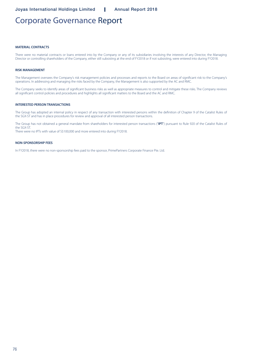#### **MATERIAL CONTRACTS**

There were no material contracts or loans entered into by the Company or any of its subsidiaries involving the interests of any Director, the Managing Director or controlling shareholders of the Company, either still subsisting at the end of FY2018 or if not subsisting, were entered into during FY2018.

#### **RISK MANAGEMENT**

The Management oversees the Company's risk management policies and processes and reports to the Board on areas of significant risk to the Company's operations. In addressing and managing the risks faced by the Company, the Management is also supported by the AC and RMC.

The Company seeks to identify areas of significant business risks as well as appropriate measures to control and mitigate these risks. The Company reviews all significant control policies and procedures and highlights all significant matters to the Board and the AC and RMC.

#### **INTERESTED PERSON TRANSACTIONS**

The Group has adopted an internal policy in respect of any transaction with interested persons within the definition of Chapter 9 of the Catalist Rules of the SGX-ST and has in place procedures for review and approval of all interested person transactions.

The Group has not obtained a general mandate from shareholders for interested person transactions ("**IPT**") pursuant to Rule 920 of the Catalist Rules of the SGX-ST.

There were no IPTs with value of S\$100,000 and more entered into during FY2018.

#### **NON-SPONSORSHIP FEES**

In FY2018, there were no non-sponsorship fees paid to the sponsor, PrimePartners Corporate Finance Pte. Ltd.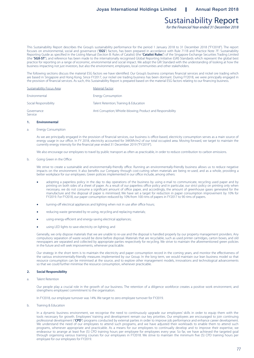### Sustainability Report

*for the Financial Year ended 31 December 2018*

This Sustainability Report describes the Group's sustainability performance for the period 1 January 2018 to 31 December 2018 ("FY2018"). The report focuses on environmental, social and governance ("**EGS**") factors, has been prepared in accordance with Rule 711B and Practice Note 7F: Sustainability Reporting Guide as specified in the Listing Manual (Section B: Rules of Catalist) (the "**Catalist Rules**") of the Singapore Exchange Securities Trading Limited (the "**SGX-ST**"), and reference has been made to the internationally recognised Global Reporting Initiative (GRI) Standards which represent the global best practice for reporting on a range of economic, environmental and social impact. We adopt the GRI Standard with the understanding of looking at how the business impacting not just investors, but also the environment, employees, local communities and other stakeholders.

The following sections discuss the material ESG factors we have identified. Our Group's business comprises financial services and nickel ore trading which are based in Singapore and Hong Kong. Since FY2017, our nickel ore trading business has been dormant. During FY2018, we were principally engaged in the provision of financial services. As such, this Sustainability Report is prepared based on the material ESG factors relating to our financing business.

| Sustainability Focus Area: | Material Factor:                                             |
|----------------------------|--------------------------------------------------------------|
| Environmental              | <b>Energy Consumption</b>                                    |
| Social Responsibility      | Talent Retention; Training & Education                       |
| Governance<br>Service      | Anti Corruption; Whistle-blowing; Product and Responsibility |

#### **1. Environmental**

#### a. Energy Consumption

As we are principally engaged in the provision of financial services, our business is office-based, electricity consumption serves as a main source of energy usage in our office. In FY 2018, electricity accounted for 34KWh/m2 of our total occupied area. Moving forward, we target to maintain the currently energy intensity for the financial year ended 31 December 2019 ("FY2019").

We also encourage our employees to travel by public transport as often as practicable, in order to reduce contribution to carbon emissions.

#### b. Going Green in the Office

We strive to create a sustainable and environmentally-friendly office. Running an environmentally-friendly business allows us to reduce negative impacts on the environment. It also benefits our Company through cost-cutting when materials are being re-used, and as a whole, providing a better workplace for our employees. Green policies implemented in our office include, among others:

- adopting a paperless policy in the day to day operations of the business by using e-mail to communicate, recycling used paper and by printing on both sides of a sheet of paper. As a result of our paperless office policy and in particular, our strict policy on printing only when necessary, we do not consume a significant amount of office paper, and accordingly, the amount of greenhouse gases generated for the manufacture and the disposal of paper is minimised; We have set a target for reduction in paper consumption improvement by 10% for FY2019. For FY2018, our paper consumption reduced by 10% from 100 rims of papers in FY2017 to 90 rims of papers.
- turning-off electrical appliances and lighting when not in use after office hours;
- reducing waste generated by re-using, recycling and replacing materials;
- using energy-efficient and energy-saving electrical appliances;
- using LED lights to save electricity on lighting; and

Generally, we only dispose materials that we are unable to re-use and the disposal is handled properly by our property management providers. Any compulsory separation of waste would be done before disposal. Materials that are recyclable, such as used printer cartridges, carton boxes, and old newspapers are separated and collected by appropriate parties respectively for recycling. We strive to maintain the aforementioned green policies in the future and will seek improvements, whenever practicable.

Our strategy in the short term is to maintain the electricity and paper consumption record in the coming years, and monitor the effectiveness of the various environmentally-friendly measures implemented by our Group. In the long term, we would maintain our lean business model so that resource consumption can be minimised at the source, and to explore other management models, innovations and technological advancements so that we could further minimise the resource consumption, whenever practicable.

#### **2. Social Responsibility**

a. Talent Retention

Our people play a crucial role in the growth of our business. The retention of a diligence workforce creates a positive work environment, and strengthens employees' commitment to the organisation.

In FY2018, our employee turnover was 14%. We target to zero employee turnover for FY2019.

b. Training & Education

In a dynamic business environment, we recognise the need to continuously upgrade our employees' skills in order to equip them with the tools necessary for growth. Employees' training and development remain our key priorities. Our employees are encouraged to join continuing professional development ("**CPD**") programs conducted by external parties in order to improve job performance and enhance career development. We understand the need of our employees to attend such programs, and we have adjusted their workloads to enable them to attend such programs, whenever appropriate and practicable. As a means for our employees to continually develop and to improve their expertise, we endeavour to arrange at least five (5) CPD training hours per employee for employees every year. So far, we have achieved the targeted goal through organising various training courses for our employees in FY2018. We strive to maintain the minimum five (5) CPD training hours per employee for our employees for FY2019.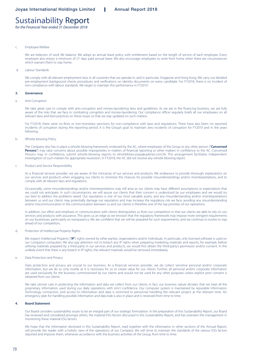# Sustainability Report

*for the Financial Year ended 31 December 2018*

#### c. Employee Welfare

We are believers of work life balance. We adopt an annual leave policy with entitlement based on the length of service of each employee. Every employee also enjoys a minimum of 21 days paid annual leave. We also encourage employees to work from home when there are circumstances which warrant them to stay home.

#### d. Labour Standards

We comply with all relevant employment laws in all countries that we operate in, and in particular, Singapore and Hong Kong. We carry out detailed pre-employment background checks procedures and verifications on identity documents on every candidate. For FY2018, there is no incident of non-compliance with labour standards. We target to maintain this performance in FY2019.

#### **3. Governance**

#### a. Anti-Corruption

We take great care to comply with anti-corruption and money-laundering laws and guidelines. As we are in the financing business, we are fully aware of the risks that we face in combating corruption and money-laundering. Our compliance officer regularly briefs all our employees on all relevant laws and best-practices on these issues so that we stay updated on such matters.

For FY2018, there were no fines or non-monetary sanctions for non-compliance with laws and regulations. There have also been no reported incidents of corruption during the reporting period. It is the Group's goal to maintain zero incidents of corruption for FY2019 and in the years following.

#### b. Whistle-blowing Policy

The Company also has in place a whistle-blowing framework, endorsed by the AC, where employees of the Group or any other person ("**Concerned Persons**") may raise concerns about possible improprieties in matters of financial reporting or other matters in confidence to the AC. Concerned Persons may, in confidence, submit whistle-blowing reports to whistleblow-joyas@upbnet.com.hk. This arrangement facilitates independent investigation of such matters for appropriate resolution. In FY2018, the AC did not receive any whistle-blowing report.

#### c. Product and Service Responsibility

As a financial services provider, we are aware of the intricacies of our services and products. We endeavour to provide thorough explanations on our services and products when engaging our clients to minimise the chances for possible misunderstandings and/or misinterpretations, and to comply with all relevant laws and regulations.

Occasionally, some misunderstandings and/or misinterpretations may still arise as our clients may have different assumptions or expectations that we could not anticipate. In such circumstances, we will assure our clients that their concern is understood by our employees and we would try our best to address the problems raised. Our reputation is one of our most valuable assets, and any misunderstanding and/or misinterpretations between us and our clients may potentially damage our reputation and may increase the regulatory risk we face; avoiding any misunderstanding and/or miscommunication in the communication between us and our clients is therefore one of the top priorities of our operations.

In addition, our effort and emphasis in communication with clients distinguishes us from our competitors in that our clients are able to rely on our services and products with assurance. This gives us an edge as we envision that the regulatory framework may impose more stringent requirements on our businesses, particularly on transparency. We are confident that we will be prepared for such requirements, and we continue to evolve to stay ahead of our competitors.

#### d. Protection of Intellectual Property Rights

We respect Intellectual Property ("IP") rights owned by other parties, organizations and/or individuals. In particular, only licensed software is used on our Company's computers. We also pay attention not to breach any IP rights when preparing marketing materials and reports; for example, before utilising materials prepared by a third-party in our services and products, we would first obtain the third-party's permission and/or consent. In the unlikely event that there is any breach in IP rights, the relevant materials would be removed immediately.

#### e. Data Protection and Privacy

Data protection and privacy are crucial to our business. As a financial services provider, we do collect sensitive personal and/or corporate information, but we do so only insofar as it is necessary for us to create value for our clients. Further, all personal and/or corporate information are used exclusively for the business commissioned by our clients and would not be used for any other purposes unless explicit prior consent is obtained from our clients.

We take utmost care in protecting the information and data we collect from our clients; in fact, our business nature dictates that we treat all the proprietary information used during our daily operations with strict confidence. Our computer system is maintained by reputable Information Technology contractors, and access to information and data is restricted to personnel handling the relevant project at the relevant time. An emergency plan for handling possible information and data leak is also in place and is reviewed from time to time.

#### **4. Board Statement**

Our Board considers sustainability issues to be an integral part of our strategic formulation. In the preparation of this Sustainability Report, our Board has reviewed and considered amongst others, the material ESG factors discussed in this Sustainability Report, and has overseen the management in monitoring these material ESG factors.

We hope that the information disclosed in this Sustainability Report, read together with the information in other sections of the Annual Report, will provide the reader with a holistic view of the operations of our Company. We will strive to maintain the standards of the various ESG factors reported and improve them, whenever accordance with the business activities of the Group, from time to time.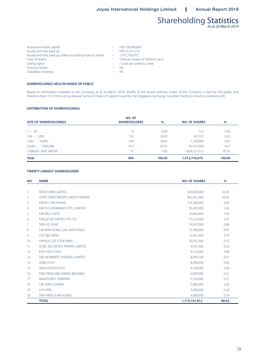### Shareholding Statistics *As at 26 March 2019*

| Authorised share capital                                  | HK\$100,000,000                  |
|-----------------------------------------------------------|----------------------------------|
| Issued and fully paid-up                                  | HK\$19,137,770                   |
| Issued and fully paid-up shares excluding treasury shares | 1.913.776.973                    |
| Class of shares                                           | Ordinary shares of HK\$0.01 each |
| Voting rights                                             | 1 vote per ordinary share        |
| Treasury shares                                           | Nil                              |
| Subsidiary holdings                                       | Nil                              |
|                                                           |                                  |

#### **SHAREHOLDINGS HELD IN HANDS OF PUBLIC**

Based on information available to the Company as at 26 March 2018, 20.69% of the issued ordinary shares of the Company is held by the public and therefore Rule 723 of the Listing Manual Section B: Rules of Catalist issued by the Singapore Exchange Securities Trading Limited is complied with.

#### **DISTRIBUTION OF SHAREHOLDINGS**

|                              | <b>NO. OF</b>       |        |                      |        |
|------------------------------|---------------------|--------|----------------------|--------|
| <b>SIZE OF SHAREHOLDINGS</b> | <b>SHAREHOLDERS</b> | $\%$   | <b>NO. OF SHARES</b> | $\%$   |
| $1 - 99$                     | 6                   | 0.66   | 112                  | 0.00   |
| $100 - 1,000$                | 153                 | 16.93  | 147,353              | 0.01   |
| $1,001 - 10,000$             | 259                 | 28.65  | 1,329,900            | 0.07   |
| $10,001 - 1,000,000$         | 415                 | 45.91  | 87,572,096           | 4.57   |
| 1,000,001 AND ABOVE          | 71                  | 7.85   | 1,824,727,512        | 95.35  |
| <b>Total</b>                 | 904                 | 100.00 | 1,913,776,973        | 100.00 |

#### **TWENTY LARGEST SHAREHOLDERS**

| NO. | <b>NAME</b>                      | <b>NO. OF SHARES</b> | $\%$  |
|-----|----------------------------------|----------------------|-------|
|     |                                  |                      |       |
| -1  | <b>REACH WIN LIMITED</b>         | 560,000,000          | 29.26 |
| 2   | JOYAS INVESTMENTS GROUP I IMITED | 842,951,466          | 44.05 |
| 3   | <b>KWOK CHIN PHANG</b>           | 114,766,000          | 6.00  |
| 4   | RAFFLES NOMINEES (PTE.) LIMITED  | 35,035,900           | 1.83  |
| 5   | LIM MUI CHOO                     | 20,000,000           | 1.05  |
| 6   | PHILLIP SECURITIES PTE LTD       | 17,510,500           | 0.91  |
| 7   | <b>TAN LYE SENG</b>              | 16,937,000           | 0.89  |
| 8   | LIM KIAN HONG (LIN JIAN HONG)    | 15,500,000           | 0.81  |
| 9   | <b>LOO BEE KENG</b>              | 13,361,600           | 0.70  |
| 10  | <b>FRANCIS LEE FOOK WAH</b>      | 10,597,346           | 0.55  |
| 11  | OCBC SECURITIES PRIVATE LIMITED  | 9,531,900            | 0.50  |
| 12  | KOH YEW CHOO                     | 9,152,000            | 0.48  |
| 13  | DBS NOMINEES (PRIVATE) LIMITED   | 8,999,100            | 0.47  |
| 14  | <b>SHEN FUYU</b>                 | 8,400,000            | 0.44  |
| 15  | SEAH KHOON POH                   | 6,549,000            | 0.34  |
| 16  | ONG PENG WAI (WANG BINGWEI)      | 6,000,000            | 0.31  |
| 17  | <b>MANOHAR P SABNANI</b>         | 5,250,000            | 0.27  |
| 18  | <b>LIM SENG CHIANG</b>           | 5,000,000            | 0.26  |
| 19  | LIN LIXIN                        | 5,000,000            | 0.26  |
| 20  | TAN HWEE JUAN AGNES              | 4,600,000            | 0.24  |
|     | <b>TOTAL</b>                     | 1,715,141,812        | 89.62 |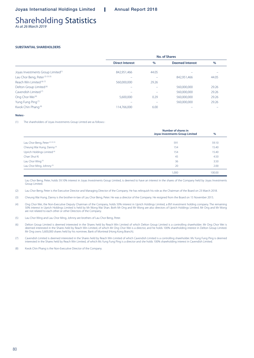### Shareholding Statistics *As at 26 March 2019*

#### **SUBSTANTIAL SHAREHOLDERS**

|                                                | <b>No. of Shares</b>   |       |                        |       |
|------------------------------------------------|------------------------|-------|------------------------|-------|
|                                                | <b>Direct Interest</b> | $\%$  | <b>Deemed Interest</b> | $\%$  |
| Joyas Investments Group Limited <sup>(1)</sup> | 842,951,466            | 44.05 |                        |       |
| Lau Chor Beng, Peter <sup>(2)(3)(5)</sup>      |                        |       | 842,951,466            | 44.05 |
| Reach Win Limited (6) (7)                      | 560,000,000            | 29.26 |                        |       |
| Delton Group Limited <sup>(6)</sup>            |                        |       | 560,000,000            | 29.26 |
| Cavendish Limited <sup>(7)</sup>               |                        |       | 560,000,000            | 29.26 |
| Ong Chor Wei <sup>(6)</sup>                    | 5,600,000              | 0.29  | 560,000,000            | 29.26 |
| Yung Fung Ping <sup>(7)</sup>                  |                        | -     | 560,000,000            | 29.26 |
| Kwok Chin Phang <sup>(8)</sup>                 | 114,766,000            | 6.00  |                        |       |

#### **Notes:-**

j

(1) The shareholders of Joyas Investments Group Limted are as follows:-

|                                           | Number of shares in<br><b>Joyas Investments Group Limited</b> | $\%$   |  |
|-------------------------------------------|---------------------------------------------------------------|--------|--|
| Lau Chor Beng, Peter <sup>(2)(3)(5)</sup> | 591                                                           | 59.10  |  |
| Cheung Wai Hung, Danny <sup>(3)</sup>     | 154                                                           | 15.40  |  |
| Uprich Holdings Limited <sup>(4)</sup>    | 154                                                           | 15.40  |  |
| Chan Shui Ki                              | 45                                                            | 4.50   |  |
| Lau Chor Wing <sup>(5)</sup>              | 36                                                            | 3.50   |  |
| Lau Chor Ming, Johnny <sup>(5)</sup>      | 20                                                            | 2.00   |  |
|                                           | 1,000                                                         | 100.00 |  |

Lau Chor Beng, Peter, holds 59.10% interest in Joyas Investments Group Limited, is deemed to have an interest in the shares of the Company held by Joyas Investments Group Limited.

(2) Lau Chor Beng, Peter is the Executive Director and Managing Director of the Company. He has relinquish his role as the Chairman of the Board on 23 March 2018.

(3) Cheung Wai Hung, Danny is the brother-in-law of Lau Chor Beng, Peter. He was a director of the Company. He resigned from the Board on 15 November 2015.

(4) Ong Chor Wei, the Non-Executive Deputy Chairman of the Company, holds 50% interest in Uprich Holdings Limited, a BVI investment holding company. The remaining 50% interest in Uprich Holdings Limited is held by Mr Wong Wai Shan. Both Mr Ong and Mr Wong are also directors of Uprich Holdings Limited. Mr Ong and Mr Wong are not related to each other or other Directors of the Company.

(5) Lau Chor Wing and Lau Chor Ming, Johnny are brothers of Lau Chor Beng, Peter.

(6) Delton Group Limited is deemed interested in the Shares held by Reach Win Limited of which Delton Group Limited is a controlling shareholder. Mr Ong Chor Wei is deemed interested in the Shares held by Reach Win Limited, of which Mr Ong Chor Wei is a director, and he holds 100% shareholding interest in Delton Group Limited. Mr Ong owns 5,600,000 shares held by his nominee, Bank of Montreal (Hong Kong Branch).

(7) Cavendish Limited is deemed interested in the Shares held by Reach Win Limited of which Cavendish Limited is a controlling shareholder. Ms Yung Fung Ping is deemed interested in the Shares held by Reach Win Limited, of which Ms Yung Fung Ping is a director and she holds 100% shareholding interest in Cavendish Limited.

(8) Kwok Chin Phang is the Non-Executive Director of the Company.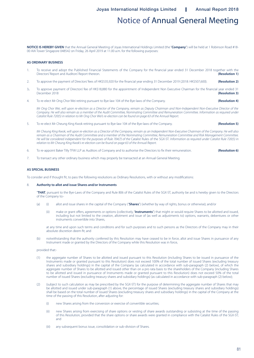# Notice of Annual General Meeting

**NOTICE IS HEREBY GIVEN** that the Annual General Meeting of Joyas International Holdings Limited (the "**Company**") will be held at 1 Robinson Road #18- 00 AIA Tower Singapore 048542 on Friday, 26 April 2019 at 11.00 a.m. for the following purposes:

#### **AS ORDINARY BUSINESS**

- 1. To receive and adopt the Published Financial Statements of the Company for the financial year ended 31 December 2018 together with the<br>Directors' Report and Auditors' Report thereon. Directors' Report and Auditors' Report thereon.
- 2. To approve the payment of Directors' fees of HK\$535,920 for the financial year ending 31 December 2019 (2018: HK\$507,600). **(Resolution 2)**
- 3**.** To approve payment of Directors' fee of HK\$18,880 for the appointment of Independent Non Executive Chairman for the financial year ended 31 December 2018 **(Resolution 3)**
- 4. To re-elect Mr Ong Chor Wei retiring pursuant to Bye-law 104 of the Bye-laws of the Company. **(Resolution 4)**

*Mr Ong Chor Wei, will upon re-election as a Director of the Company, remain as Deputy Chairman and Non-Independent Non-Executive Director of the Company. He will also remain as a member of the Audit Committee, Nominating Committee and Remuneration Committee. Information as required under Catalist Rule 720(5) in relation to Mr Ong Chor Wei's re-election can be found on page 63 of the Annual Report.*

5. To re-elect Mr Cheung King Kwok retiring pursuant to Bye-law 104 of the Bye-laws of the Company. **(Resolution 5)**

*Mr Cheung King Kwok, will upon re-election as a Director of the Company, remain as an Independent Non-Executive Chairman of the Company. He will also remain as a Chairman of the Audit Committee and a member of the Nominating Committee, Remuneration Committee and Risk Management Committee.*  He will be considered independent for the purposes of Rule 704(7) of the Catalist Rules of the SGX-ST. Information as required under Catalist Rule 720(5) in *relation to Mr Cheung King Kwok's re-election can be found on page 63 of the Annual Report.*

- 6. To re-appoint Baker Tilly TFW LLP as Auditors of Company and to authorise the Directors to fix their remuneration. **(Resolution 6)**
- 7. To transact any other ordinary business which may properly be transacted at an Annual General Meeting.

#### **AS SPECIAL BUSINESS**

To consider and if thought fit, to pass the following resolutions as Ordinary Resolutions, with or without any modifications:

#### 8. **Authority to allot and issue Shares and/or Instruments**

"**THAT**, pursuant to the Bye-Laws of the Company and Rule 806 of the Catalist Rules of the SGX-ST, authority be and is hereby given to the Directors of the Company to:-

- (a) (i) allot and issue shares in the capital of the Company ("**Shares**") (whether by way of rights, bonus or otherwise); and/or
	- (ii) make or grant offers, agreements or options (collectively, "**Instruments**") that might or would require Shares to be allotted and issued, including but not limited to the creation, allotment and issue of (as well as adjustments to) options, warrants, debentures or other instruments convertible into Shares,

at any time and upon such terms and conditions and for such purposes and to such persons as the Directors of the Company may in their absolute discretion deem fit; and

(b) notwithstanding that the authority conferred by this Resolution may have ceased to be in force, allot and issue Shares in pursuance of any Instrument made or granted by the Directors of the Company while this Resolution was in force,

#### provided that:-

- (1) the aggregate number of Shares to be allotted and issued pursuant to this Resolution (including Shares to be issued in pursuance of the Instruments made or granted pursuant to this Resolution) does not exceed 100% of the total number of issued Shares (excluding treasury shares and subsidiary holdings) in the capital of the Company (as calculated in accordance with sub-paragraph (2) below), of which the aggregate number of Shares to be allotted and issued other than on a pro rata basis to the shareholders of the Company (including Shares to be allotted and issued in pursuance of Instruments made or granted pursuant to this Resolution) does not exceed 50% of the total number of issued Shares (excluding treasury shares and subsidiary holdings) (as calculated in accordance with sub-paragraph (2) below);
- (2) (subject to such calculation as may be prescribed by the SGX-ST) for the purpose of determining the aggregate number of Shares that may be allotted and issued under sub-paragraph (1) above, the percentage of issued Shares (excluding treasury shares and subsidiary holdings) shall be based on the total number of issued Shares (excluding treasury shares and subsidiary holdings) in the capital of the Company at the time of the passing of this Resolution, after adjusting for:
	- (i) new Shares arising from the conversion or exercise of convertible securities;
	- (ii) new Shares arising from exercising of share options or vesting of share awards outstanding or subsisting at the time of the passing of this Resolution, provided that the share options or share awards were granted in compliance with the Catalist Rules of the SGX-ST; and
	- (iii) any subsequent bonus issue, consolidation or sub-division of Shares.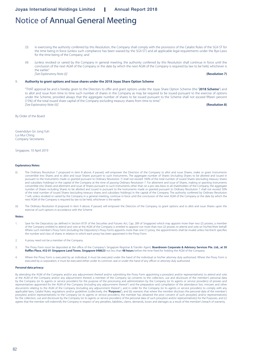# Notice of Annual General Meeting

- (3) in exercising the authority conferred by this Resolution, the Company shall comply with the provisions of the Catalist Rules of the SGX-ST for the time being in force (unless such compliance has been waived by the SGX-ST) and all applicable legal requirements under the Bye-Laws for the time being of the Company; and
- (4) (unless revoked or varied by the Company in general meeting, the authority conferred by this Resolution shall continue in force until the conclusion of the next AGM of the Company or the date by which the next AGM of the Company is required by law to be held, whichever is the earlier.  *[See Explanatory Note (i)]* **(Resolution 7)**

#### 9. **Authority to grant options and issue shares under the 2018 Joyas Share Option Scheme**

"THAT approval be and is hereby given to the Directors to offer and grant options under the Joyas Share Option Scheme (the "**2018 Scheme**") and to allot and issue from time to time such number of shares in the Company as may be required to be issued pursuant to the exercise of options under the Scheme, provided always that the aggregate number of shares to be issued pursuant to the Scheme shall not exceed fifteen percent (15%) of the total issued share capital of the Company excluding treasury shares from time to time." *[See Explanatory Note (ii)]* **(Resolution 8)**

By Order of the Board

Gwendolyn Gn Jong Yuh Lui Mui Ching Company Secretaries

Singapore, 10 April 2019

#### **Explanatory Notes:**

- (i) The Ordinary Resolution 7 proposed in item 8 above, if passed, will empower the Directors of the Company to allot and issue Shares, make or grant Instruments convertible into Shares and to allot and issue Shares pursuant to such Instruments. The aggregate number of Shares (including Shares to be allotted and issued in pursuant to the Instruments made or granted pursuant to Ordinary Resolution 7) shall not exceed 100% of the total number of issued Shares (excluding treasury shares and subsidiary holdings) in the capital of the Company at the time of passing Ordinary Resolution 7. For allotment and issue of Shares, making or granting Instruments convertible into Shares and allotment and issue of Shares pursuant to such Instruments other than on a pro rata basis to all shareholders of the Company, the aggregate number of Shares including Shares to be allotted and issued in pursuant to the Instruments made or granted pursuant to Ordinary Resolution 7 shall not exceed 50% of the total number of issued Shares (excluding treasury shares and subsidiary holdings) in the capital of the Company. The authority conferred by Ordinary Resolution 7 will, unless revoked or varied by the Company in a general meeting, continue in force until the conclusion of the next AGM of the Company or the date by which the next AGM of the Company is required by law to be held, whichever is the earlier.
- (ii) The Ordinary Resolution 8 proposed in item 9 above, if passed, will empower the Directors of the Company, to grant options and to allot and issue Shares upon the exercise of such options in accordance with the Scheme

#### **Notes:**

- Save for the Depository (as defined in Section 81SF of the Securities and Futures Act, Cap. 289 of Singapore) which may appoint more than two (2) proxies, a member of the Company entitled to attend and vote at the AGM of the Company is entitled to appoint not more than two (2) proxies to attend and vote on his/her/their behalf. Where such member's Proxy Form (including the Depository's Proxy Form) appoints more than one (1) proxy, the appointments shall be invalid unless he/she/it specifies the number and class of shares in relation to which each proxy has been appointed in the Proxy Form.
- 2. A proxy need not be a member of the Company.
- 3. The Proxy Form must be deposited at the office of the Company's Singapore Registrar & Transfer Agent, **Boardroom Corporate & Advisory Services Pte. Ltd., at 50 Raffles Place, #32-01 Singapore Land Tower, Singapore 048623** not less than **48 hours** before the time fixed for holding the AGM of the Company.
- 4. Where the Proxy Form is executed by an individual, it must be executed under the hand of the individual or his/her attorney duly authorised. Where the Proxy Form is executed by a corporation, it must be executed either under its common seal or under the hand of any officer or attorney duly authorised.

#### **Personal data privacy:**

By attending the AGM of the Company and/or any adjournment thereof and/or submitting the Proxy Form appointing a proxy(ies) and/or representative(s) to attend and vote at the AGM of the Company and/or any adjournment thereof, a member of the Company (a) consents to the collection, use and disclosure of the member's personal data by the Company (or its agents or service providers) for the purpose of the processing and administration by the Company (or its agents or service providers) of proxies and representatives appointed for the AGM of the Company (including any adjournment thereof ) and the preparation and compilation of the attendance lists, minutes and other documents relating to the AGM of the Company (including any adjournment thereof ), and in order for the Company (or its agents or service providers) to comply with any<br>applicable laws, Catalist Rules, regulations and/or gu proxy(ies) and/or representative(s) to the Company (or its agents or service providers), the member has obtained the prior consent of such proxy(ies) and/or representative(s) for the collection, use and disclosure by the Company (or its agents or service providers) of the personal data of such proxy(ies) and/or representative(s) for the Purposes, and (c) agrees that the member will indemnify the Company in respect of any penalties, liabilities, claims, demands, losses and damages as a result of the member's breach of warranty.